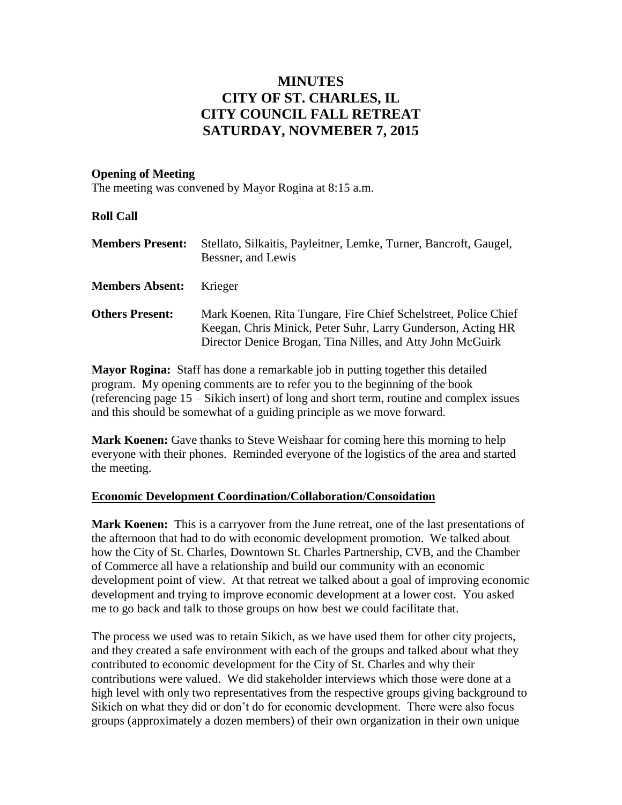## **MINUTES CITY OF ST. CHARLES, IL CITY COUNCIL FALL RETREAT SATURDAY, NOVMEBER 7, 2015**

#### **Opening of Meeting**

The meeting was convened by Mayor Rogina at 8:15 a.m.

#### **Roll Call**

| <b>Members Present:</b> | Stellato, Silkaitis, Payleitner, Lemke, Turner, Bancroft, Gaugel,<br>Bessner, and Lewis                                                                                                       |
|-------------------------|-----------------------------------------------------------------------------------------------------------------------------------------------------------------------------------------------|
| <b>Members Absent:</b>  | Krieger                                                                                                                                                                                       |
| <b>Others Present:</b>  | Mark Koenen, Rita Tungare, Fire Chief Schelstreet, Police Chief<br>Keegan, Chris Minick, Peter Suhr, Larry Gunderson, Acting HR<br>Director Denice Brogan, Tina Nilles, and Atty John McGuirk |

**Mayor Rogina:** Staff has done a remarkable job in putting together this detailed program. My opening comments are to refer you to the beginning of the book (referencing page 15 – Sikich insert) of long and short term, routine and complex issues and this should be somewhat of a guiding principle as we move forward.

**Mark Koenen:** Gave thanks to Steve Weishaar for coming here this morning to help everyone with their phones. Reminded everyone of the logistics of the area and started the meeting.

#### **Economic Development Coordination/Collaboration/Consoidation**

**Mark Koenen:** This is a carryover from the June retreat, one of the last presentations of the afternoon that had to do with economic development promotion. We talked about how the City of St. Charles, Downtown St. Charles Partnership, CVB, and the Chamber of Commerce all have a relationship and build our community with an economic development point of view. At that retreat we talked about a goal of improving economic development and trying to improve economic development at a lower cost. You asked me to go back and talk to those groups on how best we could facilitate that.

The process we used was to retain Sikich, as we have used them for other city projects, and they created a safe environment with each of the groups and talked about what they contributed to economic development for the City of St. Charles and why their contributions were valued. We did stakeholder interviews which those were done at a high level with only two representatives from the respective groups giving background to Sikich on what they did or don't do for economic development. There were also focus groups (approximately a dozen members) of their own organization in their own unique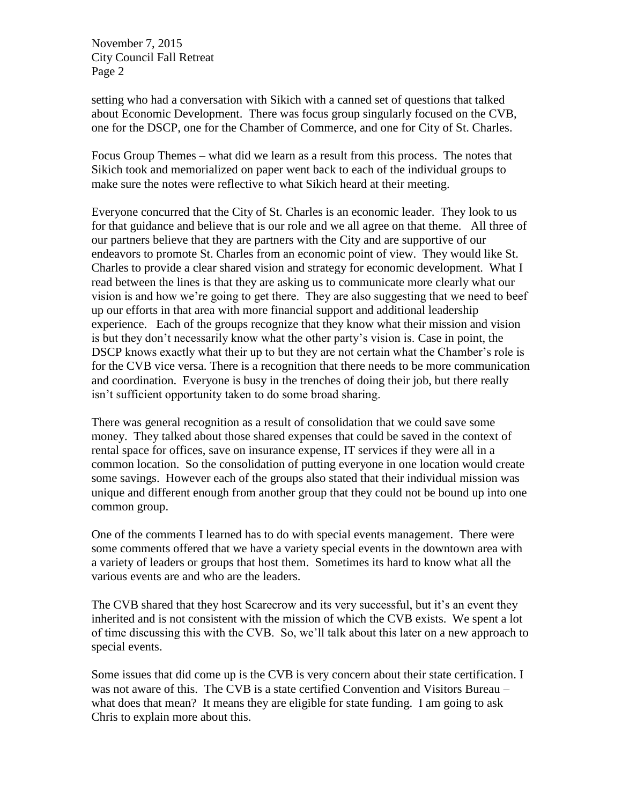setting who had a conversation with Sikich with a canned set of questions that talked about Economic Development. There was focus group singularly focused on the CVB, one for the DSCP, one for the Chamber of Commerce, and one for City of St. Charles.

Focus Group Themes – what did we learn as a result from this process. The notes that Sikich took and memorialized on paper went back to each of the individual groups to make sure the notes were reflective to what Sikich heard at their meeting.

Everyone concurred that the City of St. Charles is an economic leader. They look to us for that guidance and believe that is our role and we all agree on that theme. All three of our partners believe that they are partners with the City and are supportive of our endeavors to promote St. Charles from an economic point of view. They would like St. Charles to provide a clear shared vision and strategy for economic development. What I read between the lines is that they are asking us to communicate more clearly what our vision is and how we're going to get there. They are also suggesting that we need to beef up our efforts in that area with more financial support and additional leadership experience. Each of the groups recognize that they know what their mission and vision is but they don't necessarily know what the other party's vision is. Case in point, the DSCP knows exactly what their up to but they are not certain what the Chamber's role is for the CVB vice versa. There is a recognition that there needs to be more communication and coordination. Everyone is busy in the trenches of doing their job, but there really isn't sufficient opportunity taken to do some broad sharing.

There was general recognition as a result of consolidation that we could save some money. They talked about those shared expenses that could be saved in the context of rental space for offices, save on insurance expense, IT services if they were all in a common location. So the consolidation of putting everyone in one location would create some savings. However each of the groups also stated that their individual mission was unique and different enough from another group that they could not be bound up into one common group.

One of the comments I learned has to do with special events management. There were some comments offered that we have a variety special events in the downtown area with a variety of leaders or groups that host them. Sometimes its hard to know what all the various events are and who are the leaders.

The CVB shared that they host Scarecrow and its very successful, but it's an event they inherited and is not consistent with the mission of which the CVB exists. We spent a lot of time discussing this with the CVB. So, we'll talk about this later on a new approach to special events.

Some issues that did come up is the CVB is very concern about their state certification. I was not aware of this. The CVB is a state certified Convention and Visitors Bureau – what does that mean? It means they are eligible for state funding. I am going to ask Chris to explain more about this.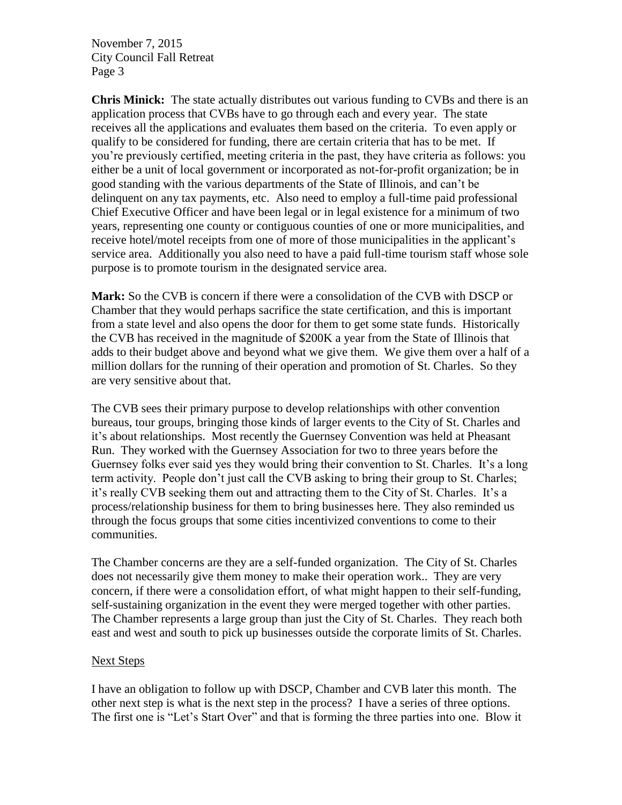**Chris Minick:** The state actually distributes out various funding to CVBs and there is an application process that CVBs have to go through each and every year. The state receives all the applications and evaluates them based on the criteria. To even apply or qualify to be considered for funding, there are certain criteria that has to be met. If you're previously certified, meeting criteria in the past, they have criteria as follows: you either be a unit of local government or incorporated as not-for-profit organization; be in good standing with the various departments of the State of Illinois, and can't be delinquent on any tax payments, etc. Also need to employ a full-time paid professional Chief Executive Officer and have been legal or in legal existence for a minimum of two years, representing one county or contiguous counties of one or more municipalities, and receive hotel/motel receipts from one of more of those municipalities in the applicant's service area. Additionally you also need to have a paid full-time tourism staff whose sole purpose is to promote tourism in the designated service area.

**Mark:** So the CVB is concern if there were a consolidation of the CVB with DSCP or Chamber that they would perhaps sacrifice the state certification, and this is important from a state level and also opens the door for them to get some state funds. Historically the CVB has received in the magnitude of \$200K a year from the State of Illinois that adds to their budget above and beyond what we give them. We give them over a half of a million dollars for the running of their operation and promotion of St. Charles. So they are very sensitive about that.

The CVB sees their primary purpose to develop relationships with other convention bureaus, tour groups, bringing those kinds of larger events to the City of St. Charles and it's about relationships. Most recently the Guernsey Convention was held at Pheasant Run. They worked with the Guernsey Association for two to three years before the Guernsey folks ever said yes they would bring their convention to St. Charles. It's a long term activity. People don't just call the CVB asking to bring their group to St. Charles; it's really CVB seeking them out and attracting them to the City of St. Charles. It's a process/relationship business for them to bring businesses here. They also reminded us through the focus groups that some cities incentivized conventions to come to their communities.

The Chamber concerns are they are a self-funded organization. The City of St. Charles does not necessarily give them money to make their operation work.. They are very concern, if there were a consolidation effort, of what might happen to their self-funding, self-sustaining organization in the event they were merged together with other parties. The Chamber represents a large group than just the City of St. Charles. They reach both east and west and south to pick up businesses outside the corporate limits of St. Charles.

#### Next Steps

I have an obligation to follow up with DSCP, Chamber and CVB later this month. The other next step is what is the next step in the process? I have a series of three options. The first one is "Let's Start Over" and that is forming the three parties into one. Blow it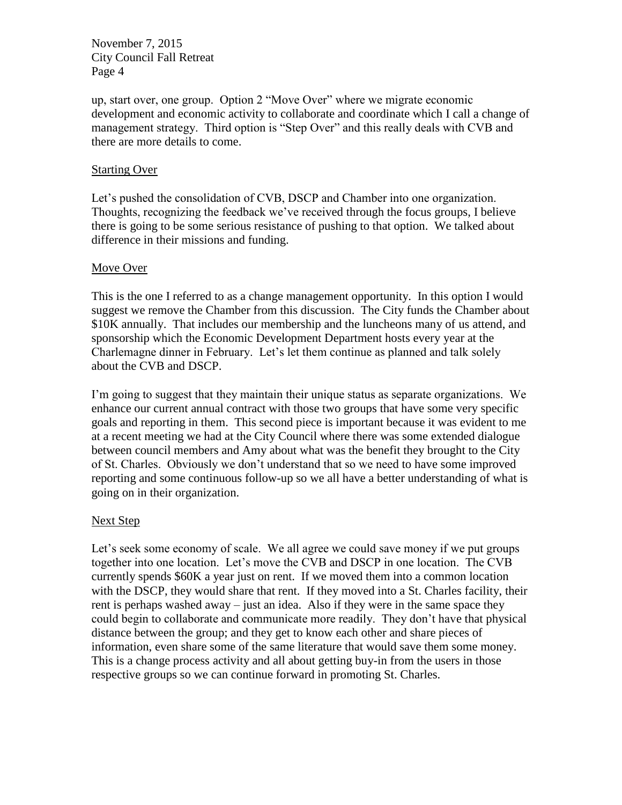up, start over, one group. Option 2 "Move Over" where we migrate economic development and economic activity to collaborate and coordinate which I call a change of management strategy. Third option is "Step Over" and this really deals with CVB and there are more details to come.

#### Starting Over

Let's pushed the consolidation of CVB, DSCP and Chamber into one organization. Thoughts, recognizing the feedback we've received through the focus groups, I believe there is going to be some serious resistance of pushing to that option. We talked about difference in their missions and funding.

#### Move Over

This is the one I referred to as a change management opportunity. In this option I would suggest we remove the Chamber from this discussion. The City funds the Chamber about \$10K annually. That includes our membership and the luncheons many of us attend, and sponsorship which the Economic Development Department hosts every year at the Charlemagne dinner in February. Let's let them continue as planned and talk solely about the CVB and DSCP.

I'm going to suggest that they maintain their unique status as separate organizations. We enhance our current annual contract with those two groups that have some very specific goals and reporting in them. This second piece is important because it was evident to me at a recent meeting we had at the City Council where there was some extended dialogue between council members and Amy about what was the benefit they brought to the City of St. Charles. Obviously we don't understand that so we need to have some improved reporting and some continuous follow-up so we all have a better understanding of what is going on in their organization.

#### Next Step

Let's seek some economy of scale. We all agree we could save money if we put groups together into one location. Let's move the CVB and DSCP in one location. The CVB currently spends \$60K a year just on rent. If we moved them into a common location with the DSCP, they would share that rent. If they moved into a St. Charles facility, their rent is perhaps washed away – just an idea. Also if they were in the same space they could begin to collaborate and communicate more readily. They don't have that physical distance between the group; and they get to know each other and share pieces of information, even share some of the same literature that would save them some money. This is a change process activity and all about getting buy-in from the users in those respective groups so we can continue forward in promoting St. Charles.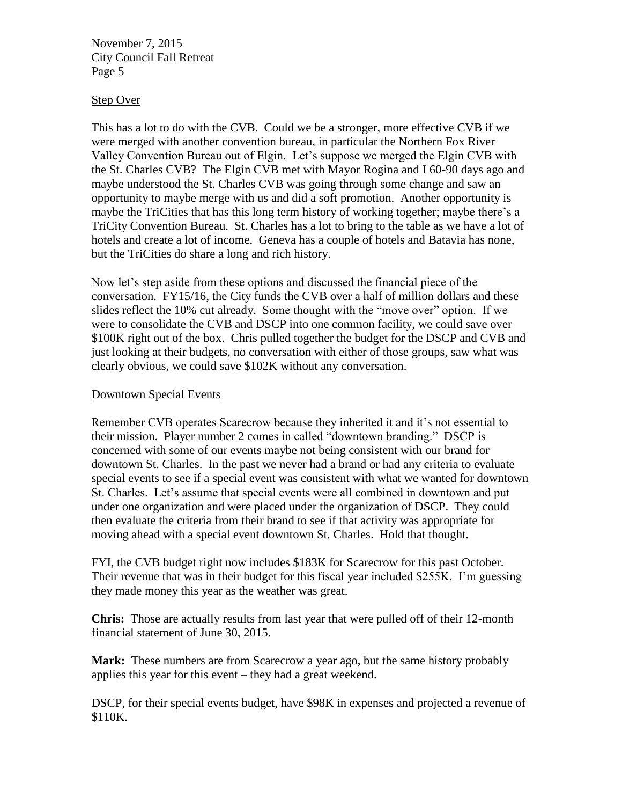#### Step Over

This has a lot to do with the CVB. Could we be a stronger, more effective CVB if we were merged with another convention bureau, in particular the Northern Fox River Valley Convention Bureau out of Elgin. Let's suppose we merged the Elgin CVB with the St. Charles CVB? The Elgin CVB met with Mayor Rogina and I 60-90 days ago and maybe understood the St. Charles CVB was going through some change and saw an opportunity to maybe merge with us and did a soft promotion. Another opportunity is maybe the TriCities that has this long term history of working together; maybe there's a TriCity Convention Bureau. St. Charles has a lot to bring to the table as we have a lot of hotels and create a lot of income. Geneva has a couple of hotels and Batavia has none, but the TriCities do share a long and rich history.

Now let's step aside from these options and discussed the financial piece of the conversation. FY15/16, the City funds the CVB over a half of million dollars and these slides reflect the 10% cut already. Some thought with the "move over" option. If we were to consolidate the CVB and DSCP into one common facility, we could save over \$100K right out of the box. Chris pulled together the budget for the DSCP and CVB and just looking at their budgets, no conversation with either of those groups, saw what was clearly obvious, we could save \$102K without any conversation.

#### Downtown Special Events

Remember CVB operates Scarecrow because they inherited it and it's not essential to their mission. Player number 2 comes in called "downtown branding." DSCP is concerned with some of our events maybe not being consistent with our brand for downtown St. Charles. In the past we never had a brand or had any criteria to evaluate special events to see if a special event was consistent with what we wanted for downtown St. Charles. Let's assume that special events were all combined in downtown and put under one organization and were placed under the organization of DSCP. They could then evaluate the criteria from their brand to see if that activity was appropriate for moving ahead with a special event downtown St. Charles. Hold that thought.

FYI, the CVB budget right now includes \$183K for Scarecrow for this past October. Their revenue that was in their budget for this fiscal year included \$255K. I'm guessing they made money this year as the weather was great.

**Chris:** Those are actually results from last year that were pulled off of their 12-month financial statement of June 30, 2015.

**Mark:** These numbers are from Scarecrow a year ago, but the same history probably applies this year for this event – they had a great weekend.

DSCP, for their special events budget, have \$98K in expenses and projected a revenue of \$110K.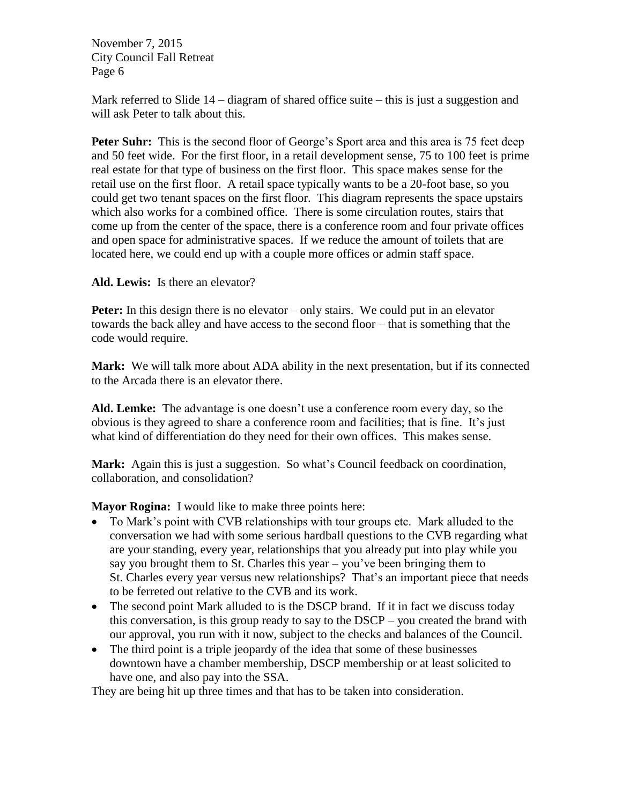Mark referred to Slide 14 – diagram of shared office suite – this is just a suggestion and will ask Peter to talk about this.

**Peter Suhr:** This is the second floor of George's Sport area and this area is 75 feet deep and 50 feet wide. For the first floor, in a retail development sense, 75 to 100 feet is prime real estate for that type of business on the first floor. This space makes sense for the retail use on the first floor. A retail space typically wants to be a 20-foot base, so you could get two tenant spaces on the first floor. This diagram represents the space upstairs which also works for a combined office. There is some circulation routes, stairs that come up from the center of the space, there is a conference room and four private offices and open space for administrative spaces. If we reduce the amount of toilets that are located here, we could end up with a couple more offices or admin staff space.

**Ald. Lewis:** Is there an elevator?

**Peter:** In this design there is no elevator – only stairs. We could put in an elevator towards the back alley and have access to the second floor – that is something that the code would require.

**Mark:** We will talk more about ADA ability in the next presentation, but if its connected to the Arcada there is an elevator there.

**Ald. Lemke:** The advantage is one doesn't use a conference room every day, so the obvious is they agreed to share a conference room and facilities; that is fine. It's just what kind of differentiation do they need for their own offices. This makes sense.

**Mark:** Again this is just a suggestion. So what's Council feedback on coordination, collaboration, and consolidation?

**Mayor Rogina:** I would like to make three points here:

- To Mark's point with CVB relationships with tour groups etc. Mark alluded to the conversation we had with some serious hardball questions to the CVB regarding what are your standing, every year, relationships that you already put into play while you say you brought them to St. Charles this year – you've been bringing them to St. Charles every year versus new relationships? That's an important piece that needs to be ferreted out relative to the CVB and its work.
- The second point Mark alluded to is the DSCP brand. If it in fact we discuss today this conversation, is this group ready to say to the DSCP – you created the brand with our approval, you run with it now, subject to the checks and balances of the Council.
- The third point is a triple jeopardy of the idea that some of these businesses downtown have a chamber membership, DSCP membership or at least solicited to have one, and also pay into the SSA.

They are being hit up three times and that has to be taken into consideration.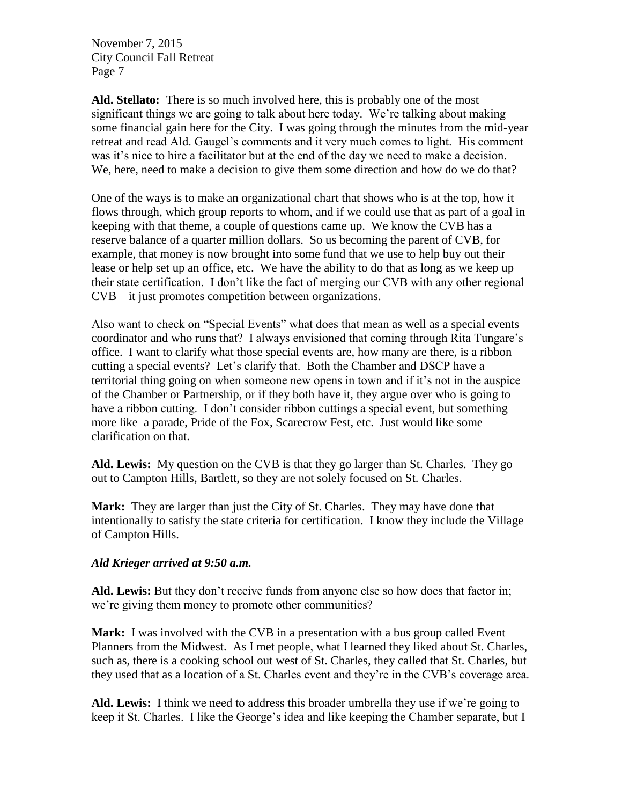**Ald. Stellato:** There is so much involved here, this is probably one of the most significant things we are going to talk about here today. We're talking about making some financial gain here for the City. I was going through the minutes from the mid-year retreat and read Ald. Gaugel's comments and it very much comes to light. His comment was it's nice to hire a facilitator but at the end of the day we need to make a decision. We, here, need to make a decision to give them some direction and how do we do that?

One of the ways is to make an organizational chart that shows who is at the top, how it flows through, which group reports to whom, and if we could use that as part of a goal in keeping with that theme, a couple of questions came up. We know the CVB has a reserve balance of a quarter million dollars. So us becoming the parent of CVB, for example, that money is now brought into some fund that we use to help buy out their lease or help set up an office, etc. We have the ability to do that as long as we keep up their state certification. I don't like the fact of merging our CVB with any other regional CVB – it just promotes competition between organizations.

Also want to check on "Special Events" what does that mean as well as a special events coordinator and who runs that? I always envisioned that coming through Rita Tungare's office. I want to clarify what those special events are, how many are there, is a ribbon cutting a special events? Let's clarify that. Both the Chamber and DSCP have a territorial thing going on when someone new opens in town and if it's not in the auspice of the Chamber or Partnership, or if they both have it, they argue over who is going to have a ribbon cutting. I don't consider ribbon cuttings a special event, but something more like a parade, Pride of the Fox, Scarecrow Fest, etc. Just would like some clarification on that.

**Ald. Lewis:** My question on the CVB is that they go larger than St. Charles. They go out to Campton Hills, Bartlett, so they are not solely focused on St. Charles.

**Mark:** They are larger than just the City of St. Charles. They may have done that intentionally to satisfy the state criteria for certification. I know they include the Village of Campton Hills.

#### *Ald Krieger arrived at 9:50 a.m.*

**Ald. Lewis:** But they don't receive funds from anyone else so how does that factor in; we're giving them money to promote other communities?

**Mark:** I was involved with the CVB in a presentation with a bus group called Event Planners from the Midwest. As I met people, what I learned they liked about St. Charles, such as, there is a cooking school out west of St. Charles, they called that St. Charles, but they used that as a location of a St. Charles event and they're in the CVB's coverage area.

**Ald. Lewis:** I think we need to address this broader umbrella they use if we're going to keep it St. Charles. I like the George's idea and like keeping the Chamber separate, but I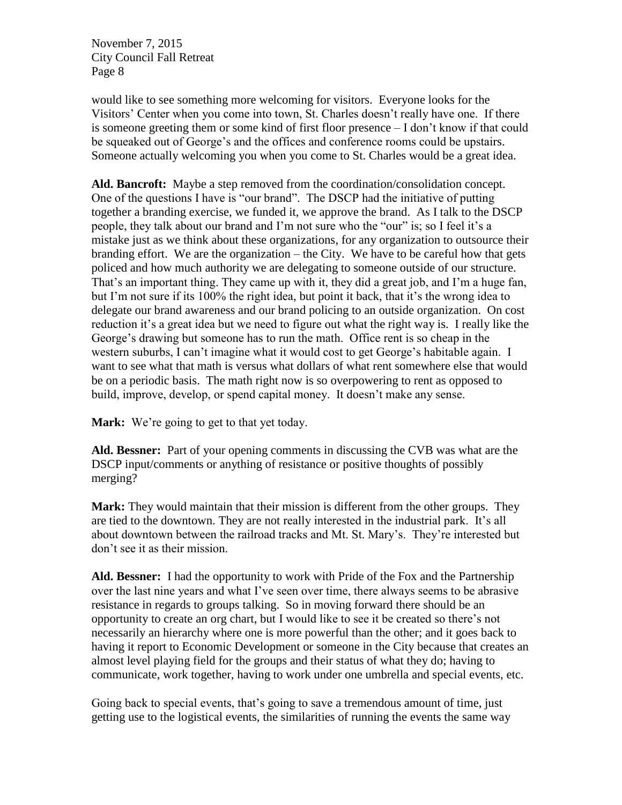would like to see something more welcoming for visitors. Everyone looks for the Visitors' Center when you come into town, St. Charles doesn't really have one. If there is someone greeting them or some kind of first floor presence – I don't know if that could be squeaked out of George's and the offices and conference rooms could be upstairs. Someone actually welcoming you when you come to St. Charles would be a great idea.

**Ald. Bancroft:** Maybe a step removed from the coordination/consolidation concept. One of the questions I have is "our brand". The DSCP had the initiative of putting together a branding exercise, we funded it, we approve the brand. As I talk to the DSCP people, they talk about our brand and I'm not sure who the "our" is; so I feel it's a mistake just as we think about these organizations, for any organization to outsource their branding effort. We are the organization – the City. We have to be careful how that gets policed and how much authority we are delegating to someone outside of our structure. That's an important thing. They came up with it, they did a great job, and I'm a huge fan, but I'm not sure if its 100% the right idea, but point it back, that it's the wrong idea to delegate our brand awareness and our brand policing to an outside organization. On cost reduction it's a great idea but we need to figure out what the right way is. I really like the George's drawing but someone has to run the math. Office rent is so cheap in the western suburbs, I can't imagine what it would cost to get George's habitable again. I want to see what that math is versus what dollars of what rent somewhere else that would be on a periodic basis. The math right now is so overpowering to rent as opposed to build, improve, develop, or spend capital money. It doesn't make any sense.

**Mark:** We're going to get to that yet today.

**Ald. Bessner:** Part of your opening comments in discussing the CVB was what are the DSCP input/comments or anything of resistance or positive thoughts of possibly merging?

**Mark:** They would maintain that their mission is different from the other groups. They are tied to the downtown. They are not really interested in the industrial park. It's all about downtown between the railroad tracks and Mt. St. Mary's. They're interested but don't see it as their mission.

**Ald. Bessner:** I had the opportunity to work with Pride of the Fox and the Partnership over the last nine years and what I've seen over time, there always seems to be abrasive resistance in regards to groups talking. So in moving forward there should be an opportunity to create an org chart, but I would like to see it be created so there's not necessarily an hierarchy where one is more powerful than the other; and it goes back to having it report to Economic Development or someone in the City because that creates an almost level playing field for the groups and their status of what they do; having to communicate, work together, having to work under one umbrella and special events, etc.

Going back to special events, that's going to save a tremendous amount of time, just getting use to the logistical events, the similarities of running the events the same way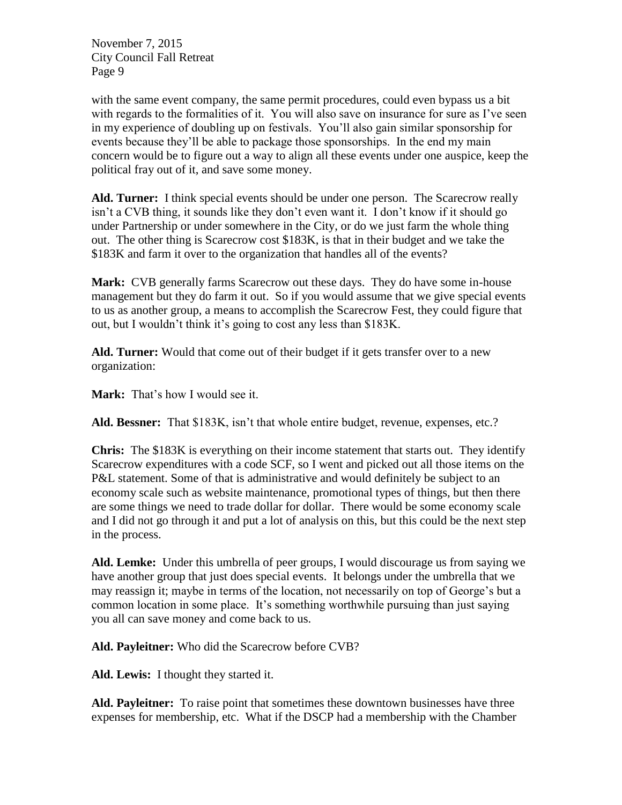with the same event company, the same permit procedures, could even bypass us a bit with regards to the formalities of it. You will also save on insurance for sure as I've seen in my experience of doubling up on festivals. You'll also gain similar sponsorship for events because they'll be able to package those sponsorships. In the end my main concern would be to figure out a way to align all these events under one auspice, keep the political fray out of it, and save some money.

**Ald. Turner:** I think special events should be under one person. The Scarecrow really isn't a CVB thing, it sounds like they don't even want it. I don't know if it should go under Partnership or under somewhere in the City, or do we just farm the whole thing out. The other thing is Scarecrow cost \$183K, is that in their budget and we take the \$183K and farm it over to the organization that handles all of the events?

**Mark:** CVB generally farms Scarecrow out these days. They do have some in-house management but they do farm it out. So if you would assume that we give special events to us as another group, a means to accomplish the Scarecrow Fest, they could figure that out, but I wouldn't think it's going to cost any less than \$183K.

**Ald. Turner:** Would that come out of their budget if it gets transfer over to a new organization:

**Mark:** That's how I would see it.

**Ald. Bessner:** That \$183K, isn't that whole entire budget, revenue, expenses, etc.?

**Chris:** The \$183K is everything on their income statement that starts out. They identify Scarecrow expenditures with a code SCF, so I went and picked out all those items on the P&L statement. Some of that is administrative and would definitely be subject to an economy scale such as website maintenance, promotional types of things, but then there are some things we need to trade dollar for dollar. There would be some economy scale and I did not go through it and put a lot of analysis on this, but this could be the next step in the process.

**Ald. Lemke:** Under this umbrella of peer groups, I would discourage us from saying we have another group that just does special events. It belongs under the umbrella that we may reassign it; maybe in terms of the location, not necessarily on top of George's but a common location in some place. It's something worthwhile pursuing than just saying you all can save money and come back to us.

**Ald. Payleitner:** Who did the Scarecrow before CVB?

**Ald. Lewis:** I thought they started it.

**Ald. Payleitner:** To raise point that sometimes these downtown businesses have three expenses for membership, etc. What if the DSCP had a membership with the Chamber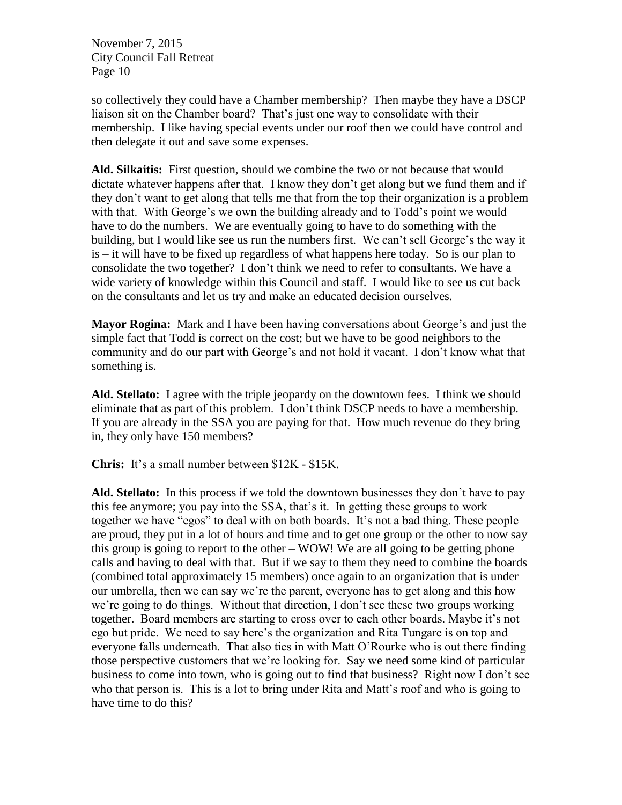so collectively they could have a Chamber membership? Then maybe they have a DSCP liaison sit on the Chamber board? That's just one way to consolidate with their membership. I like having special events under our roof then we could have control and then delegate it out and save some expenses.

**Ald. Silkaitis:** First question, should we combine the two or not because that would dictate whatever happens after that. I know they don't get along but we fund them and if they don't want to get along that tells me that from the top their organization is a problem with that. With George's we own the building already and to Todd's point we would have to do the numbers. We are eventually going to have to do something with the building, but I would like see us run the numbers first. We can't sell George's the way it is – it will have to be fixed up regardless of what happens here today. So is our plan to consolidate the two together? I don't think we need to refer to consultants. We have a wide variety of knowledge within this Council and staff. I would like to see us cut back on the consultants and let us try and make an educated decision ourselves.

**Mayor Rogina:** Mark and I have been having conversations about George's and just the simple fact that Todd is correct on the cost; but we have to be good neighbors to the community and do our part with George's and not hold it vacant. I don't know what that something is.

**Ald. Stellato:** I agree with the triple jeopardy on the downtown fees. I think we should eliminate that as part of this problem. I don't think DSCP needs to have a membership. If you are already in the SSA you are paying for that. How much revenue do they bring in, they only have 150 members?

**Chris:** It's a small number between \$12K - \$15K.

**Ald. Stellato:** In this process if we told the downtown businesses they don't have to pay this fee anymore; you pay into the SSA, that's it. In getting these groups to work together we have "egos" to deal with on both boards. It's not a bad thing. These people are proud, they put in a lot of hours and time and to get one group or the other to now say this group is going to report to the other – WOW! We are all going to be getting phone calls and having to deal with that. But if we say to them they need to combine the boards (combined total approximately 15 members) once again to an organization that is under our umbrella, then we can say we're the parent, everyone has to get along and this how we're going to do things. Without that direction, I don't see these two groups working together. Board members are starting to cross over to each other boards. Maybe it's not ego but pride. We need to say here's the organization and Rita Tungare is on top and everyone falls underneath. That also ties in with Matt O'Rourke who is out there finding those perspective customers that we're looking for. Say we need some kind of particular business to come into town, who is going out to find that business? Right now I don't see who that person is. This is a lot to bring under Rita and Matt's roof and who is going to have time to do this?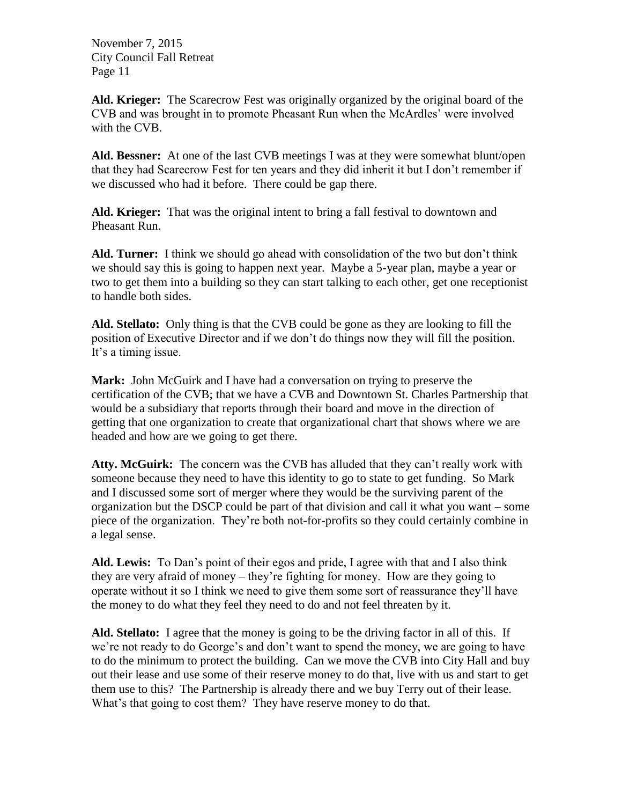**Ald. Krieger:** The Scarecrow Fest was originally organized by the original board of the CVB and was brought in to promote Pheasant Run when the McArdles' were involved with the CVB.

**Ald. Bessner:** At one of the last CVB meetings I was at they were somewhat blunt/open that they had Scarecrow Fest for ten years and they did inherit it but I don't remember if we discussed who had it before. There could be gap there.

**Ald. Krieger:** That was the original intent to bring a fall festival to downtown and Pheasant Run.

**Ald. Turner:** I think we should go ahead with consolidation of the two but don't think we should say this is going to happen next year. Maybe a 5-year plan, maybe a year or two to get them into a building so they can start talking to each other, get one receptionist to handle both sides.

**Ald. Stellato:** Only thing is that the CVB could be gone as they are looking to fill the position of Executive Director and if we don't do things now they will fill the position. It's a timing issue.

**Mark:** John McGuirk and I have had a conversation on trying to preserve the certification of the CVB; that we have a CVB and Downtown St. Charles Partnership that would be a subsidiary that reports through their board and move in the direction of getting that one organization to create that organizational chart that shows where we are headed and how are we going to get there.

**Atty. McGuirk:** The concern was the CVB has alluded that they can't really work with someone because they need to have this identity to go to state to get funding. So Mark and I discussed some sort of merger where they would be the surviving parent of the organization but the DSCP could be part of that division and call it what you want – some piece of the organization. They're both not-for-profits so they could certainly combine in a legal sense.

**Ald. Lewis:** To Dan's point of their egos and pride, I agree with that and I also think they are very afraid of money – they're fighting for money. How are they going to operate without it so I think we need to give them some sort of reassurance they'll have the money to do what they feel they need to do and not feel threaten by it.

**Ald. Stellato:** I agree that the money is going to be the driving factor in all of this. If we're not ready to do George's and don't want to spend the money, we are going to have to do the minimum to protect the building. Can we move the CVB into City Hall and buy out their lease and use some of their reserve money to do that, live with us and start to get them use to this? The Partnership is already there and we buy Terry out of their lease. What's that going to cost them? They have reserve money to do that.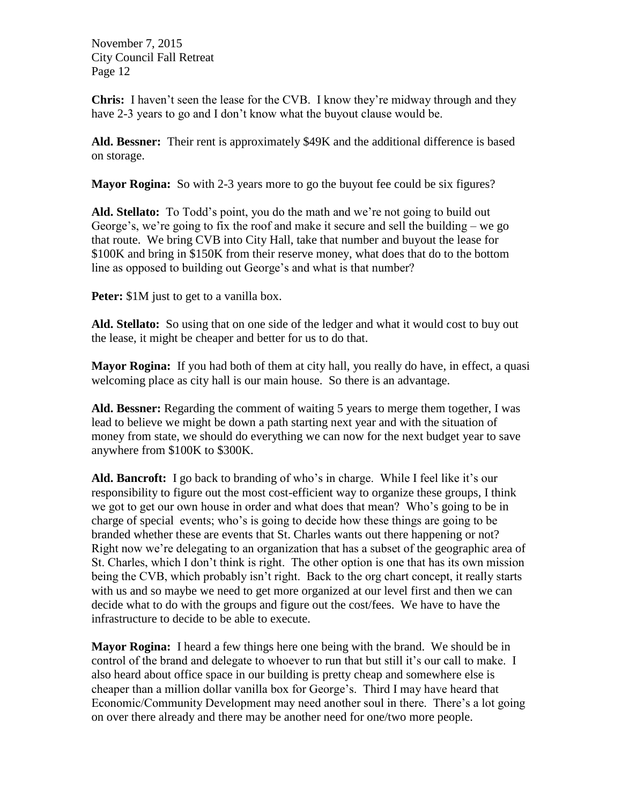**Chris:** I haven't seen the lease for the CVB. I know they're midway through and they have 2-3 years to go and I don't know what the buyout clause would be.

**Ald. Bessner:** Their rent is approximately \$49K and the additional difference is based on storage.

**Mayor Rogina:** So with 2-3 years more to go the buyout fee could be six figures?

**Ald. Stellato:** To Todd's point, you do the math and we're not going to build out George's, we're going to fix the roof and make it secure and sell the building – we go that route. We bring CVB into City Hall, take that number and buyout the lease for \$100K and bring in \$150K from their reserve money, what does that do to the bottom line as opposed to building out George's and what is that number?

Peter:  $$1M$  just to get to a vanilla box.

**Ald. Stellato:** So using that on one side of the ledger and what it would cost to buy out the lease, it might be cheaper and better for us to do that.

**Mayor Rogina:** If you had both of them at city hall, you really do have, in effect, a quasi welcoming place as city hall is our main house. So there is an advantage.

**Ald. Bessner:** Regarding the comment of waiting 5 years to merge them together, I was lead to believe we might be down a path starting next year and with the situation of money from state, we should do everything we can now for the next budget year to save anywhere from \$100K to \$300K.

**Ald. Bancroft:** I go back to branding of who's in charge. While I feel like it's our responsibility to figure out the most cost-efficient way to organize these groups, I think we got to get our own house in order and what does that mean? Who's going to be in charge of special events; who's is going to decide how these things are going to be branded whether these are events that St. Charles wants out there happening or not? Right now we're delegating to an organization that has a subset of the geographic area of St. Charles, which I don't think is right. The other option is one that has its own mission being the CVB, which probably isn't right. Back to the org chart concept, it really starts with us and so maybe we need to get more organized at our level first and then we can decide what to do with the groups and figure out the cost/fees. We have to have the infrastructure to decide to be able to execute.

**Mayor Rogina:** I heard a few things here one being with the brand. We should be in control of the brand and delegate to whoever to run that but still it's our call to make. I also heard about office space in our building is pretty cheap and somewhere else is cheaper than a million dollar vanilla box for George's. Third I may have heard that Economic/Community Development may need another soul in there. There's a lot going on over there already and there may be another need for one/two more people.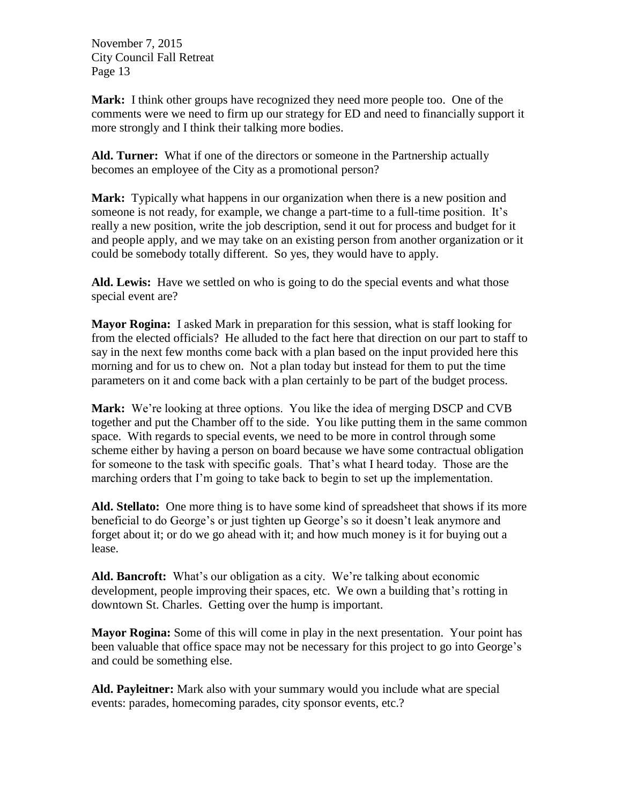**Mark:** I think other groups have recognized they need more people too. One of the comments were we need to firm up our strategy for ED and need to financially support it more strongly and I think their talking more bodies.

**Ald. Turner:** What if one of the directors or someone in the Partnership actually becomes an employee of the City as a promotional person?

**Mark:** Typically what happens in our organization when there is a new position and someone is not ready, for example, we change a part-time to a full-time position. It's really a new position, write the job description, send it out for process and budget for it and people apply, and we may take on an existing person from another organization or it could be somebody totally different. So yes, they would have to apply.

**Ald. Lewis:** Have we settled on who is going to do the special events and what those special event are?

**Mayor Rogina:** I asked Mark in preparation for this session, what is staff looking for from the elected officials? He alluded to the fact here that direction on our part to staff to say in the next few months come back with a plan based on the input provided here this morning and for us to chew on. Not a plan today but instead for them to put the time parameters on it and come back with a plan certainly to be part of the budget process.

**Mark:** We're looking at three options. You like the idea of merging DSCP and CVB together and put the Chamber off to the side. You like putting them in the same common space. With regards to special events, we need to be more in control through some scheme either by having a person on board because we have some contractual obligation for someone to the task with specific goals. That's what I heard today. Those are the marching orders that I'm going to take back to begin to set up the implementation.

**Ald. Stellato:** One more thing is to have some kind of spreadsheet that shows if its more beneficial to do George's or just tighten up George's so it doesn't leak anymore and forget about it; or do we go ahead with it; and how much money is it for buying out a lease.

**Ald. Bancroft:** What's our obligation as a city. We're talking about economic development, people improving their spaces, etc. We own a building that's rotting in downtown St. Charles. Getting over the hump is important.

**Mayor Rogina:** Some of this will come in play in the next presentation. Your point has been valuable that office space may not be necessary for this project to go into George's and could be something else.

**Ald. Payleitner:** Mark also with your summary would you include what are special events: parades, homecoming parades, city sponsor events, etc.?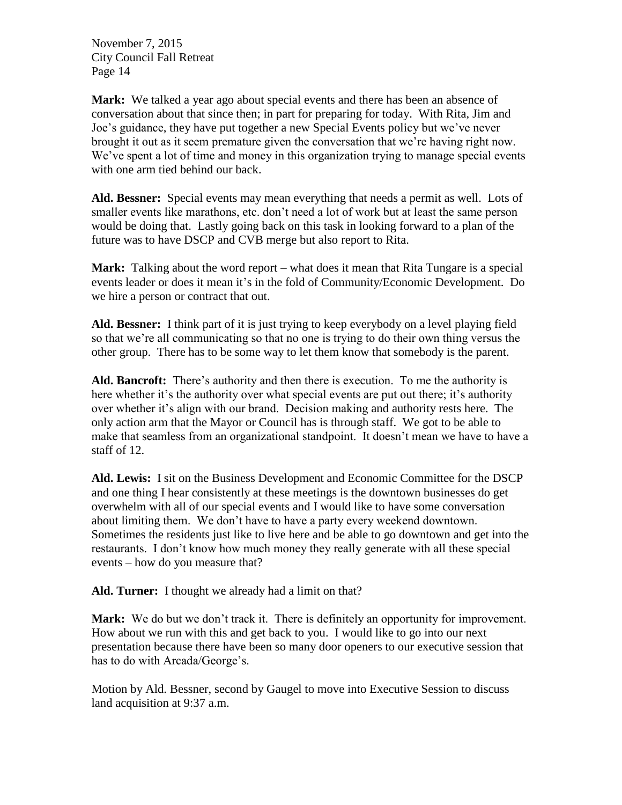**Mark:** We talked a year ago about special events and there has been an absence of conversation about that since then; in part for preparing for today. With Rita, Jim and Joe's guidance, they have put together a new Special Events policy but we've never brought it out as it seem premature given the conversation that we're having right now. We've spent a lot of time and money in this organization trying to manage special events with one arm tied behind our back.

**Ald. Bessner:** Special events may mean everything that needs a permit as well. Lots of smaller events like marathons, etc. don't need a lot of work but at least the same person would be doing that. Lastly going back on this task in looking forward to a plan of the future was to have DSCP and CVB merge but also report to Rita.

**Mark:** Talking about the word report – what does it mean that Rita Tungare is a special events leader or does it mean it's in the fold of Community/Economic Development. Do we hire a person or contract that out.

**Ald. Bessner:** I think part of it is just trying to keep everybody on a level playing field so that we're all communicating so that no one is trying to do their own thing versus the other group. There has to be some way to let them know that somebody is the parent.

**Ald. Bancroft:** There's authority and then there is execution. To me the authority is here whether it's the authority over what special events are put out there; it's authority over whether it's align with our brand. Decision making and authority rests here. The only action arm that the Mayor or Council has is through staff. We got to be able to make that seamless from an organizational standpoint. It doesn't mean we have to have a staff of 12.

**Ald. Lewis:** I sit on the Business Development and Economic Committee for the DSCP and one thing I hear consistently at these meetings is the downtown businesses do get overwhelm with all of our special events and I would like to have some conversation about limiting them. We don't have to have a party every weekend downtown. Sometimes the residents just like to live here and be able to go downtown and get into the restaurants. I don't know how much money they really generate with all these special events – how do you measure that?

**Ald. Turner:** I thought we already had a limit on that?

**Mark:** We do but we don't track it. There is definitely an opportunity for improvement. How about we run with this and get back to you. I would like to go into our next presentation because there have been so many door openers to our executive session that has to do with Arcada/George's.

Motion by Ald. Bessner, second by Gaugel to move into Executive Session to discuss land acquisition at 9:37 a.m.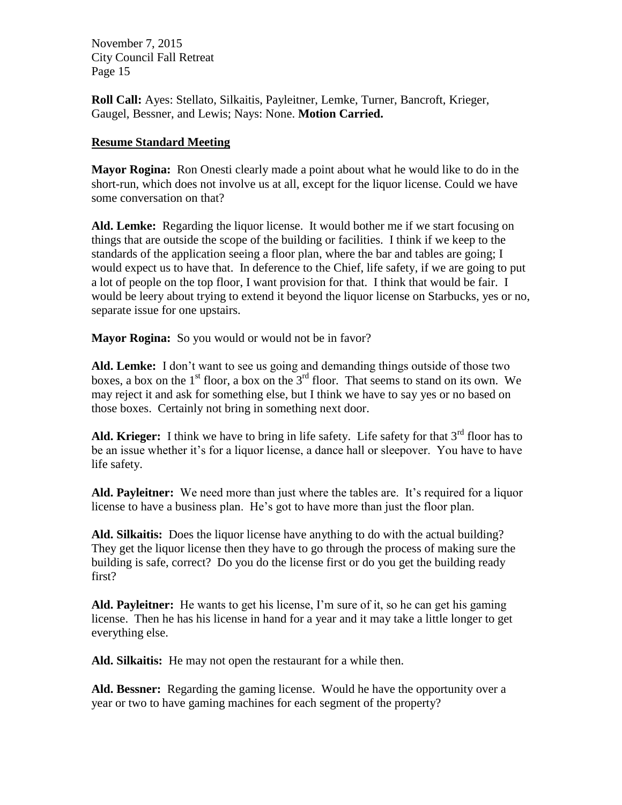**Roll Call:** Ayes: Stellato, Silkaitis, Payleitner, Lemke, Turner, Bancroft, Krieger, Gaugel, Bessner, and Lewis; Nays: None. **Motion Carried.**

#### **Resume Standard Meeting**

**Mayor Rogina:** Ron Onesti clearly made a point about what he would like to do in the short-run, which does not involve us at all, except for the liquor license. Could we have some conversation on that?

**Ald. Lemke:** Regarding the liquor license. It would bother me if we start focusing on things that are outside the scope of the building or facilities. I think if we keep to the standards of the application seeing a floor plan, where the bar and tables are going; I would expect us to have that. In deference to the Chief, life safety, if we are going to put a lot of people on the top floor, I want provision for that. I think that would be fair. I would be leery about trying to extend it beyond the liquor license on Starbucks, yes or no, separate issue for one upstairs.

**Mayor Rogina:** So you would or would not be in favor?

**Ald. Lemke:** I don't want to see us going and demanding things outside of those two boxes, a box on the  $1<sup>st</sup>$  floor, a box on the  $3<sup>rd</sup>$  floor. That seems to stand on its own. We may reject it and ask for something else, but I think we have to say yes or no based on those boxes. Certainly not bring in something next door.

**Ald. Krieger:** I think we have to bring in life safety. Life safety for that  $3<sup>rd</sup>$  floor has to be an issue whether it's for a liquor license, a dance hall or sleepover. You have to have life safety.

**Ald. Payleitner:** We need more than just where the tables are. It's required for a liquor license to have a business plan. He's got to have more than just the floor plan.

**Ald. Silkaitis:** Does the liquor license have anything to do with the actual building? They get the liquor license then they have to go through the process of making sure the building is safe, correct? Do you do the license first or do you get the building ready first?

**Ald. Payleitner:** He wants to get his license, I'm sure of it, so he can get his gaming license. Then he has his license in hand for a year and it may take a little longer to get everything else.

**Ald. Silkaitis:** He may not open the restaurant for a while then.

**Ald. Bessner:** Regarding the gaming license. Would he have the opportunity over a year or two to have gaming machines for each segment of the property?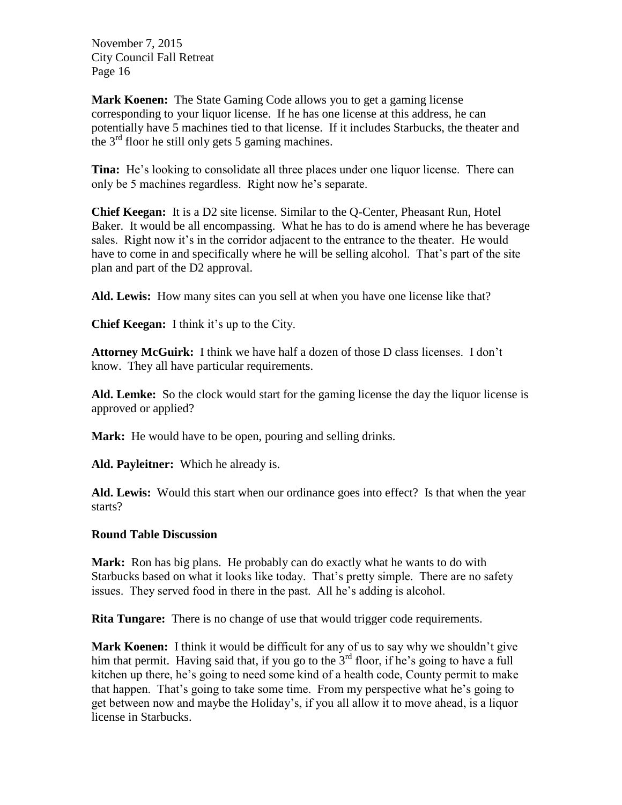**Mark Koenen:** The State Gaming Code allows you to get a gaming license corresponding to your liquor license. If he has one license at this address, he can potentially have 5 machines tied to that license. If it includes Starbucks, the theater and the  $3<sup>rd</sup>$  floor he still only gets 5 gaming machines.

**Tina:** He's looking to consolidate all three places under one liquor license. There can only be 5 machines regardless. Right now he's separate.

**Chief Keegan:** It is a D2 site license. Similar to the Q-Center, Pheasant Run, Hotel Baker. It would be all encompassing. What he has to do is amend where he has beverage sales. Right now it's in the corridor adjacent to the entrance to the theater. He would have to come in and specifically where he will be selling alcohol. That's part of the site plan and part of the D2 approval.

**Ald. Lewis:** How many sites can you sell at when you have one license like that?

**Chief Keegan:** I think it's up to the City.

**Attorney McGuirk:** I think we have half a dozen of those D class licenses. I don't know. They all have particular requirements.

**Ald. Lemke:** So the clock would start for the gaming license the day the liquor license is approved or applied?

**Mark:** He would have to be open, pouring and selling drinks.

**Ald. Payleitner:** Which he already is.

**Ald. Lewis:** Would this start when our ordinance goes into effect? Is that when the year starts?

#### **Round Table Discussion**

**Mark:** Ron has big plans. He probably can do exactly what he wants to do with Starbucks based on what it looks like today. That's pretty simple. There are no safety issues. They served food in there in the past. All he's adding is alcohol.

**Rita Tungare:** There is no change of use that would trigger code requirements.

**Mark Koenen:** I think it would be difficult for any of us to say why we shouldn't give him that permit. Having said that, if you go to the  $3<sup>rd</sup>$  floor, if he's going to have a full kitchen up there, he's going to need some kind of a health code, County permit to make that happen. That's going to take some time. From my perspective what he's going to get between now and maybe the Holiday's, if you all allow it to move ahead, is a liquor license in Starbucks.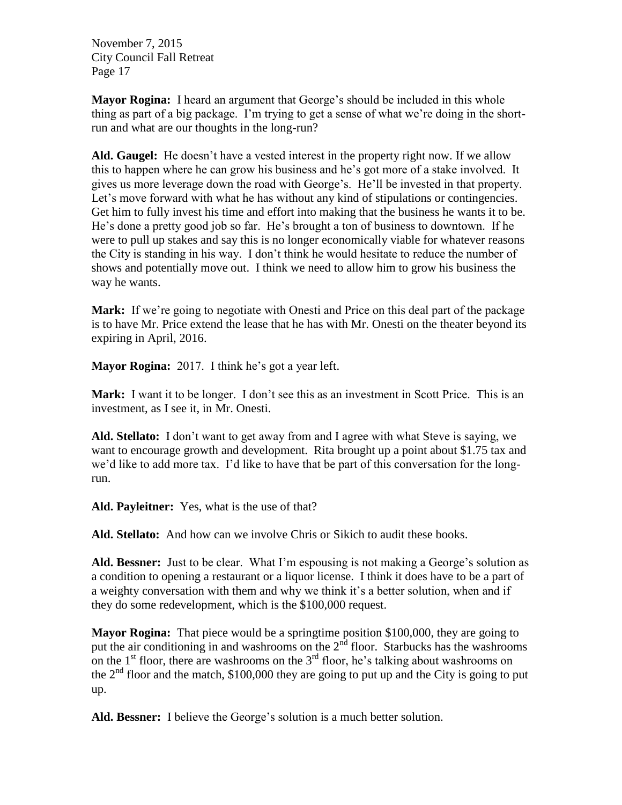**Mayor Rogina:** I heard an argument that George's should be included in this whole thing as part of a big package. I'm trying to get a sense of what we're doing in the shortrun and what are our thoughts in the long-run?

**Ald. Gaugel:** He doesn't have a vested interest in the property right now. If we allow this to happen where he can grow his business and he's got more of a stake involved. It gives us more leverage down the road with George's. He'll be invested in that property. Let's move forward with what he has without any kind of stipulations or contingencies. Get him to fully invest his time and effort into making that the business he wants it to be. He's done a pretty good job so far. He's brought a ton of business to downtown. If he were to pull up stakes and say this is no longer economically viable for whatever reasons the City is standing in his way. I don't think he would hesitate to reduce the number of shows and potentially move out. I think we need to allow him to grow his business the way he wants.

**Mark:** If we're going to negotiate with Onesti and Price on this deal part of the package is to have Mr. Price extend the lease that he has with Mr. Onesti on the theater beyond its expiring in April, 2016.

**Mayor Rogina:** 2017. I think he's got a year left.

Mark: I want it to be longer. I don't see this as an investment in Scott Price. This is an investment, as I see it, in Mr. Onesti.

**Ald. Stellato:** I don't want to get away from and I agree with what Steve is saying, we want to encourage growth and development. Rita brought up a point about \$1.75 tax and we'd like to add more tax. I'd like to have that be part of this conversation for the longrun.

**Ald. Payleitner:** Yes, what is the use of that?

**Ald. Stellato:** And how can we involve Chris or Sikich to audit these books.

Ald. Bessner: Just to be clear. What I'm espousing is not making a George's solution as a condition to opening a restaurant or a liquor license. I think it does have to be a part of a weighty conversation with them and why we think it's a better solution, when and if they do some redevelopment, which is the \$100,000 request.

**Mayor Rogina:** That piece would be a springtime position \$100,000, they are going to put the air conditioning in and washrooms on the  $2<sup>nd</sup>$  floor. Starbucks has the washrooms on the  $1<sup>st</sup>$  floor, there are washrooms on the  $3<sup>rd</sup>$  floor, he's talking about washrooms on the  $2<sup>nd</sup>$  floor and the match, \$100,000 they are going to put up and the City is going to put up.

**Ald. Bessner:** I believe the George's solution is a much better solution.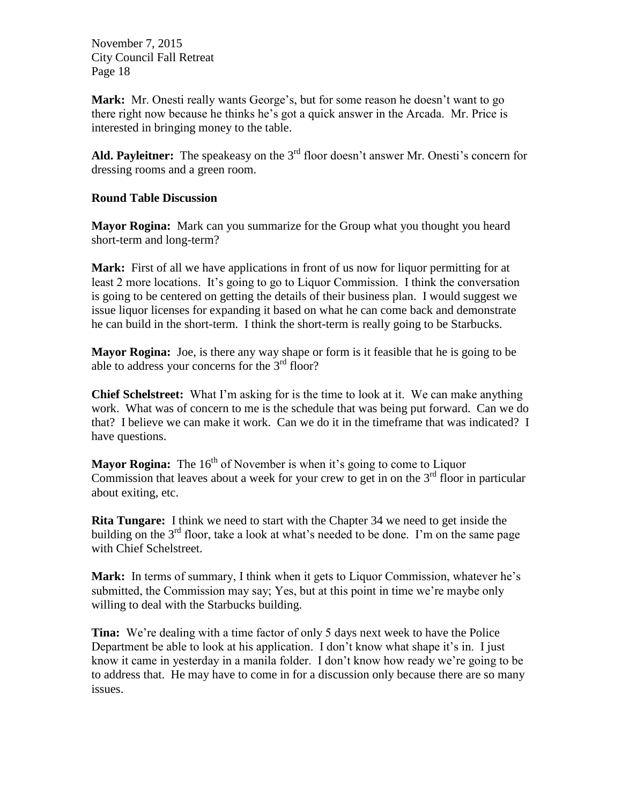**Mark:** Mr. Onesti really wants George's, but for some reason he doesn't want to go there right now because he thinks he's got a quick answer in the Arcada. Mr. Price is interested in bringing money to the table.

Ald. Payleitner: The speakeasy on the 3<sup>rd</sup> floor doesn't answer Mr. Onesti's concern for dressing rooms and a green room.

#### **Round Table Discussion**

**Mayor Rogina:** Mark can you summarize for the Group what you thought you heard short-term and long-term?

**Mark:** First of all we have applications in front of us now for liquor permitting for at least 2 more locations. It's going to go to Liquor Commission. I think the conversation is going to be centered on getting the details of their business plan. I would suggest we issue liquor licenses for expanding it based on what he can come back and demonstrate he can build in the short-term. I think the short-term is really going to be Starbucks.

**Mayor Rogina:** Joe, is there any way shape or form is it feasible that he is going to be able to address your concerns for the 3<sup>rd</sup> floor?

**Chief Schelstreet:** What I'm asking for is the time to look at it. We can make anything work. What was of concern to me is the schedule that was being put forward. Can we do that? I believe we can make it work. Can we do it in the timeframe that was indicated? I have questions.

**Mayor Rogina:** The  $16<sup>th</sup>$  of November is when it's going to come to Liquor Commission that leaves about a week for your crew to get in on the  $3<sup>rd</sup>$  floor in particular about exiting, etc.

**Rita Tungare:** I think we need to start with the Chapter 34 we need to get inside the building on the  $3<sup>rd</sup>$  floor, take a look at what's needed to be done. I'm on the same page with Chief Schelstreet.

**Mark:** In terms of summary, I think when it gets to Liquor Commission, whatever he's submitted, the Commission may say; Yes, but at this point in time we're maybe only willing to deal with the Starbucks building.

**Tina:** We're dealing with a time factor of only 5 days next week to have the Police Department be able to look at his application. I don't know what shape it's in. I just know it came in yesterday in a manila folder. I don't know how ready we're going to be to address that. He may have to come in for a discussion only because there are so many issues.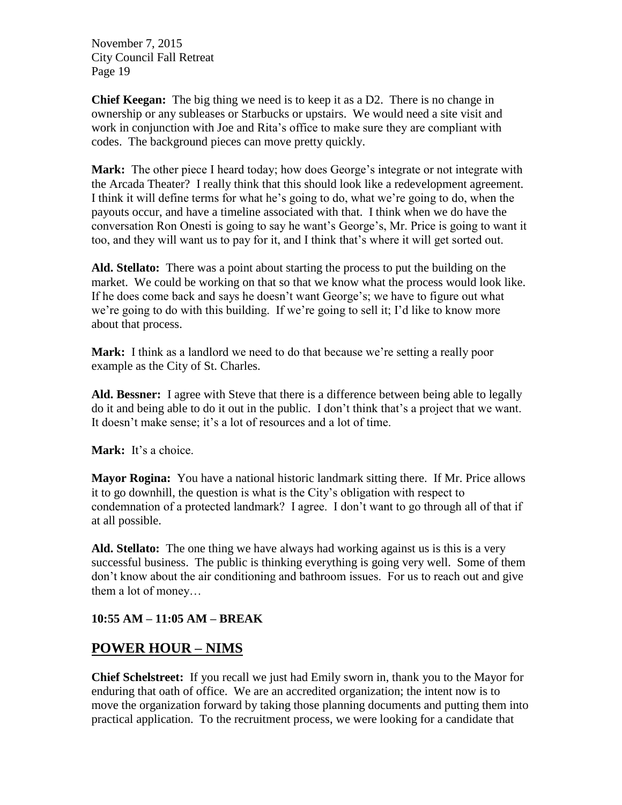**Chief Keegan:** The big thing we need is to keep it as a D2. There is no change in ownership or any subleases or Starbucks or upstairs. We would need a site visit and work in conjunction with Joe and Rita's office to make sure they are compliant with codes. The background pieces can move pretty quickly.

**Mark:** The other piece I heard today; how does George's integrate or not integrate with the Arcada Theater? I really think that this should look like a redevelopment agreement. I think it will define terms for what he's going to do, what we're going to do, when the payouts occur, and have a timeline associated with that. I think when we do have the conversation Ron Onesti is going to say he want's George's, Mr. Price is going to want it too, and they will want us to pay for it, and I think that's where it will get sorted out.

**Ald. Stellato:** There was a point about starting the process to put the building on the market. We could be working on that so that we know what the process would look like. If he does come back and says he doesn't want George's; we have to figure out what we're going to do with this building. If we're going to sell it; I'd like to know more about that process.

**Mark:** I think as a landlord we need to do that because we're setting a really poor example as the City of St. Charles.

**Ald. Bessner:** I agree with Steve that there is a difference between being able to legally do it and being able to do it out in the public. I don't think that's a project that we want. It doesn't make sense; it's a lot of resources and a lot of time.

Mark: It's a choice.

**Mayor Rogina:** You have a national historic landmark sitting there. If Mr. Price allows it to go downhill, the question is what is the City's obligation with respect to condemnation of a protected landmark? I agree. I don't want to go through all of that if at all possible.

**Ald. Stellato:** The one thing we have always had working against us is this is a very successful business. The public is thinking everything is going very well. Some of them don't know about the air conditioning and bathroom issues. For us to reach out and give them a lot of money…

#### **10:55 AM – 11:05 AM – BREAK**

### **POWER HOUR – NIMS**

**Chief Schelstreet:** If you recall we just had Emily sworn in, thank you to the Mayor for enduring that oath of office. We are an accredited organization; the intent now is to move the organization forward by taking those planning documents and putting them into practical application. To the recruitment process, we were looking for a candidate that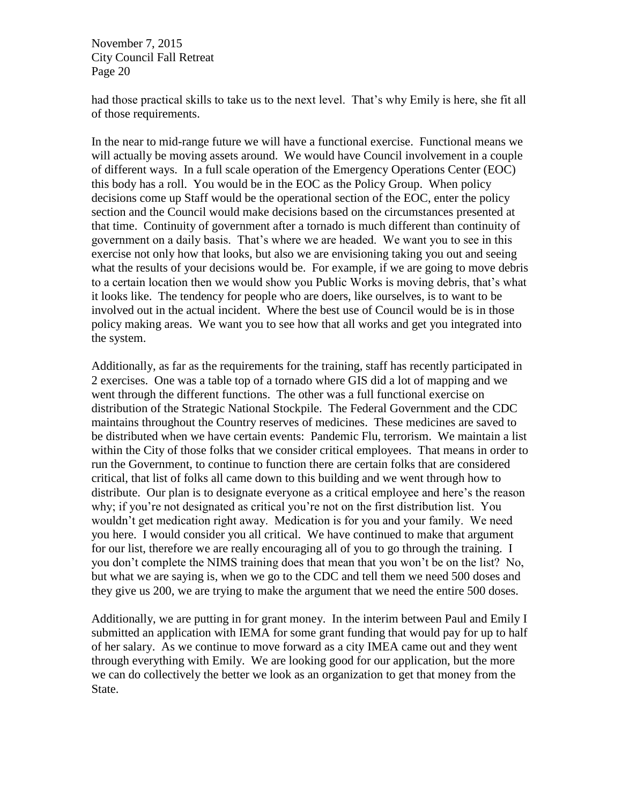had those practical skills to take us to the next level. That's why Emily is here, she fit all of those requirements.

In the near to mid-range future we will have a functional exercise. Functional means we will actually be moving assets around. We would have Council involvement in a couple of different ways. In a full scale operation of the Emergency Operations Center (EOC) this body has a roll. You would be in the EOC as the Policy Group. When policy decisions come up Staff would be the operational section of the EOC, enter the policy section and the Council would make decisions based on the circumstances presented at that time. Continuity of government after a tornado is much different than continuity of government on a daily basis. That's where we are headed. We want you to see in this exercise not only how that looks, but also we are envisioning taking you out and seeing what the results of your decisions would be. For example, if we are going to move debris to a certain location then we would show you Public Works is moving debris, that's what it looks like. The tendency for people who are doers, like ourselves, is to want to be involved out in the actual incident. Where the best use of Council would be is in those policy making areas. We want you to see how that all works and get you integrated into the system.

Additionally, as far as the requirements for the training, staff has recently participated in 2 exercises. One was a table top of a tornado where GIS did a lot of mapping and we went through the different functions. The other was a full functional exercise on distribution of the Strategic National Stockpile. The Federal Government and the CDC maintains throughout the Country reserves of medicines. These medicines are saved to be distributed when we have certain events: Pandemic Flu, terrorism. We maintain a list within the City of those folks that we consider critical employees. That means in order to run the Government, to continue to function there are certain folks that are considered critical, that list of folks all came down to this building and we went through how to distribute. Our plan is to designate everyone as a critical employee and here's the reason why; if you're not designated as critical you're not on the first distribution list. You wouldn't get medication right away. Medication is for you and your family. We need you here. I would consider you all critical. We have continued to make that argument for our list, therefore we are really encouraging all of you to go through the training. I you don't complete the NIMS training does that mean that you won't be on the list? No, but what we are saying is, when we go to the CDC and tell them we need 500 doses and they give us 200, we are trying to make the argument that we need the entire 500 doses.

Additionally, we are putting in for grant money. In the interim between Paul and Emily I submitted an application with IEMA for some grant funding that would pay for up to half of her salary. As we continue to move forward as a city IMEA came out and they went through everything with Emily. We are looking good for our application, but the more we can do collectively the better we look as an organization to get that money from the State.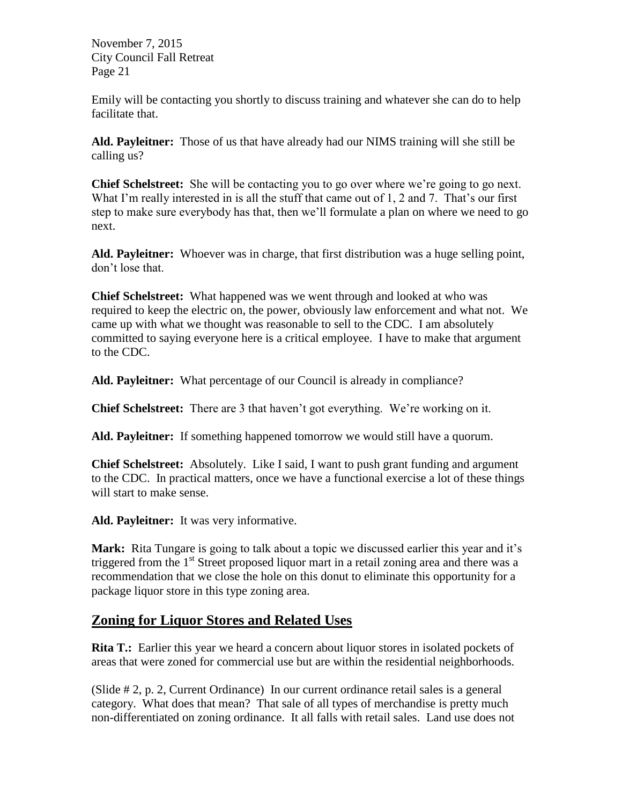Emily will be contacting you shortly to discuss training and whatever she can do to help facilitate that.

**Ald. Payleitner:** Those of us that have already had our NIMS training will she still be calling us?

**Chief Schelstreet:** She will be contacting you to go over where we're going to go next. What I'm really interested in is all the stuff that came out of 1, 2 and 7. That's our first step to make sure everybody has that, then we'll formulate a plan on where we need to go next.

**Ald. Payleitner:** Whoever was in charge, that first distribution was a huge selling point, don't lose that.

**Chief Schelstreet:** What happened was we went through and looked at who was required to keep the electric on, the power, obviously law enforcement and what not. We came up with what we thought was reasonable to sell to the CDC. I am absolutely committed to saying everyone here is a critical employee. I have to make that argument to the CDC.

**Ald. Payleitner:** What percentage of our Council is already in compliance?

**Chief Schelstreet:** There are 3 that haven't got everything. We're working on it.

**Ald. Payleitner:** If something happened tomorrow we would still have a quorum.

**Chief Schelstreet:** Absolutely. Like I said, I want to push grant funding and argument to the CDC. In practical matters, once we have a functional exercise a lot of these things will start to make sense.

Ald. Payleitner: It was very informative.

Mark: Rita Tungare is going to talk about a topic we discussed earlier this year and it's triggered from the  $1<sup>st</sup>$  Street proposed liquor mart in a retail zoning area and there was a recommendation that we close the hole on this donut to eliminate this opportunity for a package liquor store in this type zoning area.

### **Zoning for Liquor Stores and Related Uses**

**Rita T.:** Earlier this year we heard a concern about liquor stores in isolated pockets of areas that were zoned for commercial use but are within the residential neighborhoods.

(Slide # 2, p. 2, Current Ordinance) In our current ordinance retail sales is a general category. What does that mean? That sale of all types of merchandise is pretty much non-differentiated on zoning ordinance. It all falls with retail sales. Land use does not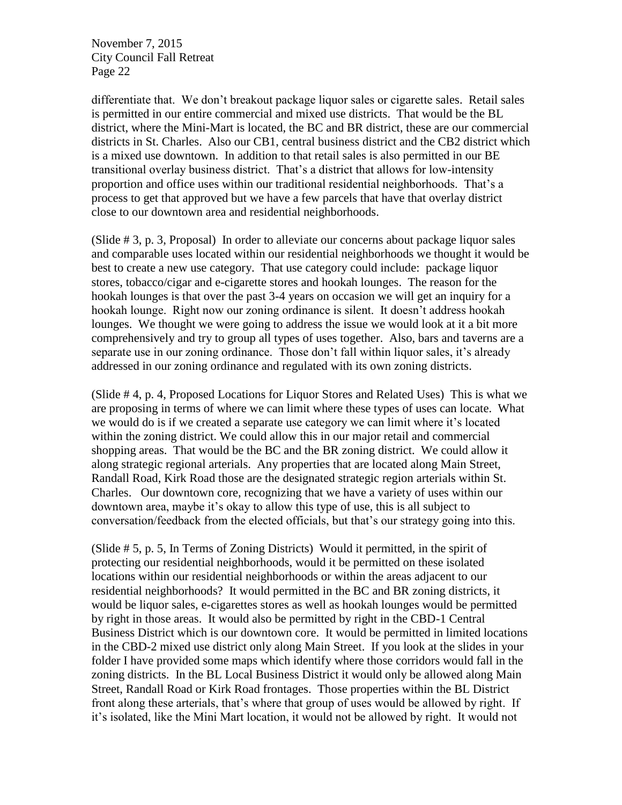differentiate that. We don't breakout package liquor sales or cigarette sales. Retail sales is permitted in our entire commercial and mixed use districts. That would be the BL district, where the Mini-Mart is located, the BC and BR district, these are our commercial districts in St. Charles. Also our CB1, central business district and the CB2 district which is a mixed use downtown. In addition to that retail sales is also permitted in our BE transitional overlay business district. That's a district that allows for low-intensity proportion and office uses within our traditional residential neighborhoods. That's a process to get that approved but we have a few parcels that have that overlay district close to our downtown area and residential neighborhoods.

(Slide # 3, p. 3, Proposal) In order to alleviate our concerns about package liquor sales and comparable uses located within our residential neighborhoods we thought it would be best to create a new use category. That use category could include: package liquor stores, tobacco/cigar and e-cigarette stores and hookah lounges. The reason for the hookah lounges is that over the past 3-4 years on occasion we will get an inquiry for a hookah lounge. Right now our zoning ordinance is silent. It doesn't address hookah lounges. We thought we were going to address the issue we would look at it a bit more comprehensively and try to group all types of uses together. Also, bars and taverns are a separate use in our zoning ordinance. Those don't fall within liquor sales, it's already addressed in our zoning ordinance and regulated with its own zoning districts.

(Slide # 4, p. 4, Proposed Locations for Liquor Stores and Related Uses) This is what we are proposing in terms of where we can limit where these types of uses can locate. What we would do is if we created a separate use category we can limit where it's located within the zoning district. We could allow this in our major retail and commercial shopping areas. That would be the BC and the BR zoning district. We could allow it along strategic regional arterials. Any properties that are located along Main Street, Randall Road, Kirk Road those are the designated strategic region arterials within St. Charles. Our downtown core, recognizing that we have a variety of uses within our downtown area, maybe it's okay to allow this type of use, this is all subject to conversation/feedback from the elected officials, but that's our strategy going into this.

(Slide # 5, p. 5, In Terms of Zoning Districts) Would it permitted, in the spirit of protecting our residential neighborhoods, would it be permitted on these isolated locations within our residential neighborhoods or within the areas adjacent to our residential neighborhoods? It would permitted in the BC and BR zoning districts, it would be liquor sales, e-cigarettes stores as well as hookah lounges would be permitted by right in those areas. It would also be permitted by right in the CBD-1 Central Business District which is our downtown core. It would be permitted in limited locations in the CBD-2 mixed use district only along Main Street. If you look at the slides in your folder I have provided some maps which identify where those corridors would fall in the zoning districts. In the BL Local Business District it would only be allowed along Main Street, Randall Road or Kirk Road frontages. Those properties within the BL District front along these arterials, that's where that group of uses would be allowed by right. If it's isolated, like the Mini Mart location, it would not be allowed by right. It would not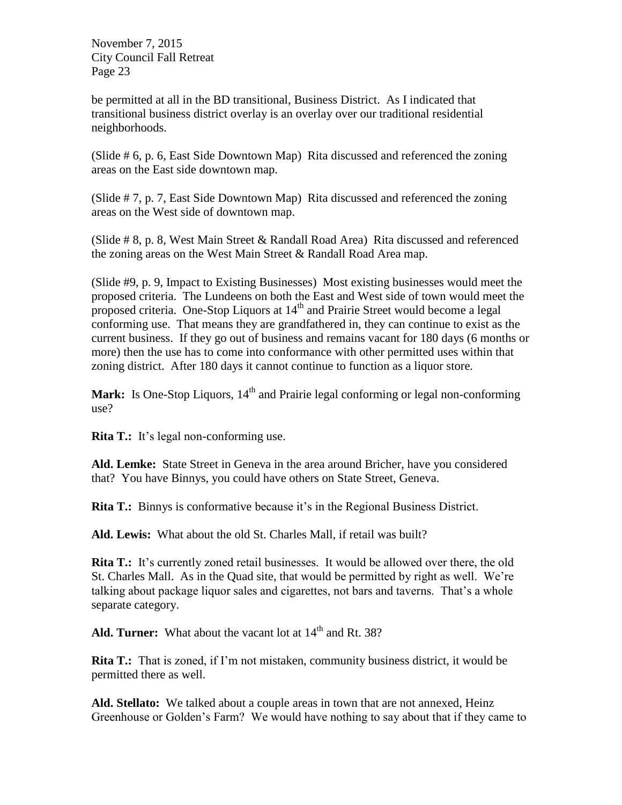be permitted at all in the BD transitional, Business District. As I indicated that transitional business district overlay is an overlay over our traditional residential neighborhoods.

(Slide # 6, p. 6, East Side Downtown Map) Rita discussed and referenced the zoning areas on the East side downtown map.

(Slide # 7, p. 7, East Side Downtown Map) Rita discussed and referenced the zoning areas on the West side of downtown map.

(Slide # 8, p. 8, West Main Street & Randall Road Area) Rita discussed and referenced the zoning areas on the West Main Street & Randall Road Area map.

(Slide #9, p. 9, Impact to Existing Businesses) Most existing businesses would meet the proposed criteria. The Lundeens on both the East and West side of town would meet the proposed criteria. One-Stop Liquors at  $14<sup>th</sup>$  and Prairie Street would become a legal conforming use. That means they are grandfathered in, they can continue to exist as the current business. If they go out of business and remains vacant for 180 days (6 months or more) then the use has to come into conformance with other permitted uses within that zoning district. After 180 days it cannot continue to function as a liquor store.

**Mark:** Is One-Stop Liquors, 14<sup>th</sup> and Prairie legal conforming or legal non-conforming use?

**Rita T.:** It's legal non-conforming use.

**Ald. Lemke:** State Street in Geneva in the area around Bricher, have you considered that? You have Binnys, you could have others on State Street, Geneva.

**Rita T.:** Binnys is conformative because it's in the Regional Business District.

**Ald. Lewis:** What about the old St. Charles Mall, if retail was built?

**Rita T.:** It's currently zoned retail businesses. It would be allowed over there, the old St. Charles Mall. As in the Quad site, that would be permitted by right as well. We're talking about package liquor sales and cigarettes, not bars and taverns. That's a whole separate category.

Ald. Turner: What about the vacant lot at 14<sup>th</sup> and Rt. 38?

**Rita T.:** That is zoned, if I'm not mistaken, community business district, it would be permitted there as well.

**Ald. Stellato:** We talked about a couple areas in town that are not annexed, Heinz Greenhouse or Golden's Farm? We would have nothing to say about that if they came to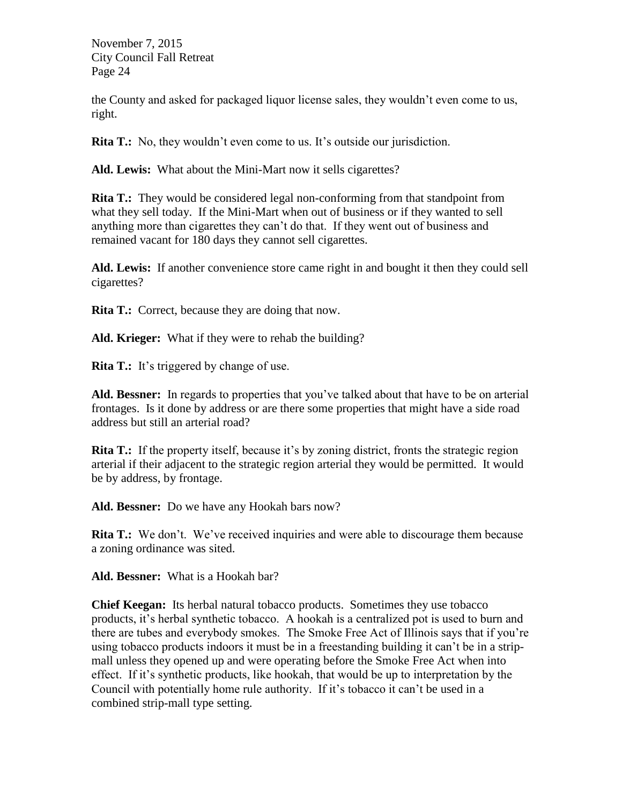the County and asked for packaged liquor license sales, they wouldn't even come to us, right.

**Rita T.:** No, they wouldn't even come to us. It's outside our jurisdiction.

**Ald. Lewis:** What about the Mini-Mart now it sells cigarettes?

**Rita T.:** They would be considered legal non-conforming from that standpoint from what they sell today. If the Mini-Mart when out of business or if they wanted to sell anything more than cigarettes they can't do that. If they went out of business and remained vacant for 180 days they cannot sell cigarettes.

**Ald. Lewis:** If another convenience store came right in and bought it then they could sell cigarettes?

**Rita T.:** Correct, because they are doing that now.

**Ald. Krieger:** What if they were to rehab the building?

**Rita T.:** It's triggered by change of use.

Ald. Bessner: In regards to properties that you've talked about that have to be on arterial frontages. Is it done by address or are there some properties that might have a side road address but still an arterial road?

**Rita T.:** If the property itself, because it's by zoning district, fronts the strategic region arterial if their adjacent to the strategic region arterial they would be permitted. It would be by address, by frontage.

**Ald. Bessner:** Do we have any Hookah bars now?

**Rita T.:** We don't. We've received inquiries and were able to discourage them because a zoning ordinance was sited.

**Ald. Bessner:** What is a Hookah bar?

**Chief Keegan:** Its herbal natural tobacco products. Sometimes they use tobacco products, it's herbal synthetic tobacco. A hookah is a centralized pot is used to burn and there are tubes and everybody smokes. The Smoke Free Act of Illinois says that if you're using tobacco products indoors it must be in a freestanding building it can't be in a stripmall unless they opened up and were operating before the Smoke Free Act when into effect. If it's synthetic products, like hookah, that would be up to interpretation by the Council with potentially home rule authority. If it's tobacco it can't be used in a combined strip-mall type setting.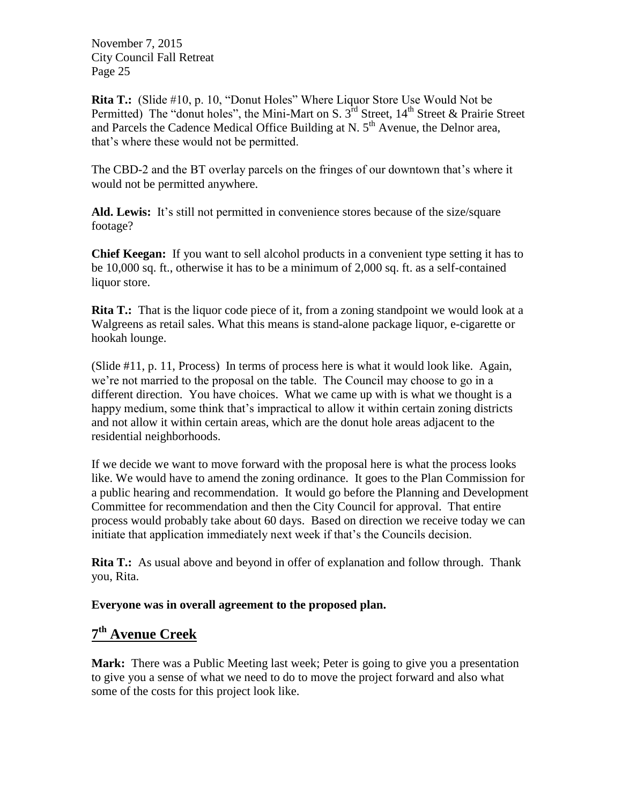**Rita T.:** (Slide #10, p. 10, "Donut Holes" Where Liquor Store Use Would Not be Permitted) The "donut holes", the Mini-Mart on S.  $3^{rd}$  Street,  $14^{th}$  Street & Prairie Street and Parcels the Cadence Medical Office Building at N. 5<sup>th</sup> Avenue, the Delnor area, that's where these would not be permitted.

The CBD-2 and the BT overlay parcels on the fringes of our downtown that's where it would not be permitted anywhere.

**Ald. Lewis:** It's still not permitted in convenience stores because of the size/square footage?

**Chief Keegan:** If you want to sell alcohol products in a convenient type setting it has to be 10,000 sq. ft., otherwise it has to be a minimum of 2,000 sq. ft. as a self-contained liquor store.

**Rita T.:** That is the liquor code piece of it, from a zoning standpoint we would look at a Walgreens as retail sales. What this means is stand-alone package liquor, e-cigarette or hookah lounge.

(Slide #11, p. 11, Process) In terms of process here is what it would look like. Again, we're not married to the proposal on the table. The Council may choose to go in a different direction. You have choices. What we came up with is what we thought is a happy medium, some think that's impractical to allow it within certain zoning districts and not allow it within certain areas, which are the donut hole areas adjacent to the residential neighborhoods.

If we decide we want to move forward with the proposal here is what the process looks like. We would have to amend the zoning ordinance. It goes to the Plan Commission for a public hearing and recommendation. It would go before the Planning and Development Committee for recommendation and then the City Council for approval. That entire process would probably take about 60 days. Based on direction we receive today we can initiate that application immediately next week if that's the Councils decision.

**Rita T.:** As usual above and beyond in offer of explanation and follow through. Thank you, Rita.

#### **Everyone was in overall agreement to the proposed plan.**

# **7 th Avenue Creek**

**Mark:** There was a Public Meeting last week; Peter is going to give you a presentation to give you a sense of what we need to do to move the project forward and also what some of the costs for this project look like.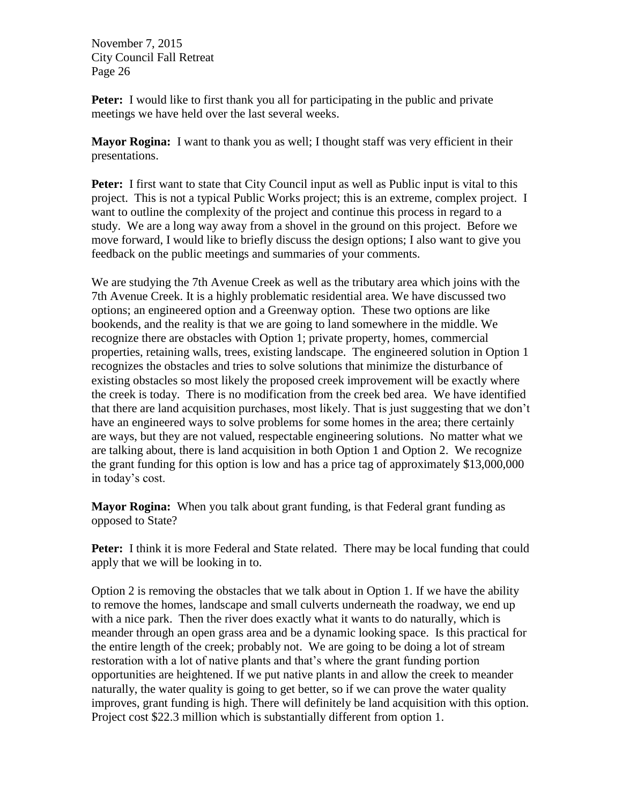**Peter:** I would like to first thank you all for participating in the public and private meetings we have held over the last several weeks.

**Mayor Rogina:** I want to thank you as well; I thought staff was very efficient in their presentations.

**Peter:** I first want to state that City Council input as well as Public input is vital to this project. This is not a typical Public Works project; this is an extreme, complex project. I want to outline the complexity of the project and continue this process in regard to a study. We are a long way away from a shovel in the ground on this project. Before we move forward, I would like to briefly discuss the design options; I also want to give you feedback on the public meetings and summaries of your comments.

We are studying the 7th Avenue Creek as well as the tributary area which joins with the 7th Avenue Creek. It is a highly problematic residential area. We have discussed two options; an engineered option and a Greenway option. These two options are like bookends, and the reality is that we are going to land somewhere in the middle. We recognize there are obstacles with Option 1; private property, homes, commercial properties, retaining walls, trees, existing landscape. The engineered solution in Option 1 recognizes the obstacles and tries to solve solutions that minimize the disturbance of existing obstacles so most likely the proposed creek improvement will be exactly where the creek is today. There is no modification from the creek bed area. We have identified that there are land acquisition purchases, most likely. That is just suggesting that we don't have an engineered ways to solve problems for some homes in the area; there certainly are ways, but they are not valued, respectable engineering solutions. No matter what we are talking about, there is land acquisition in both Option 1 and Option 2. We recognize the grant funding for this option is low and has a price tag of approximately \$13,000,000 in today's cost.

**Mayor Rogina:** When you talk about grant funding, is that Federal grant funding as opposed to State?

Peter: I think it is more Federal and State related. There may be local funding that could apply that we will be looking in to.

Option 2 is removing the obstacles that we talk about in Option 1. If we have the ability to remove the homes, landscape and small culverts underneath the roadway, we end up with a nice park. Then the river does exactly what it wants to do naturally, which is meander through an open grass area and be a dynamic looking space. Is this practical for the entire length of the creek; probably not. We are going to be doing a lot of stream restoration with a lot of native plants and that's where the grant funding portion opportunities are heightened. If we put native plants in and allow the creek to meander naturally, the water quality is going to get better, so if we can prove the water quality improves, grant funding is high. There will definitely be land acquisition with this option. Project cost \$22.3 million which is substantially different from option 1.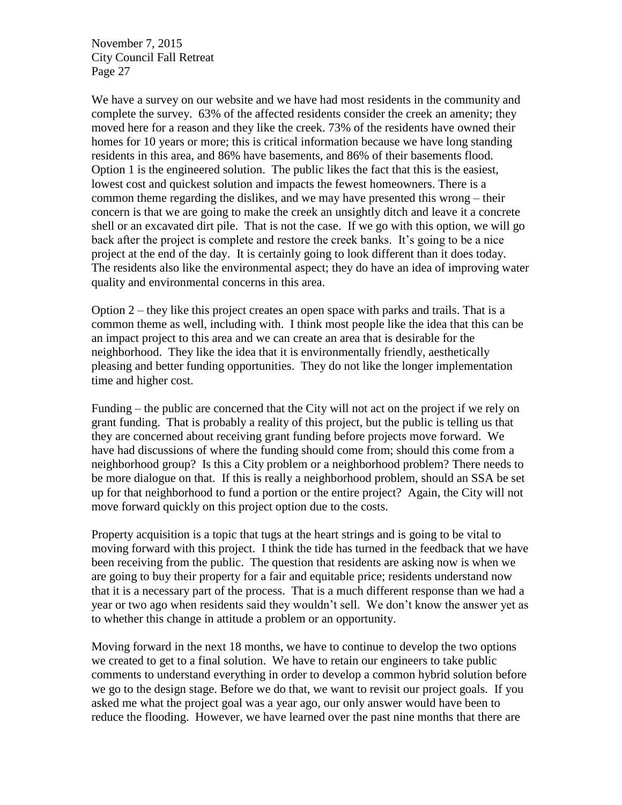We have a survey on our website and we have had most residents in the community and complete the survey. 63% of the affected residents consider the creek an amenity; they moved here for a reason and they like the creek. 73% of the residents have owned their homes for 10 years or more; this is critical information because we have long standing residents in this area, and 86% have basements, and 86% of their basements flood. Option 1 is the engineered solution. The public likes the fact that this is the easiest, lowest cost and quickest solution and impacts the fewest homeowners. There is a common theme regarding the dislikes, and we may have presented this wrong – their concern is that we are going to make the creek an unsightly ditch and leave it a concrete shell or an excavated dirt pile. That is not the case. If we go with this option, we will go back after the project is complete and restore the creek banks. It's going to be a nice project at the end of the day. It is certainly going to look different than it does today. The residents also like the environmental aspect; they do have an idea of improving water quality and environmental concerns in this area.

Option  $2$  – they like this project creates an open space with parks and trails. That is a common theme as well, including with. I think most people like the idea that this can be an impact project to this area and we can create an area that is desirable for the neighborhood. They like the idea that it is environmentally friendly, aesthetically pleasing and better funding opportunities. They do not like the longer implementation time and higher cost.

Funding – the public are concerned that the City will not act on the project if we rely on grant funding. That is probably a reality of this project, but the public is telling us that they are concerned about receiving grant funding before projects move forward. We have had discussions of where the funding should come from; should this come from a neighborhood group? Is this a City problem or a neighborhood problem? There needs to be more dialogue on that. If this is really a neighborhood problem, should an SSA be set up for that neighborhood to fund a portion or the entire project? Again, the City will not move forward quickly on this project option due to the costs.

Property acquisition is a topic that tugs at the heart strings and is going to be vital to moving forward with this project. I think the tide has turned in the feedback that we have been receiving from the public. The question that residents are asking now is when we are going to buy their property for a fair and equitable price; residents understand now that it is a necessary part of the process. That is a much different response than we had a year or two ago when residents said they wouldn't sell. We don't know the answer yet as to whether this change in attitude a problem or an opportunity.

Moving forward in the next 18 months, we have to continue to develop the two options we created to get to a final solution. We have to retain our engineers to take public comments to understand everything in order to develop a common hybrid solution before we go to the design stage. Before we do that, we want to revisit our project goals. If you asked me what the project goal was a year ago, our only answer would have been to reduce the flooding. However, we have learned over the past nine months that there are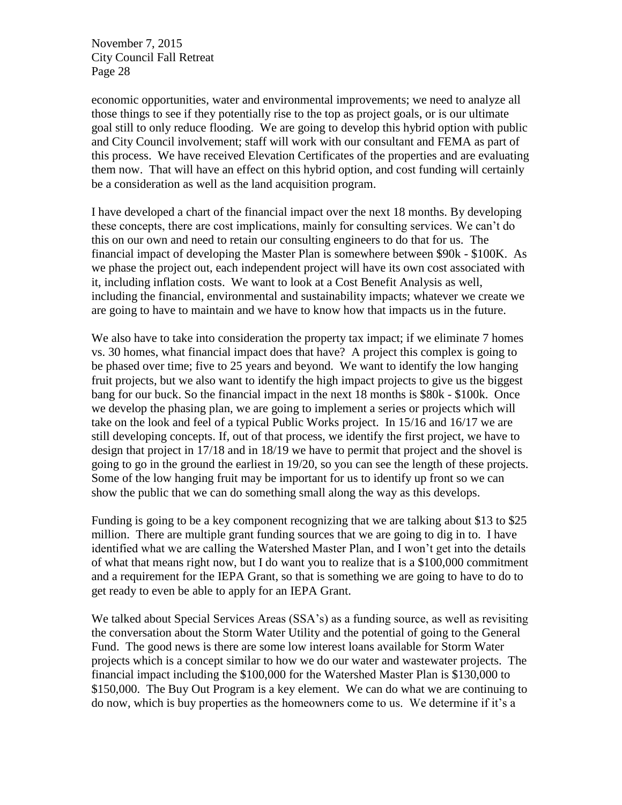economic opportunities, water and environmental improvements; we need to analyze all those things to see if they potentially rise to the top as project goals, or is our ultimate goal still to only reduce flooding. We are going to develop this hybrid option with public and City Council involvement; staff will work with our consultant and FEMA as part of this process. We have received Elevation Certificates of the properties and are evaluating them now. That will have an effect on this hybrid option, and cost funding will certainly be a consideration as well as the land acquisition program.

I have developed a chart of the financial impact over the next 18 months. By developing these concepts, there are cost implications, mainly for consulting services. We can't do this on our own and need to retain our consulting engineers to do that for us. The financial impact of developing the Master Plan is somewhere between \$90k - \$100K. As we phase the project out, each independent project will have its own cost associated with it, including inflation costs. We want to look at a Cost Benefit Analysis as well, including the financial, environmental and sustainability impacts; whatever we create we are going to have to maintain and we have to know how that impacts us in the future.

We also have to take into consideration the property tax impact; if we eliminate 7 homes vs. 30 homes, what financial impact does that have? A project this complex is going to be phased over time; five to 25 years and beyond. We want to identify the low hanging fruit projects, but we also want to identify the high impact projects to give us the biggest bang for our buck. So the financial impact in the next 18 months is \$80k - \$100k. Once we develop the phasing plan, we are going to implement a series or projects which will take on the look and feel of a typical Public Works project. In 15/16 and 16/17 we are still developing concepts. If, out of that process, we identify the first project, we have to design that project in 17/18 and in 18/19 we have to permit that project and the shovel is going to go in the ground the earliest in 19/20, so you can see the length of these projects. Some of the low hanging fruit may be important for us to identify up front so we can show the public that we can do something small along the way as this develops.

Funding is going to be a key component recognizing that we are talking about \$13 to \$25 million. There are multiple grant funding sources that we are going to dig in to. I have identified what we are calling the Watershed Master Plan, and I won't get into the details of what that means right now, but I do want you to realize that is a \$100,000 commitment and a requirement for the IEPA Grant, so that is something we are going to have to do to get ready to even be able to apply for an IEPA Grant.

We talked about Special Services Areas (SSA's) as a funding source, as well as revisiting the conversation about the Storm Water Utility and the potential of going to the General Fund. The good news is there are some low interest loans available for Storm Water projects which is a concept similar to how we do our water and wastewater projects. The financial impact including the \$100,000 for the Watershed Master Plan is \$130,000 to \$150,000. The Buy Out Program is a key element. We can do what we are continuing to do now, which is buy properties as the homeowners come to us. We determine if it's a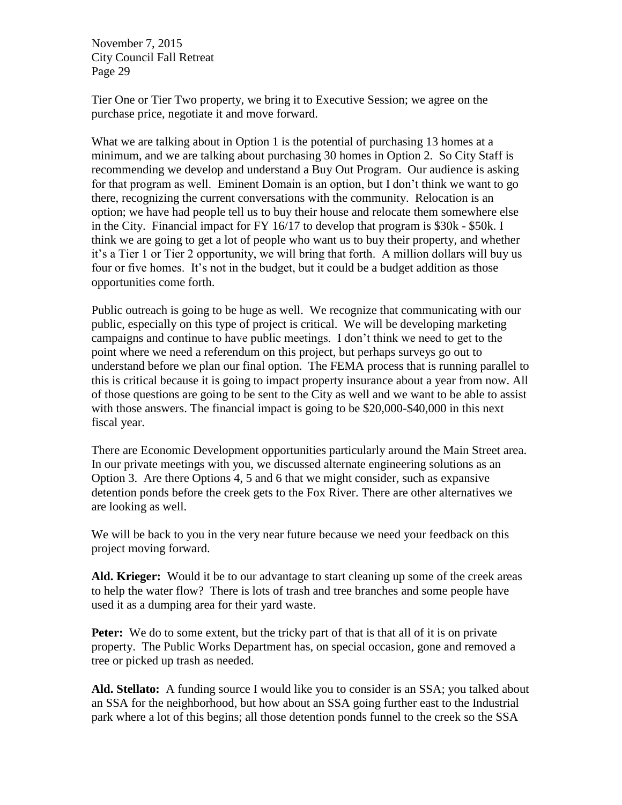Tier One or Tier Two property, we bring it to Executive Session; we agree on the purchase price, negotiate it and move forward.

What we are talking about in Option 1 is the potential of purchasing 13 homes at a minimum, and we are talking about purchasing 30 homes in Option 2. So City Staff is recommending we develop and understand a Buy Out Program. Our audience is asking for that program as well. Eminent Domain is an option, but I don't think we want to go there, recognizing the current conversations with the community. Relocation is an option; we have had people tell us to buy their house and relocate them somewhere else in the City. Financial impact for FY 16/17 to develop that program is \$30k - \$50k. I think we are going to get a lot of people who want us to buy their property, and whether it's a Tier 1 or Tier 2 opportunity, we will bring that forth. A million dollars will buy us four or five homes. It's not in the budget, but it could be a budget addition as those opportunities come forth.

Public outreach is going to be huge as well. We recognize that communicating with our public, especially on this type of project is critical. We will be developing marketing campaigns and continue to have public meetings. I don't think we need to get to the point where we need a referendum on this project, but perhaps surveys go out to understand before we plan our final option. The FEMA process that is running parallel to this is critical because it is going to impact property insurance about a year from now. All of those questions are going to be sent to the City as well and we want to be able to assist with those answers. The financial impact is going to be \$20,000-\$40,000 in this next fiscal year.

There are Economic Development opportunities particularly around the Main Street area. In our private meetings with you, we discussed alternate engineering solutions as an Option 3. Are there Options 4, 5 and 6 that we might consider, such as expansive detention ponds before the creek gets to the Fox River. There are other alternatives we are looking as well.

We will be back to you in the very near future because we need your feedback on this project moving forward.

**Ald. Krieger:** Would it be to our advantage to start cleaning up some of the creek areas to help the water flow? There is lots of trash and tree branches and some people have used it as a dumping area for their yard waste.

**Peter:** We do to some extent, but the tricky part of that is that all of it is on private property. The Public Works Department has, on special occasion, gone and removed a tree or picked up trash as needed.

**Ald. Stellato:** A funding source I would like you to consider is an SSA; you talked about an SSA for the neighborhood, but how about an SSA going further east to the Industrial park where a lot of this begins; all those detention ponds funnel to the creek so the SSA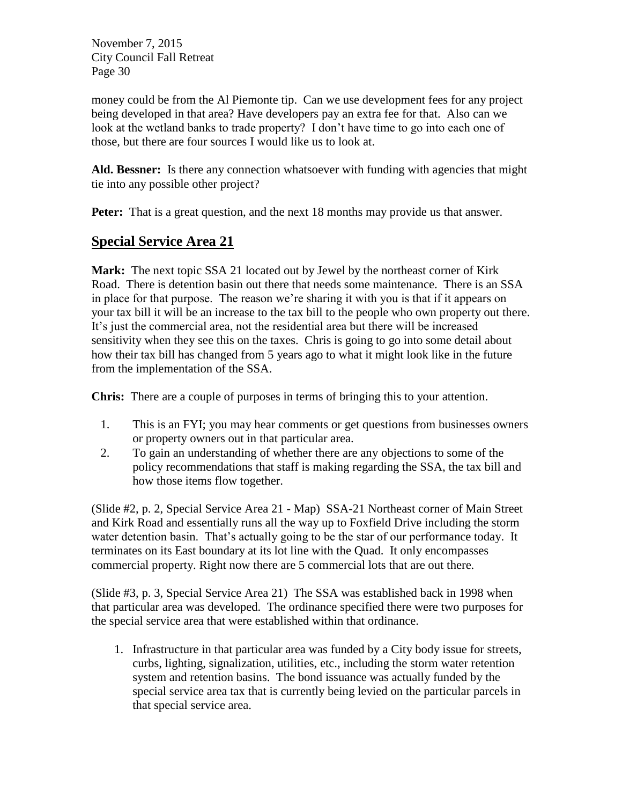money could be from the Al Piemonte tip. Can we use development fees for any project being developed in that area? Have developers pay an extra fee for that. Also can we look at the wetland banks to trade property? I don't have time to go into each one of those, but there are four sources I would like us to look at.

**Ald. Bessner:** Is there any connection whatsoever with funding with agencies that might tie into any possible other project?

**Peter:** That is a great question, and the next 18 months may provide us that answer.

## **Special Service Area 21**

**Mark:** The next topic SSA 21 located out by Jewel by the northeast corner of Kirk Road. There is detention basin out there that needs some maintenance. There is an SSA in place for that purpose. The reason we're sharing it with you is that if it appears on your tax bill it will be an increase to the tax bill to the people who own property out there. It's just the commercial area, not the residential area but there will be increased sensitivity when they see this on the taxes. Chris is going to go into some detail about how their tax bill has changed from 5 years ago to what it might look like in the future from the implementation of the SSA.

**Chris:** There are a couple of purposes in terms of bringing this to your attention.

- 1. This is an FYI; you may hear comments or get questions from businesses owners or property owners out in that particular area.
- 2. To gain an understanding of whether there are any objections to some of the policy recommendations that staff is making regarding the SSA, the tax bill and how those items flow together.

(Slide #2, p. 2, Special Service Area 21 - Map) SSA-21 Northeast corner of Main Street and Kirk Road and essentially runs all the way up to Foxfield Drive including the storm water detention basin. That's actually going to be the star of our performance today. It terminates on its East boundary at its lot line with the Quad. It only encompasses commercial property. Right now there are 5 commercial lots that are out there.

(Slide #3, p. 3, Special Service Area 21) The SSA was established back in 1998 when that particular area was developed. The ordinance specified there were two purposes for the special service area that were established within that ordinance.

1. Infrastructure in that particular area was funded by a City body issue for streets, curbs, lighting, signalization, utilities, etc., including the storm water retention system and retention basins. The bond issuance was actually funded by the special service area tax that is currently being levied on the particular parcels in that special service area.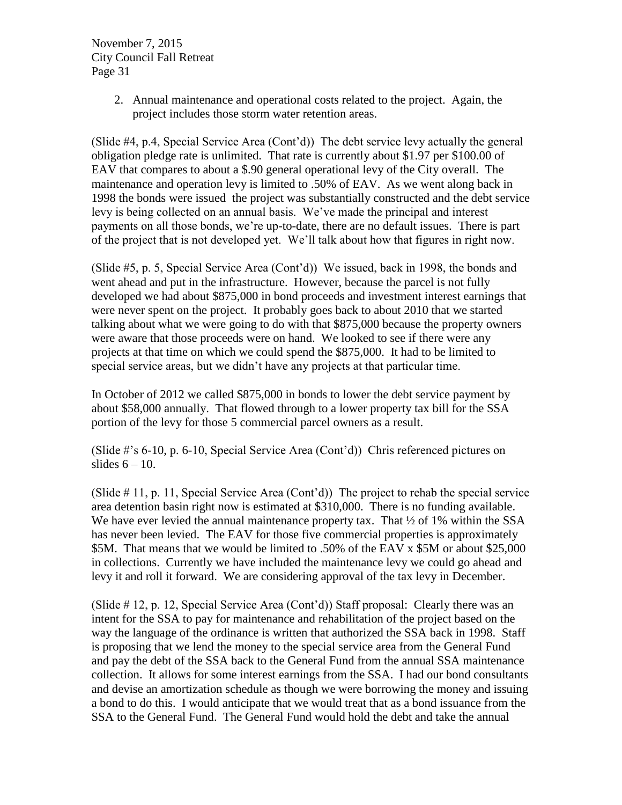> 2. Annual maintenance and operational costs related to the project. Again, the project includes those storm water retention areas.

(Slide #4, p.4, Special Service Area (Cont'd)) The debt service levy actually the general obligation pledge rate is unlimited. That rate is currently about \$1.97 per \$100.00 of EAV that compares to about a \$.90 general operational levy of the City overall. The maintenance and operation levy is limited to .50% of EAV. As we went along back in 1998 the bonds were issued the project was substantially constructed and the debt service levy is being collected on an annual basis. We've made the principal and interest payments on all those bonds, we're up-to-date, there are no default issues. There is part of the project that is not developed yet. We'll talk about how that figures in right now.

(Slide #5, p. 5, Special Service Area (Cont'd)) We issued, back in 1998, the bonds and went ahead and put in the infrastructure. However, because the parcel is not fully developed we had about \$875,000 in bond proceeds and investment interest earnings that were never spent on the project. It probably goes back to about 2010 that we started talking about what we were going to do with that \$875,000 because the property owners were aware that those proceeds were on hand. We looked to see if there were any projects at that time on which we could spend the \$875,000. It had to be limited to special service areas, but we didn't have any projects at that particular time.

In October of 2012 we called \$875,000 in bonds to lower the debt service payment by about \$58,000 annually. That flowed through to a lower property tax bill for the SSA portion of the levy for those 5 commercial parcel owners as a result.

(Slide #'s 6-10, p. 6-10, Special Service Area (Cont'd)) Chris referenced pictures on slides  $6 - 10$ .

(Slide  $# 11$ , p. 11, Special Service Area (Cont'd)) The project to rehab the special service area detention basin right now is estimated at \$310,000. There is no funding available. We have ever levied the annual maintenance property tax. That  $\frac{1}{2}$  of 1% within the SSA has never been levied. The EAV for those five commercial properties is approximately \$5M. That means that we would be limited to .50% of the EAV x \$5M or about \$25,000 in collections. Currently we have included the maintenance levy we could go ahead and levy it and roll it forward. We are considering approval of the tax levy in December.

(Slide  $\#$  12, p. 12, Special Service Area (Cont'd)) Staff proposal: Clearly there was an intent for the SSA to pay for maintenance and rehabilitation of the project based on the way the language of the ordinance is written that authorized the SSA back in 1998. Staff is proposing that we lend the money to the special service area from the General Fund and pay the debt of the SSA back to the General Fund from the annual SSA maintenance collection. It allows for some interest earnings from the SSA. I had our bond consultants and devise an amortization schedule as though we were borrowing the money and issuing a bond to do this. I would anticipate that we would treat that as a bond issuance from the SSA to the General Fund. The General Fund would hold the debt and take the annual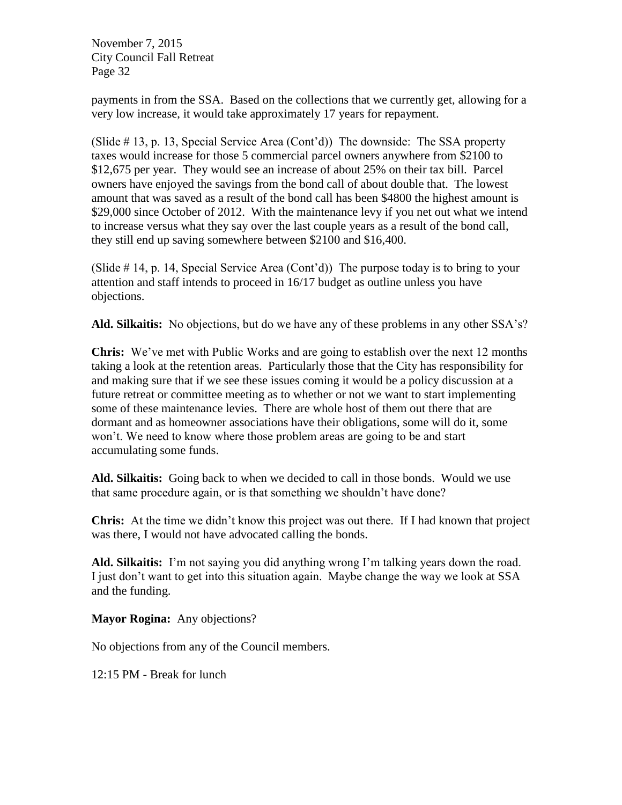payments in from the SSA. Based on the collections that we currently get, allowing for a very low increase, it would take approximately 17 years for repayment.

(Slide # 13, p. 13, Special Service Area (Cont'd)) The downside: The SSA property taxes would increase for those 5 commercial parcel owners anywhere from \$2100 to \$12,675 per year. They would see an increase of about 25% on their tax bill. Parcel owners have enjoyed the savings from the bond call of about double that. The lowest amount that was saved as a result of the bond call has been \$4800 the highest amount is \$29,000 since October of 2012. With the maintenance levy if you net out what we intend to increase versus what they say over the last couple years as a result of the bond call, they still end up saving somewhere between \$2100 and \$16,400.

(Slide  $# 14$ , p. 14, Special Service Area (Cont'd)) The purpose today is to bring to your attention and staff intends to proceed in 16/17 budget as outline unless you have objections.

**Ald. Silkaitis:** No objections, but do we have any of these problems in any other SSA's?

**Chris:** We've met with Public Works and are going to establish over the next 12 months taking a look at the retention areas. Particularly those that the City has responsibility for and making sure that if we see these issues coming it would be a policy discussion at a future retreat or committee meeting as to whether or not we want to start implementing some of these maintenance levies. There are whole host of them out there that are dormant and as homeowner associations have their obligations, some will do it, some won't. We need to know where those problem areas are going to be and start accumulating some funds.

**Ald. Silkaitis:** Going back to when we decided to call in those bonds. Would we use that same procedure again, or is that something we shouldn't have done?

**Chris:** At the time we didn't know this project was out there. If I had known that project was there, I would not have advocated calling the bonds.

**Ald. Silkaitis:** I'm not saying you did anything wrong I'm talking years down the road. I just don't want to get into this situation again. Maybe change the way we look at SSA and the funding.

**Mayor Rogina:** Any objections?

No objections from any of the Council members.

12:15 PM - Break for lunch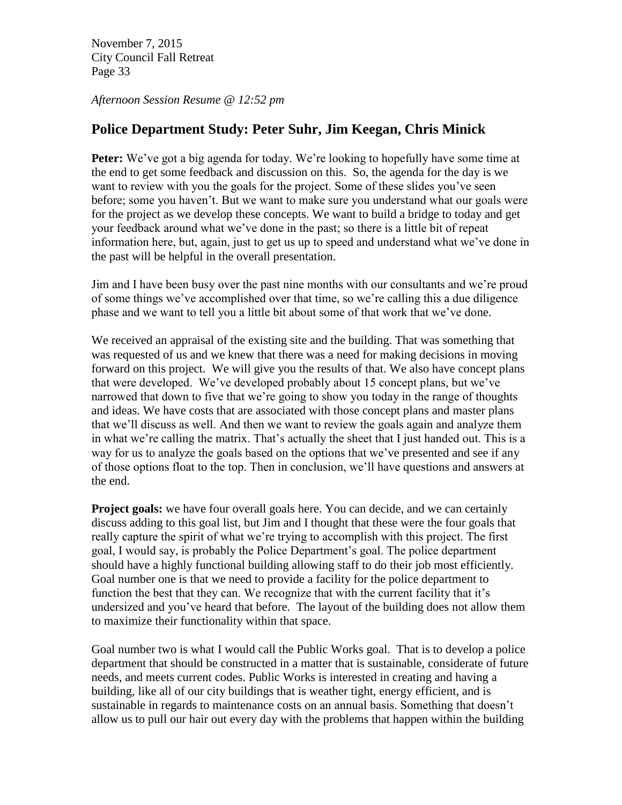*Afternoon Session Resume @ 12:52 pm*

### **Police Department Study: Peter Suhr, Jim Keegan, Chris Minick**

**Peter:** We've got a big agenda for today. We're looking to hopefully have some time at the end to get some feedback and discussion on this. So, the agenda for the day is we want to review with you the goals for the project. Some of these slides you've seen before; some you haven't. But we want to make sure you understand what our goals were for the project as we develop these concepts. We want to build a bridge to today and get your feedback around what we've done in the past; so there is a little bit of repeat information here, but, again, just to get us up to speed and understand what we've done in the past will be helpful in the overall presentation.

Jim and I have been busy over the past nine months with our consultants and we're proud of some things we've accomplished over that time, so we're calling this a due diligence phase and we want to tell you a little bit about some of that work that we've done.

We received an appraisal of the existing site and the building. That was something that was requested of us and we knew that there was a need for making decisions in moving forward on this project. We will give you the results of that. We also have concept plans that were developed. We've developed probably about 15 concept plans, but we've narrowed that down to five that we're going to show you today in the range of thoughts and ideas. We have costs that are associated with those concept plans and master plans that we'll discuss as well. And then we want to review the goals again and analyze them in what we're calling the matrix. That's actually the sheet that I just handed out. This is a way for us to analyze the goals based on the options that we've presented and see if any of those options float to the top. Then in conclusion, we'll have questions and answers at the end.

**Project goals:** we have four overall goals here. You can decide, and we can certainly discuss adding to this goal list, but Jim and I thought that these were the four goals that really capture the spirit of what we're trying to accomplish with this project. The first goal, I would say, is probably the Police Department's goal. The police department should have a highly functional building allowing staff to do their job most efficiently. Goal number one is that we need to provide a facility for the police department to function the best that they can. We recognize that with the current facility that it's undersized and you've heard that before. The layout of the building does not allow them to maximize their functionality within that space.

Goal number two is what I would call the Public Works goal. That is to develop a police department that should be constructed in a matter that is sustainable, considerate of future needs, and meets current codes. Public Works is interested in creating and having a building, like all of our city buildings that is weather tight, energy efficient, and is sustainable in regards to maintenance costs on an annual basis. Something that doesn't allow us to pull our hair out every day with the problems that happen within the building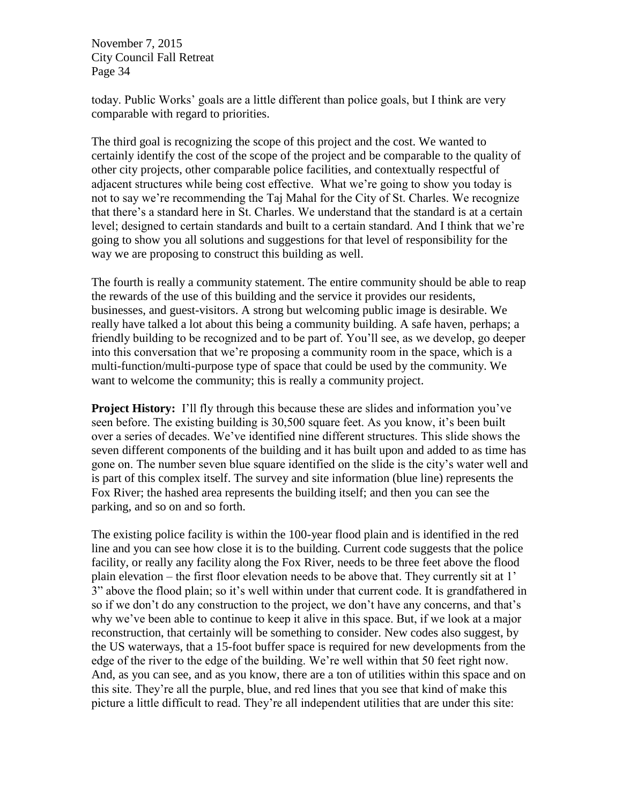today. Public Works' goals are a little different than police goals, but I think are very comparable with regard to priorities.

The third goal is recognizing the scope of this project and the cost. We wanted to certainly identify the cost of the scope of the project and be comparable to the quality of other city projects, other comparable police facilities, and contextually respectful of adjacent structures while being cost effective. What we're going to show you today is not to say we're recommending the Taj Mahal for the City of St. Charles. We recognize that there's a standard here in St. Charles. We understand that the standard is at a certain level; designed to certain standards and built to a certain standard. And I think that we're going to show you all solutions and suggestions for that level of responsibility for the way we are proposing to construct this building as well.

The fourth is really a community statement. The entire community should be able to reap the rewards of the use of this building and the service it provides our residents, businesses, and guest-visitors. A strong but welcoming public image is desirable. We really have talked a lot about this being a community building. A safe haven, perhaps; a friendly building to be recognized and to be part of. You'll see, as we develop, go deeper into this conversation that we're proposing a community room in the space, which is a multi-function/multi-purpose type of space that could be used by the community. We want to welcome the community; this is really a community project.

**Project History:** I'll fly through this because these are slides and information you've seen before. The existing building is 30,500 square feet. As you know, it's been built over a series of decades. We've identified nine different structures. This slide shows the seven different components of the building and it has built upon and added to as time has gone on. The number seven blue square identified on the slide is the city's water well and is part of this complex itself. The survey and site information (blue line) represents the Fox River; the hashed area represents the building itself; and then you can see the parking, and so on and so forth.

The existing police facility is within the 100-year flood plain and is identified in the red line and you can see how close it is to the building. Current code suggests that the police facility, or really any facility along the Fox River, needs to be three feet above the flood plain elevation – the first floor elevation needs to be above that. They currently sit at 1' 3" above the flood plain; so it's well within under that current code. It is grandfathered in so if we don't do any construction to the project, we don't have any concerns, and that's why we've been able to continue to keep it alive in this space. But, if we look at a major reconstruction, that certainly will be something to consider. New codes also suggest, by the US waterways, that a 15-foot buffer space is required for new developments from the edge of the river to the edge of the building. We're well within that 50 feet right now. And, as you can see, and as you know, there are a ton of utilities within this space and on this site. They're all the purple, blue, and red lines that you see that kind of make this picture a little difficult to read. They're all independent utilities that are under this site: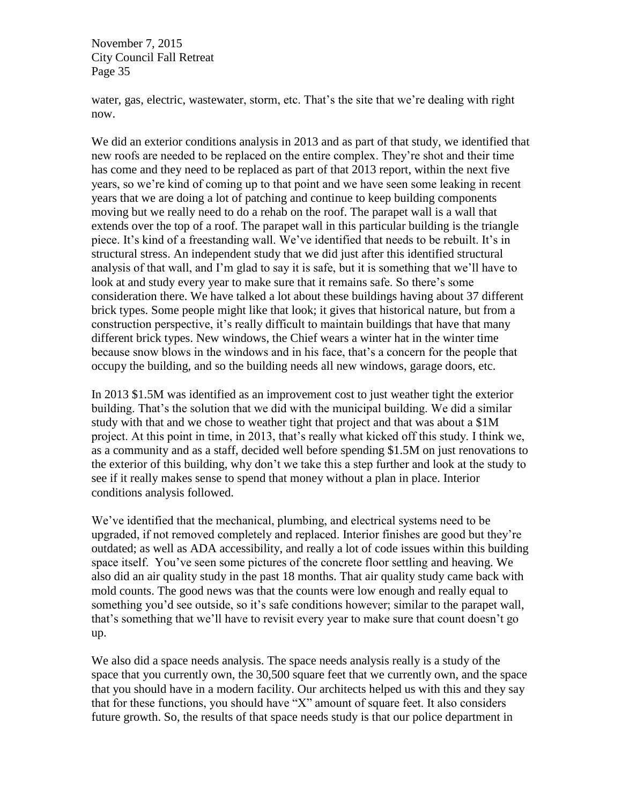water, gas, electric, wastewater, storm, etc. That's the site that we're dealing with right now.

We did an exterior conditions analysis in 2013 and as part of that study, we identified that new roofs are needed to be replaced on the entire complex. They're shot and their time has come and they need to be replaced as part of that 2013 report, within the next five years, so we're kind of coming up to that point and we have seen some leaking in recent years that we are doing a lot of patching and continue to keep building components moving but we really need to do a rehab on the roof. The parapet wall is a wall that extends over the top of a roof. The parapet wall in this particular building is the triangle piece. It's kind of a freestanding wall. We've identified that needs to be rebuilt. It's in structural stress. An independent study that we did just after this identified structural analysis of that wall, and I'm glad to say it is safe, but it is something that we'll have to look at and study every year to make sure that it remains safe. So there's some consideration there. We have talked a lot about these buildings having about 37 different brick types. Some people might like that look; it gives that historical nature, but from a construction perspective, it's really difficult to maintain buildings that have that many different brick types. New windows, the Chief wears a winter hat in the winter time because snow blows in the windows and in his face, that's a concern for the people that occupy the building, and so the building needs all new windows, garage doors, etc.

In 2013 \$1.5M was identified as an improvement cost to just weather tight the exterior building. That's the solution that we did with the municipal building. We did a similar study with that and we chose to weather tight that project and that was about a \$1M project. At this point in time, in 2013, that's really what kicked off this study. I think we, as a community and as a staff, decided well before spending \$1.5M on just renovations to the exterior of this building, why don't we take this a step further and look at the study to see if it really makes sense to spend that money without a plan in place. Interior conditions analysis followed.

We've identified that the mechanical, plumbing, and electrical systems need to be upgraded, if not removed completely and replaced. Interior finishes are good but they're outdated; as well as ADA accessibility, and really a lot of code issues within this building space itself. You've seen some pictures of the concrete floor settling and heaving. We also did an air quality study in the past 18 months. That air quality study came back with mold counts. The good news was that the counts were low enough and really equal to something you'd see outside, so it's safe conditions however; similar to the parapet wall, that's something that we'll have to revisit every year to make sure that count doesn't go up.

We also did a space needs analysis. The space needs analysis really is a study of the space that you currently own, the 30,500 square feet that we currently own, and the space that you should have in a modern facility. Our architects helped us with this and they say that for these functions, you should have "X" amount of square feet. It also considers future growth. So, the results of that space needs study is that our police department in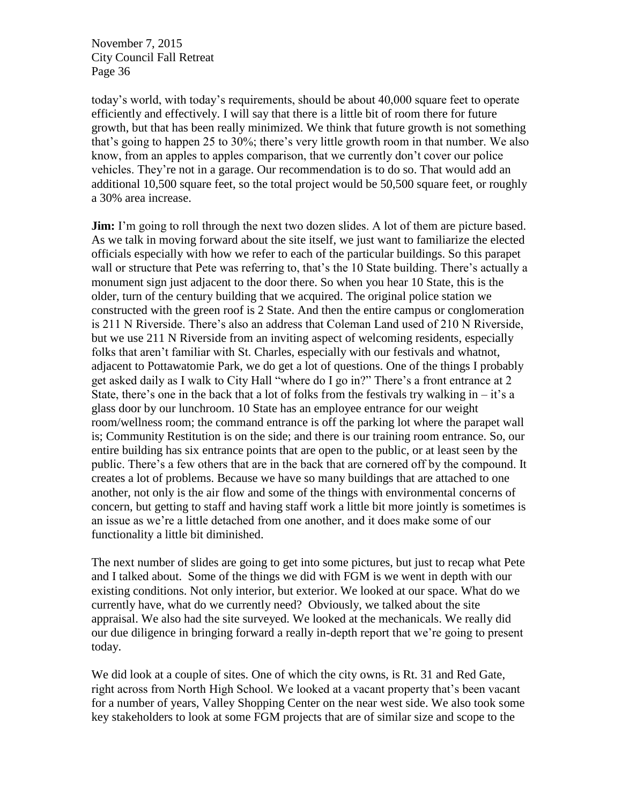today's world, with today's requirements, should be about 40,000 square feet to operate efficiently and effectively. I will say that there is a little bit of room there for future growth, but that has been really minimized. We think that future growth is not something that's going to happen 25 to 30%; there's very little growth room in that number. We also know, from an apples to apples comparison, that we currently don't cover our police vehicles. They're not in a garage. Our recommendation is to do so. That would add an additional 10,500 square feet, so the total project would be 50,500 square feet, or roughly a 30% area increase.

**Jim:** I'm going to roll through the next two dozen slides. A lot of them are picture based. As we talk in moving forward about the site itself, we just want to familiarize the elected officials especially with how we refer to each of the particular buildings. So this parapet wall or structure that Pete was referring to, that's the 10 State building. There's actually a monument sign just adjacent to the door there. So when you hear 10 State, this is the older, turn of the century building that we acquired. The original police station we constructed with the green roof is 2 State. And then the entire campus or conglomeration is 211 N Riverside. There's also an address that Coleman Land used of 210 N Riverside, but we use 211 N Riverside from an inviting aspect of welcoming residents, especially folks that aren't familiar with St. Charles, especially with our festivals and whatnot, adjacent to Pottawatomie Park, we do get a lot of questions. One of the things I probably get asked daily as I walk to City Hall "where do I go in?" There's a front entrance at 2 State, there's one in the back that a lot of folks from the festivals try walking in  $-$  it's a glass door by our lunchroom. 10 State has an employee entrance for our weight room/wellness room; the command entrance is off the parking lot where the parapet wall is; Community Restitution is on the side; and there is our training room entrance. So, our entire building has six entrance points that are open to the public, or at least seen by the public. There's a few others that are in the back that are cornered off by the compound. It creates a lot of problems. Because we have so many buildings that are attached to one another, not only is the air flow and some of the things with environmental concerns of concern, but getting to staff and having staff work a little bit more jointly is sometimes is an issue as we're a little detached from one another, and it does make some of our functionality a little bit diminished.

The next number of slides are going to get into some pictures, but just to recap what Pete and I talked about. Some of the things we did with FGM is we went in depth with our existing conditions. Not only interior, but exterior. We looked at our space. What do we currently have, what do we currently need? Obviously, we talked about the site appraisal. We also had the site surveyed. We looked at the mechanicals. We really did our due diligence in bringing forward a really in-depth report that we're going to present today.

We did look at a couple of sites. One of which the city owns, is Rt. 31 and Red Gate, right across from North High School. We looked at a vacant property that's been vacant for a number of years, Valley Shopping Center on the near west side. We also took some key stakeholders to look at some FGM projects that are of similar size and scope to the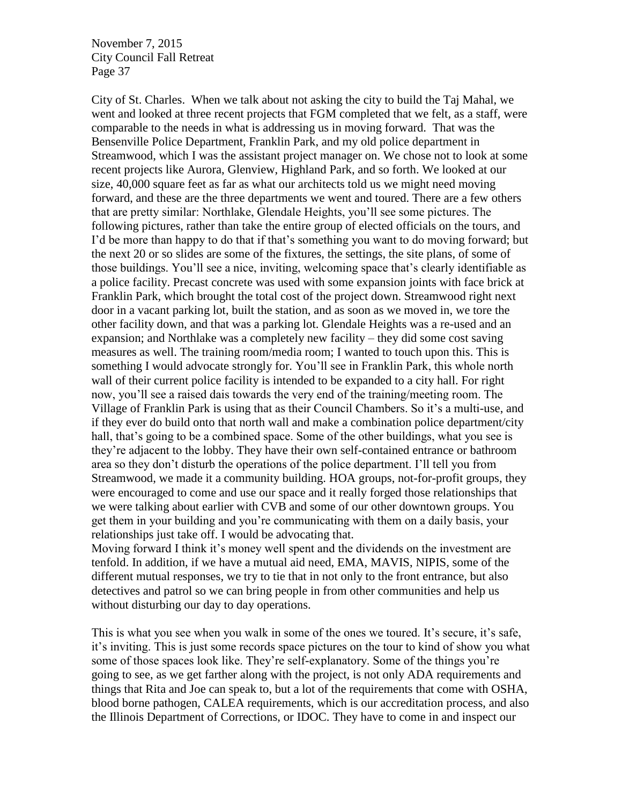City of St. Charles. When we talk about not asking the city to build the Taj Mahal, we went and looked at three recent projects that FGM completed that we felt, as a staff, were comparable to the needs in what is addressing us in moving forward. That was the Bensenville Police Department, Franklin Park, and my old police department in Streamwood, which I was the assistant project manager on. We chose not to look at some recent projects like Aurora, Glenview, Highland Park, and so forth. We looked at our size, 40,000 square feet as far as what our architects told us we might need moving forward, and these are the three departments we went and toured. There are a few others that are pretty similar: Northlake, Glendale Heights, you'll see some pictures. The following pictures, rather than take the entire group of elected officials on the tours, and I'd be more than happy to do that if that's something you want to do moving forward; but the next 20 or so slides are some of the fixtures, the settings, the site plans, of some of those buildings. You'll see a nice, inviting, welcoming space that's clearly identifiable as a police facility. Precast concrete was used with some expansion joints with face brick at Franklin Park, which brought the total cost of the project down. Streamwood right next door in a vacant parking lot, built the station, and as soon as we moved in, we tore the other facility down, and that was a parking lot. Glendale Heights was a re-used and an expansion; and Northlake was a completely new facility – they did some cost saving measures as well. The training room/media room; I wanted to touch upon this. This is something I would advocate strongly for. You'll see in Franklin Park, this whole north wall of their current police facility is intended to be expanded to a city hall. For right now, you'll see a raised dais towards the very end of the training/meeting room. The Village of Franklin Park is using that as their Council Chambers. So it's a multi-use, and if they ever do build onto that north wall and make a combination police department/city hall, that's going to be a combined space. Some of the other buildings, what you see is they're adjacent to the lobby. They have their own self-contained entrance or bathroom area so they don't disturb the operations of the police department. I'll tell you from Streamwood, we made it a community building. HOA groups, not-for-profit groups, they were encouraged to come and use our space and it really forged those relationships that we were talking about earlier with CVB and some of our other downtown groups. You get them in your building and you're communicating with them on a daily basis, your relationships just take off. I would be advocating that.

Moving forward I think it's money well spent and the dividends on the investment are tenfold. In addition, if we have a mutual aid need, EMA, MAVIS, NIPIS, some of the different mutual responses, we try to tie that in not only to the front entrance, but also detectives and patrol so we can bring people in from other communities and help us without disturbing our day to day operations.

This is what you see when you walk in some of the ones we toured. It's secure, it's safe, it's inviting. This is just some records space pictures on the tour to kind of show you what some of those spaces look like. They're self-explanatory. Some of the things you're going to see, as we get farther along with the project, is not only ADA requirements and things that Rita and Joe can speak to, but a lot of the requirements that come with OSHA, blood borne pathogen, CALEA requirements, which is our accreditation process, and also the Illinois Department of Corrections, or IDOC. They have to come in and inspect our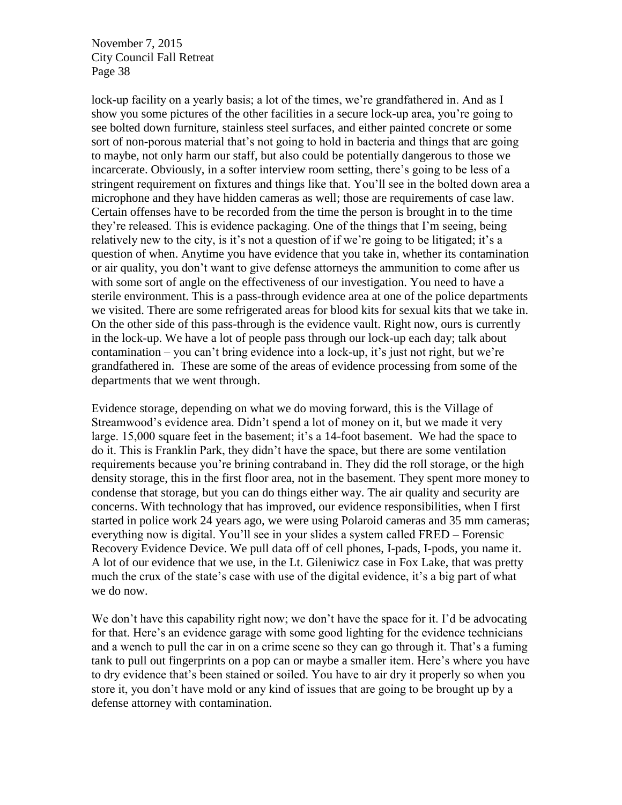lock-up facility on a yearly basis; a lot of the times, we're grandfathered in. And as I show you some pictures of the other facilities in a secure lock-up area, you're going to see bolted down furniture, stainless steel surfaces, and either painted concrete or some sort of non-porous material that's not going to hold in bacteria and things that are going to maybe, not only harm our staff, but also could be potentially dangerous to those we incarcerate. Obviously, in a softer interview room setting, there's going to be less of a stringent requirement on fixtures and things like that. You'll see in the bolted down area a microphone and they have hidden cameras as well; those are requirements of case law. Certain offenses have to be recorded from the time the person is brought in to the time they're released. This is evidence packaging. One of the things that I'm seeing, being relatively new to the city, is it's not a question of if we're going to be litigated; it's a question of when. Anytime you have evidence that you take in, whether its contamination or air quality, you don't want to give defense attorneys the ammunition to come after us with some sort of angle on the effectiveness of our investigation. You need to have a sterile environment. This is a pass-through evidence area at one of the police departments we visited. There are some refrigerated areas for blood kits for sexual kits that we take in. On the other side of this pass-through is the evidence vault. Right now, ours is currently in the lock-up. We have a lot of people pass through our lock-up each day; talk about contamination – you can't bring evidence into a lock-up, it's just not right, but we're grandfathered in. These are some of the areas of evidence processing from some of the departments that we went through.

Evidence storage, depending on what we do moving forward, this is the Village of Streamwood's evidence area. Didn't spend a lot of money on it, but we made it very large. 15,000 square feet in the basement; it's a 14-foot basement. We had the space to do it. This is Franklin Park, they didn't have the space, but there are some ventilation requirements because you're brining contraband in. They did the roll storage, or the high density storage, this in the first floor area, not in the basement. They spent more money to condense that storage, but you can do things either way. The air quality and security are concerns. With technology that has improved, our evidence responsibilities, when I first started in police work 24 years ago, we were using Polaroid cameras and 35 mm cameras; everything now is digital. You'll see in your slides a system called FRED – Forensic Recovery Evidence Device. We pull data off of cell phones, I-pads, I-pods, you name it. A lot of our evidence that we use, in the Lt. Gileniwicz case in Fox Lake, that was pretty much the crux of the state's case with use of the digital evidence, it's a big part of what we do now.

We don't have this capability right now; we don't have the space for it. I'd be advocating for that. Here's an evidence garage with some good lighting for the evidence technicians and a wench to pull the car in on a crime scene so they can go through it. That's a fuming tank to pull out fingerprints on a pop can or maybe a smaller item. Here's where you have to dry evidence that's been stained or soiled. You have to air dry it properly so when you store it, you don't have mold or any kind of issues that are going to be brought up by a defense attorney with contamination.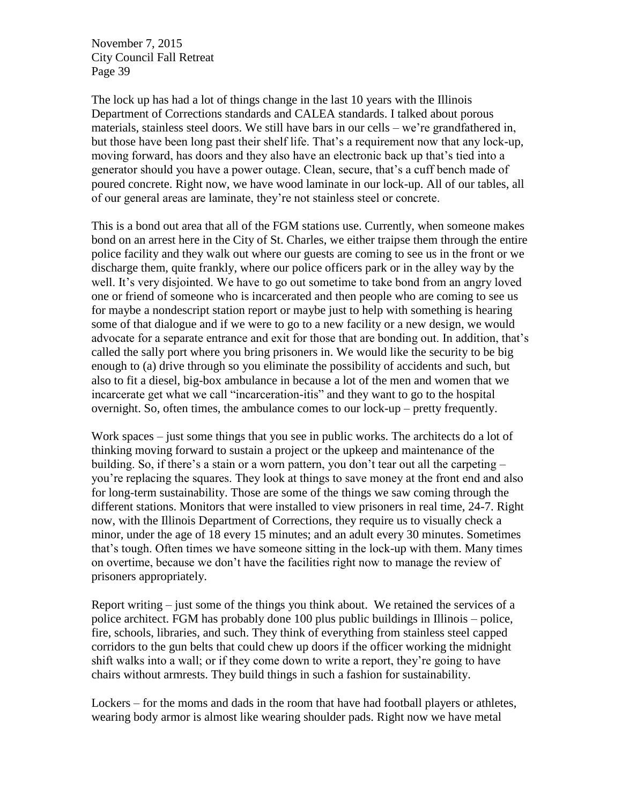The lock up has had a lot of things change in the last 10 years with the Illinois Department of Corrections standards and CALEA standards. I talked about porous materials, stainless steel doors. We still have bars in our cells – we're grandfathered in, but those have been long past their shelf life. That's a requirement now that any lock-up, moving forward, has doors and they also have an electronic back up that's tied into a generator should you have a power outage. Clean, secure, that's a cuff bench made of poured concrete. Right now, we have wood laminate in our lock-up. All of our tables, all of our general areas are laminate, they're not stainless steel or concrete.

This is a bond out area that all of the FGM stations use. Currently, when someone makes bond on an arrest here in the City of St. Charles, we either traipse them through the entire police facility and they walk out where our guests are coming to see us in the front or we discharge them, quite frankly, where our police officers park or in the alley way by the well. It's very disjointed. We have to go out sometime to take bond from an angry loved one or friend of someone who is incarcerated and then people who are coming to see us for maybe a nondescript station report or maybe just to help with something is hearing some of that dialogue and if we were to go to a new facility or a new design, we would advocate for a separate entrance and exit for those that are bonding out. In addition, that's called the sally port where you bring prisoners in. We would like the security to be big enough to (a) drive through so you eliminate the possibility of accidents and such, but also to fit a diesel, big-box ambulance in because a lot of the men and women that we incarcerate get what we call "incarceration-itis" and they want to go to the hospital overnight. So, often times, the ambulance comes to our lock-up – pretty frequently.

Work spaces – just some things that you see in public works. The architects do a lot of thinking moving forward to sustain a project or the upkeep and maintenance of the building. So, if there's a stain or a worn pattern, you don't tear out all the carpeting – you're replacing the squares. They look at things to save money at the front end and also for long-term sustainability. Those are some of the things we saw coming through the different stations. Monitors that were installed to view prisoners in real time, 24-7. Right now, with the Illinois Department of Corrections, they require us to visually check a minor, under the age of 18 every 15 minutes; and an adult every 30 minutes. Sometimes that's tough. Often times we have someone sitting in the lock-up with them. Many times on overtime, because we don't have the facilities right now to manage the review of prisoners appropriately.

Report writing – just some of the things you think about. We retained the services of a police architect. FGM has probably done 100 plus public buildings in Illinois – police, fire, schools, libraries, and such. They think of everything from stainless steel capped corridors to the gun belts that could chew up doors if the officer working the midnight shift walks into a wall; or if they come down to write a report, they're going to have chairs without armrests. They build things in such a fashion for sustainability.

Lockers – for the moms and dads in the room that have had football players or athletes, wearing body armor is almost like wearing shoulder pads. Right now we have metal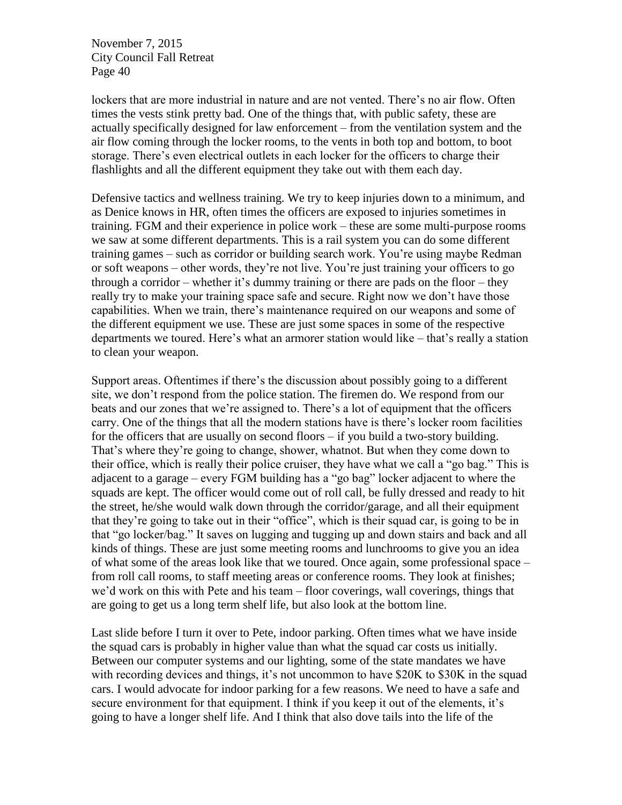lockers that are more industrial in nature and are not vented. There's no air flow. Often times the vests stink pretty bad. One of the things that, with public safety, these are actually specifically designed for law enforcement – from the ventilation system and the air flow coming through the locker rooms, to the vents in both top and bottom, to boot storage. There's even electrical outlets in each locker for the officers to charge their flashlights and all the different equipment they take out with them each day.

Defensive tactics and wellness training. We try to keep injuries down to a minimum, and as Denice knows in HR, often times the officers are exposed to injuries sometimes in training. FGM and their experience in police work – these are some multi-purpose rooms we saw at some different departments. This is a rail system you can do some different training games – such as corridor or building search work. You're using maybe Redman or soft weapons – other words, they're not live. You're just training your officers to go through a corridor – whether it's dummy training or there are pads on the floor – they really try to make your training space safe and secure. Right now we don't have those capabilities. When we train, there's maintenance required on our weapons and some of the different equipment we use. These are just some spaces in some of the respective departments we toured. Here's what an armorer station would like – that's really a station to clean your weapon.

Support areas. Oftentimes if there's the discussion about possibly going to a different site, we don't respond from the police station. The firemen do. We respond from our beats and our zones that we're assigned to. There's a lot of equipment that the officers carry. One of the things that all the modern stations have is there's locker room facilities for the officers that are usually on second floors – if you build a two-story building. That's where they're going to change, shower, whatnot. But when they come down to their office, which is really their police cruiser, they have what we call a "go bag." This is adjacent to a garage – every FGM building has a "go bag" locker adjacent to where the squads are kept. The officer would come out of roll call, be fully dressed and ready to hit the street, he/she would walk down through the corridor/garage, and all their equipment that they're going to take out in their "office", which is their squad car, is going to be in that "go locker/bag." It saves on lugging and tugging up and down stairs and back and all kinds of things. These are just some meeting rooms and lunchrooms to give you an idea of what some of the areas look like that we toured. Once again, some professional space – from roll call rooms, to staff meeting areas or conference rooms. They look at finishes; we'd work on this with Pete and his team – floor coverings, wall coverings, things that are going to get us a long term shelf life, but also look at the bottom line.

Last slide before I turn it over to Pete, indoor parking. Often times what we have inside the squad cars is probably in higher value than what the squad car costs us initially. Between our computer systems and our lighting, some of the state mandates we have with recording devices and things, it's not uncommon to have \$20K to \$30K in the squad cars. I would advocate for indoor parking for a few reasons. We need to have a safe and secure environment for that equipment. I think if you keep it out of the elements, it's going to have a longer shelf life. And I think that also dove tails into the life of the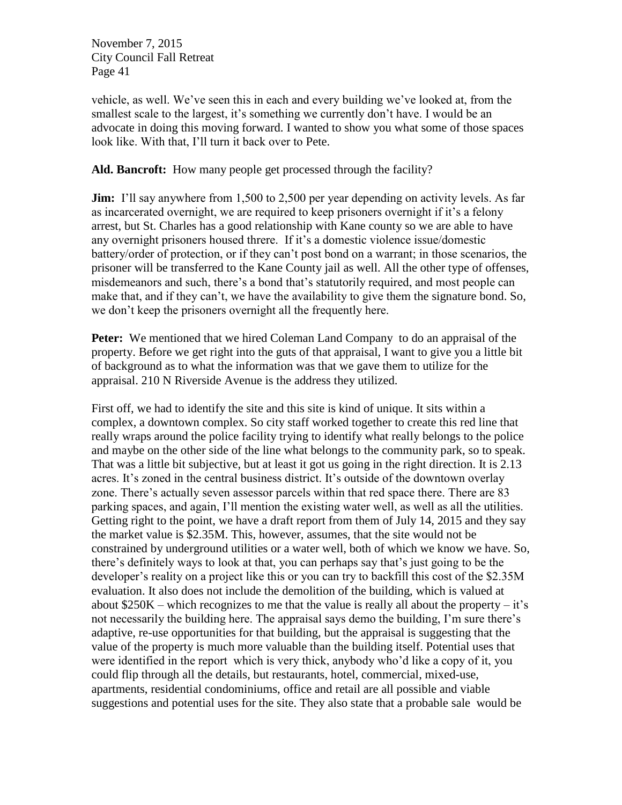vehicle, as well. We've seen this in each and every building we've looked at, from the smallest scale to the largest, it's something we currently don't have. I would be an advocate in doing this moving forward. I wanted to show you what some of those spaces look like. With that, I'll turn it back over to Pete.

#### **Ald. Bancroft:** How many people get processed through the facility?

**Jim:** I'll say anywhere from 1,500 to 2,500 per year depending on activity levels. As far as incarcerated overnight, we are required to keep prisoners overnight if it's a felony arrest, but St. Charles has a good relationship with Kane county so we are able to have any overnight prisoners housed threre. If it's a domestic violence issue/domestic battery/order of protection, or if they can't post bond on a warrant; in those scenarios, the prisoner will be transferred to the Kane County jail as well. All the other type of offenses, misdemeanors and such, there's a bond that's statutorily required, and most people can make that, and if they can't, we have the availability to give them the signature bond. So, we don't keep the prisoners overnight all the frequently here.

**Peter:** We mentioned that we hired Coleman Land Company to do an appraisal of the property. Before we get right into the guts of that appraisal, I want to give you a little bit of background as to what the information was that we gave them to utilize for the appraisal. 210 N Riverside Avenue is the address they utilized.

First off, we had to identify the site and this site is kind of unique. It sits within a complex, a downtown complex. So city staff worked together to create this red line that really wraps around the police facility trying to identify what really belongs to the police and maybe on the other side of the line what belongs to the community park, so to speak. That was a little bit subjective, but at least it got us going in the right direction. It is 2.13 acres. It's zoned in the central business district. It's outside of the downtown overlay zone. There's actually seven assessor parcels within that red space there. There are 83 parking spaces, and again, I'll mention the existing water well, as well as all the utilities. Getting right to the point, we have a draft report from them of July 14, 2015 and they say the market value is \$2.35M. This, however, assumes, that the site would not be constrained by underground utilities or a water well, both of which we know we have. So, there's definitely ways to look at that, you can perhaps say that's just going to be the developer's reality on a project like this or you can try to backfill this cost of the \$2.35M evaluation. It also does not include the demolition of the building, which is valued at about  $$250K - which recognizes to me that the value is really all about the property - it's$ not necessarily the building here. The appraisal says demo the building, I'm sure there's adaptive, re-use opportunities for that building, but the appraisal is suggesting that the value of the property is much more valuable than the building itself. Potential uses that were identified in the report which is very thick, anybody who'd like a copy of it, you could flip through all the details, but restaurants, hotel, commercial, mixed-use, apartments, residential condominiums, office and retail are all possible and viable suggestions and potential uses for the site. They also state that a probable sale would be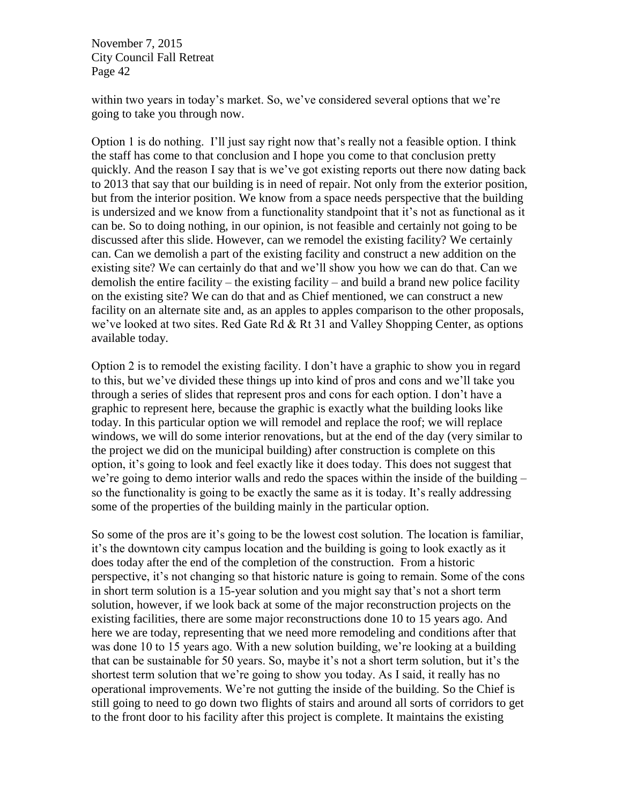within two years in today's market. So, we've considered several options that we're going to take you through now.

Option 1 is do nothing. I'll just say right now that's really not a feasible option. I think the staff has come to that conclusion and I hope you come to that conclusion pretty quickly. And the reason I say that is we've got existing reports out there now dating back to 2013 that say that our building is in need of repair. Not only from the exterior position, but from the interior position. We know from a space needs perspective that the building is undersized and we know from a functionality standpoint that it's not as functional as it can be. So to doing nothing, in our opinion, is not feasible and certainly not going to be discussed after this slide. However, can we remodel the existing facility? We certainly can. Can we demolish a part of the existing facility and construct a new addition on the existing site? We can certainly do that and we'll show you how we can do that. Can we demolish the entire facility – the existing facility – and build a brand new police facility on the existing site? We can do that and as Chief mentioned, we can construct a new facility on an alternate site and, as an apples to apples comparison to the other proposals, we've looked at two sites. Red Gate Rd & Rt 31 and Valley Shopping Center, as options available today.

Option 2 is to remodel the existing facility. I don't have a graphic to show you in regard to this, but we've divided these things up into kind of pros and cons and we'll take you through a series of slides that represent pros and cons for each option. I don't have a graphic to represent here, because the graphic is exactly what the building looks like today. In this particular option we will remodel and replace the roof; we will replace windows, we will do some interior renovations, but at the end of the day (very similar to the project we did on the municipal building) after construction is complete on this option, it's going to look and feel exactly like it does today. This does not suggest that we're going to demo interior walls and redo the spaces within the inside of the building – so the functionality is going to be exactly the same as it is today. It's really addressing some of the properties of the building mainly in the particular option.

So some of the pros are it's going to be the lowest cost solution. The location is familiar, it's the downtown city campus location and the building is going to look exactly as it does today after the end of the completion of the construction. From a historic perspective, it's not changing so that historic nature is going to remain. Some of the cons in short term solution is a 15-year solution and you might say that's not a short term solution, however, if we look back at some of the major reconstruction projects on the existing facilities, there are some major reconstructions done 10 to 15 years ago. And here we are today, representing that we need more remodeling and conditions after that was done 10 to 15 years ago. With a new solution building, we're looking at a building that can be sustainable for 50 years. So, maybe it's not a short term solution, but it's the shortest term solution that we're going to show you today. As I said, it really has no operational improvements. We're not gutting the inside of the building. So the Chief is still going to need to go down two flights of stairs and around all sorts of corridors to get to the front door to his facility after this project is complete. It maintains the existing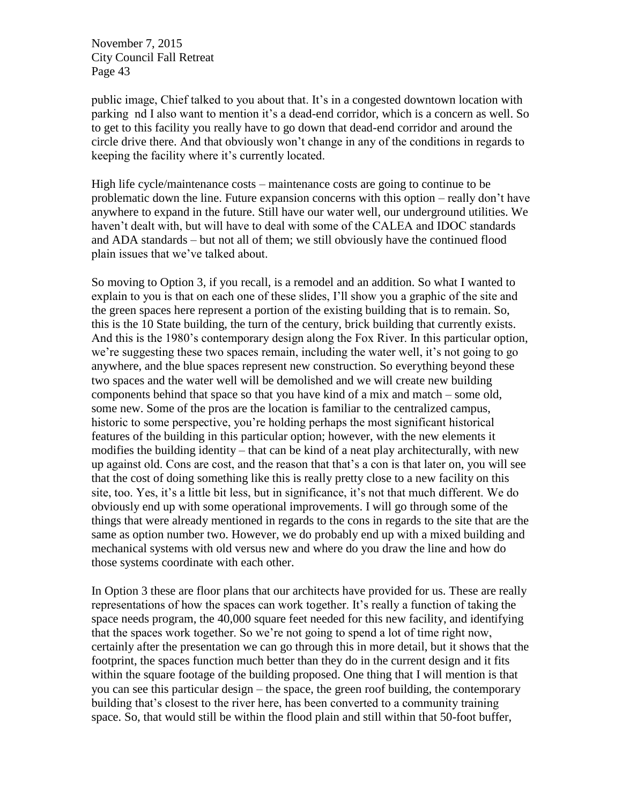public image, Chief talked to you about that. It's in a congested downtown location with parking nd I also want to mention it's a dead-end corridor, which is a concern as well. So to get to this facility you really have to go down that dead-end corridor and around the circle drive there. And that obviously won't change in any of the conditions in regards to keeping the facility where it's currently located.

High life cycle/maintenance costs – maintenance costs are going to continue to be problematic down the line. Future expansion concerns with this option – really don't have anywhere to expand in the future. Still have our water well, our underground utilities. We haven't dealt with, but will have to deal with some of the CALEA and IDOC standards and ADA standards – but not all of them; we still obviously have the continued flood plain issues that we've talked about.

So moving to Option 3, if you recall, is a remodel and an addition. So what I wanted to explain to you is that on each one of these slides, I'll show you a graphic of the site and the green spaces here represent a portion of the existing building that is to remain. So, this is the 10 State building, the turn of the century, brick building that currently exists. And this is the 1980's contemporary design along the Fox River. In this particular option, we're suggesting these two spaces remain, including the water well, it's not going to go anywhere, and the blue spaces represent new construction. So everything beyond these two spaces and the water well will be demolished and we will create new building components behind that space so that you have kind of a mix and match – some old, some new. Some of the pros are the location is familiar to the centralized campus, historic to some perspective, you're holding perhaps the most significant historical features of the building in this particular option; however, with the new elements it modifies the building identity – that can be kind of a neat play architecturally, with new up against old. Cons are cost, and the reason that that's a con is that later on, you will see that the cost of doing something like this is really pretty close to a new facility on this site, too. Yes, it's a little bit less, but in significance, it's not that much different. We do obviously end up with some operational improvements. I will go through some of the things that were already mentioned in regards to the cons in regards to the site that are the same as option number two. However, we do probably end up with a mixed building and mechanical systems with old versus new and where do you draw the line and how do those systems coordinate with each other.

In Option 3 these are floor plans that our architects have provided for us. These are really representations of how the spaces can work together. It's really a function of taking the space needs program, the 40,000 square feet needed for this new facility, and identifying that the spaces work together. So we're not going to spend a lot of time right now, certainly after the presentation we can go through this in more detail, but it shows that the footprint, the spaces function much better than they do in the current design and it fits within the square footage of the building proposed. One thing that I will mention is that you can see this particular design – the space, the green roof building, the contemporary building that's closest to the river here, has been converted to a community training space. So, that would still be within the flood plain and still within that 50-foot buffer,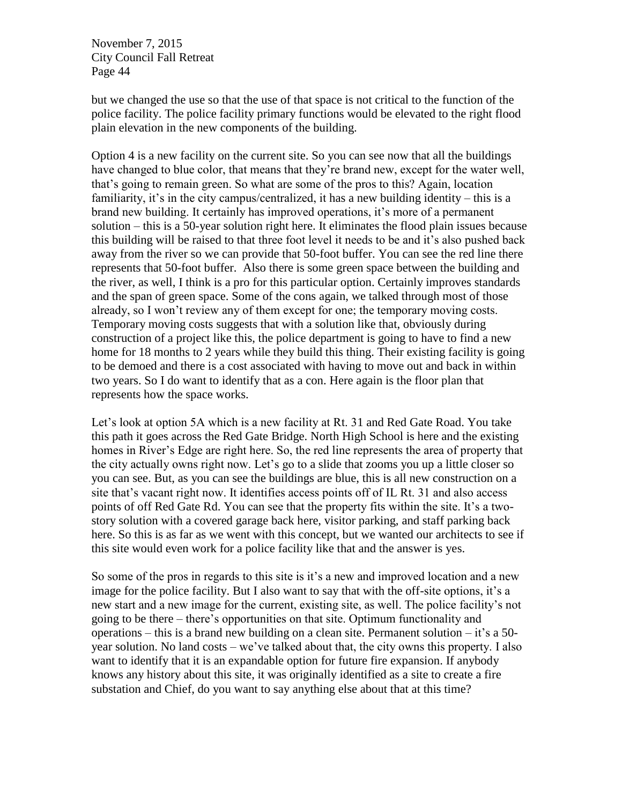but we changed the use so that the use of that space is not critical to the function of the police facility. The police facility primary functions would be elevated to the right flood plain elevation in the new components of the building.

Option 4 is a new facility on the current site. So you can see now that all the buildings have changed to blue color, that means that they're brand new, except for the water well, that's going to remain green. So what are some of the pros to this? Again, location familiarity, it's in the city campus/centralized, it has a new building identity – this is a brand new building. It certainly has improved operations, it's more of a permanent solution – this is a 50-year solution right here. It eliminates the flood plain issues because this building will be raised to that three foot level it needs to be and it's also pushed back away from the river so we can provide that 50-foot buffer. You can see the red line there represents that 50-foot buffer. Also there is some green space between the building and the river, as well, I think is a pro for this particular option. Certainly improves standards and the span of green space. Some of the cons again, we talked through most of those already, so I won't review any of them except for one; the temporary moving costs. Temporary moving costs suggests that with a solution like that, obviously during construction of a project like this, the police department is going to have to find a new home for 18 months to 2 years while they build this thing. Their existing facility is going to be demoed and there is a cost associated with having to move out and back in within two years. So I do want to identify that as a con. Here again is the floor plan that represents how the space works.

Let's look at option 5A which is a new facility at Rt. 31 and Red Gate Road. You take this path it goes across the Red Gate Bridge. North High School is here and the existing homes in River's Edge are right here. So, the red line represents the area of property that the city actually owns right now. Let's go to a slide that zooms you up a little closer so you can see. But, as you can see the buildings are blue, this is all new construction on a site that's vacant right now. It identifies access points off of IL Rt. 31 and also access points of off Red Gate Rd. You can see that the property fits within the site. It's a twostory solution with a covered garage back here, visitor parking, and staff parking back here. So this is as far as we went with this concept, but we wanted our architects to see if this site would even work for a police facility like that and the answer is yes.

So some of the pros in regards to this site is it's a new and improved location and a new image for the police facility. But I also want to say that with the off-site options, it's a new start and a new image for the current, existing site, as well. The police facility's not going to be there – there's opportunities on that site. Optimum functionality and operations – this is a brand new building on a clean site. Permanent solution – it's a 50 year solution. No land costs – we've talked about that, the city owns this property. I also want to identify that it is an expandable option for future fire expansion. If anybody knows any history about this site, it was originally identified as a site to create a fire substation and Chief, do you want to say anything else about that at this time?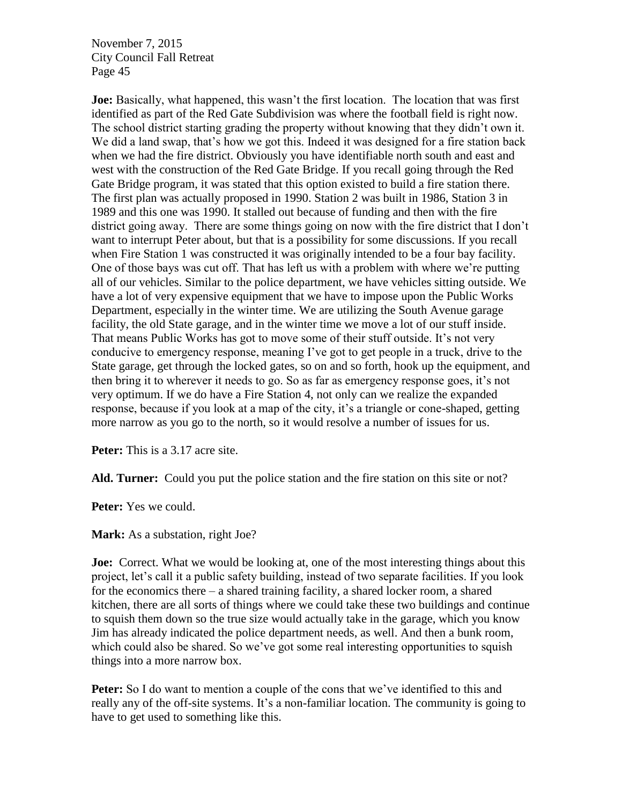**Joe:** Basically, what happened, this wasn't the first location. The location that was first identified as part of the Red Gate Subdivision was where the football field is right now. The school district starting grading the property without knowing that they didn't own it. We did a land swap, that's how we got this. Indeed it was designed for a fire station back when we had the fire district. Obviously you have identifiable north south and east and west with the construction of the Red Gate Bridge. If you recall going through the Red Gate Bridge program, it was stated that this option existed to build a fire station there. The first plan was actually proposed in 1990. Station 2 was built in 1986, Station 3 in 1989 and this one was 1990. It stalled out because of funding and then with the fire district going away. There are some things going on now with the fire district that I don't want to interrupt Peter about, but that is a possibility for some discussions. If you recall when Fire Station 1 was constructed it was originally intended to be a four bay facility. One of those bays was cut off. That has left us with a problem with where we're putting all of our vehicles. Similar to the police department, we have vehicles sitting outside. We have a lot of very expensive equipment that we have to impose upon the Public Works Department, especially in the winter time. We are utilizing the South Avenue garage facility, the old State garage, and in the winter time we move a lot of our stuff inside. That means Public Works has got to move some of their stuff outside. It's not very conducive to emergency response, meaning I've got to get people in a truck, drive to the State garage, get through the locked gates, so on and so forth, hook up the equipment, and then bring it to wherever it needs to go. So as far as emergency response goes, it's not very optimum. If we do have a Fire Station 4, not only can we realize the expanded response, because if you look at a map of the city, it's a triangle or cone-shaped, getting more narrow as you go to the north, so it would resolve a number of issues for us.

**Peter:** This is a 3.17 acre site.

**Ald. Turner:** Could you put the police station and the fire station on this site or not?

**Peter:** Yes we could.

**Mark:** As a substation, right Joe?

**Joe:** Correct. What we would be looking at, one of the most interesting things about this project, let's call it a public safety building, instead of two separate facilities. If you look for the economics there – a shared training facility, a shared locker room, a shared kitchen, there are all sorts of things where we could take these two buildings and continue to squish them down so the true size would actually take in the garage, which you know Jim has already indicated the police department needs, as well. And then a bunk room, which could also be shared. So we've got some real interesting opportunities to squish things into a more narrow box.

**Peter:** So I do want to mention a couple of the cons that we've identified to this and really any of the off-site systems. It's a non-familiar location. The community is going to have to get used to something like this.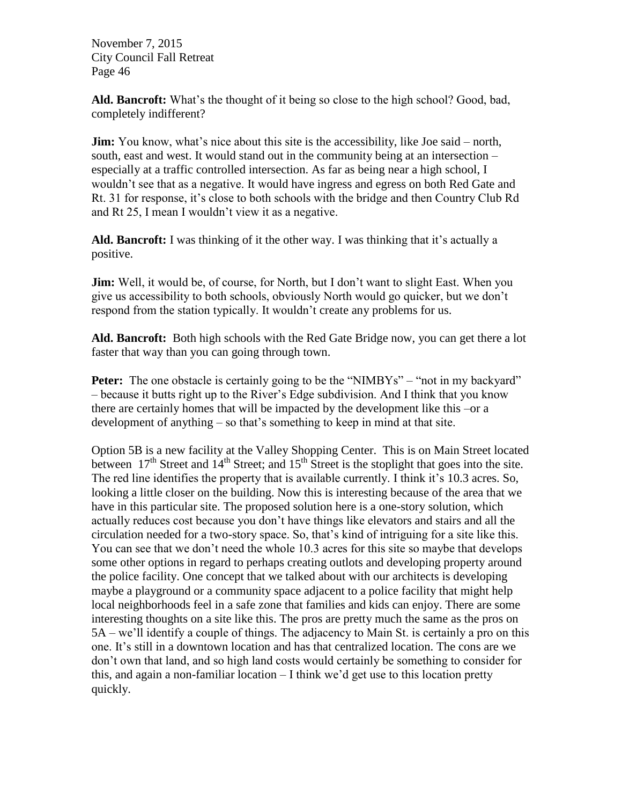**Ald. Bancroft:** What's the thought of it being so close to the high school? Good, bad, completely indifferent?

**Jim:** You know, what's nice about this site is the accessibility, like Joe said – north, south, east and west. It would stand out in the community being at an intersection – especially at a traffic controlled intersection. As far as being near a high school, I wouldn't see that as a negative. It would have ingress and egress on both Red Gate and Rt. 31 for response, it's close to both schools with the bridge and then Country Club Rd and Rt 25, I mean I wouldn't view it as a negative.

**Ald. Bancroft:** I was thinking of it the other way. I was thinking that it's actually a positive.

**Jim:** Well, it would be, of course, for North, but I don't want to slight East. When you give us accessibility to both schools, obviously North would go quicker, but we don't respond from the station typically. It wouldn't create any problems for us.

**Ald. Bancroft:** Both high schools with the Red Gate Bridge now, you can get there a lot faster that way than you can going through town.

**Peter:** The one obstacle is certainly going to be the "NIMBYs" – "not in my backyard" – because it butts right up to the River's Edge subdivision. And I think that you know there are certainly homes that will be impacted by the development like this –or a development of anything – so that's something to keep in mind at that site.

Option 5B is a new facility at the Valley Shopping Center. This is on Main Street located between  $17<sup>th</sup>$  Street and  $14<sup>th</sup>$  Street; and  $15<sup>th</sup>$  Street is the stoplight that goes into the site. The red line identifies the property that is available currently. I think it's 10.3 acres. So, looking a little closer on the building. Now this is interesting because of the area that we have in this particular site. The proposed solution here is a one-story solution, which actually reduces cost because you don't have things like elevators and stairs and all the circulation needed for a two-story space. So, that's kind of intriguing for a site like this. You can see that we don't need the whole 10.3 acres for this site so maybe that develops some other options in regard to perhaps creating outlots and developing property around the police facility. One concept that we talked about with our architects is developing maybe a playground or a community space adjacent to a police facility that might help local neighborhoods feel in a safe zone that families and kids can enjoy. There are some interesting thoughts on a site like this. The pros are pretty much the same as the pros on 5A – we'll identify a couple of things. The adjacency to Main St. is certainly a pro on this one. It's still in a downtown location and has that centralized location. The cons are we don't own that land, and so high land costs would certainly be something to consider for this, and again a non-familiar location – I think we'd get use to this location pretty quickly.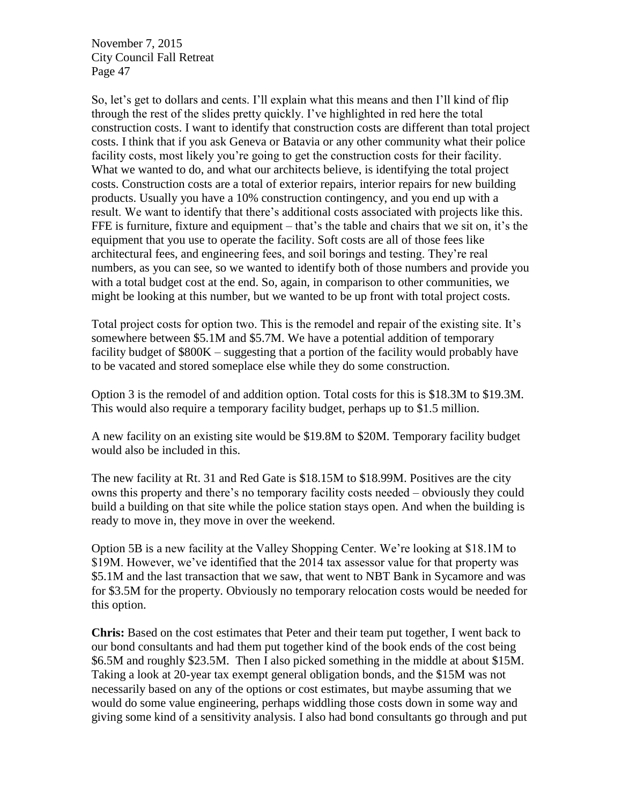So, let's get to dollars and cents. I'll explain what this means and then I'll kind of flip through the rest of the slides pretty quickly. I've highlighted in red here the total construction costs. I want to identify that construction costs are different than total project costs. I think that if you ask Geneva or Batavia or any other community what their police facility costs, most likely you're going to get the construction costs for their facility. What we wanted to do, and what our architects believe, is identifying the total project costs. Construction costs are a total of exterior repairs, interior repairs for new building products. Usually you have a 10% construction contingency, and you end up with a result. We want to identify that there's additional costs associated with projects like this. FFE is furniture, fixture and equipment – that's the table and chairs that we sit on, it's the equipment that you use to operate the facility. Soft costs are all of those fees like architectural fees, and engineering fees, and soil borings and testing. They're real numbers, as you can see, so we wanted to identify both of those numbers and provide you with a total budget cost at the end. So, again, in comparison to other communities, we might be looking at this number, but we wanted to be up front with total project costs.

Total project costs for option two. This is the remodel and repair of the existing site. It's somewhere between \$5.1M and \$5.7M. We have a potential addition of temporary facility budget of \$800K – suggesting that a portion of the facility would probably have to be vacated and stored someplace else while they do some construction.

Option 3 is the remodel of and addition option. Total costs for this is \$18.3M to \$19.3M. This would also require a temporary facility budget, perhaps up to \$1.5 million.

A new facility on an existing site would be \$19.8M to \$20M. Temporary facility budget would also be included in this.

The new facility at Rt. 31 and Red Gate is \$18.15M to \$18.99M. Positives are the city owns this property and there's no temporary facility costs needed – obviously they could build a building on that site while the police station stays open. And when the building is ready to move in, they move in over the weekend.

Option 5B is a new facility at the Valley Shopping Center. We're looking at \$18.1M to \$19M. However, we've identified that the 2014 tax assessor value for that property was \$5.1M and the last transaction that we saw, that went to NBT Bank in Sycamore and was for \$3.5M for the property. Obviously no temporary relocation costs would be needed for this option.

**Chris:** Based on the cost estimates that Peter and their team put together, I went back to our bond consultants and had them put together kind of the book ends of the cost being \$6.5M and roughly \$23.5M. Then I also picked something in the middle at about \$15M. Taking a look at 20-year tax exempt general obligation bonds, and the \$15M was not necessarily based on any of the options or cost estimates, but maybe assuming that we would do some value engineering, perhaps widdling those costs down in some way and giving some kind of a sensitivity analysis. I also had bond consultants go through and put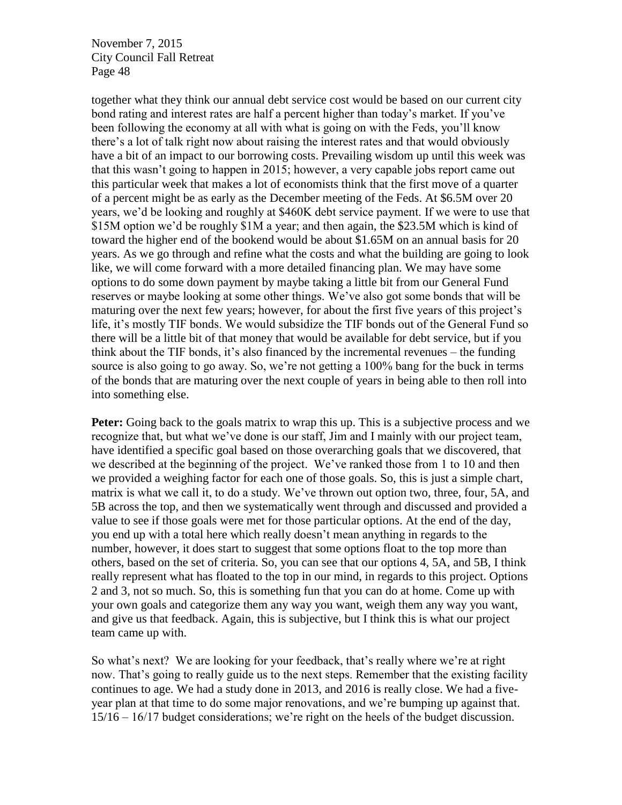together what they think our annual debt service cost would be based on our current city bond rating and interest rates are half a percent higher than today's market. If you've been following the economy at all with what is going on with the Feds, you'll know there's a lot of talk right now about raising the interest rates and that would obviously have a bit of an impact to our borrowing costs. Prevailing wisdom up until this week was that this wasn't going to happen in 2015; however, a very capable jobs report came out this particular week that makes a lot of economists think that the first move of a quarter of a percent might be as early as the December meeting of the Feds. At \$6.5M over 20 years, we'd be looking and roughly at \$460K debt service payment. If we were to use that \$15M option we'd be roughly \$1M a year; and then again, the \$23.5M which is kind of toward the higher end of the bookend would be about \$1.65M on an annual basis for 20 years. As we go through and refine what the costs and what the building are going to look like, we will come forward with a more detailed financing plan. We may have some options to do some down payment by maybe taking a little bit from our General Fund reserves or maybe looking at some other things. We've also got some bonds that will be maturing over the next few years; however, for about the first five years of this project's life, it's mostly TIF bonds. We would subsidize the TIF bonds out of the General Fund so there will be a little bit of that money that would be available for debt service, but if you think about the TIF bonds, it's also financed by the incremental revenues – the funding source is also going to go away. So, we're not getting a 100% bang for the buck in terms of the bonds that are maturing over the next couple of years in being able to then roll into into something else.

**Peter:** Going back to the goals matrix to wrap this up. This is a subjective process and we recognize that, but what we've done is our staff, Jim and I mainly with our project team, have identified a specific goal based on those overarching goals that we discovered, that we described at the beginning of the project. We've ranked those from 1 to 10 and then we provided a weighing factor for each one of those goals. So, this is just a simple chart, matrix is what we call it, to do a study. We've thrown out option two, three, four, 5A, and 5B across the top, and then we systematically went through and discussed and provided a value to see if those goals were met for those particular options. At the end of the day, you end up with a total here which really doesn't mean anything in regards to the number, however, it does start to suggest that some options float to the top more than others, based on the set of criteria. So, you can see that our options 4, 5A, and 5B, I think really represent what has floated to the top in our mind, in regards to this project. Options 2 and 3, not so much. So, this is something fun that you can do at home. Come up with your own goals and categorize them any way you want, weigh them any way you want, and give us that feedback. Again, this is subjective, but I think this is what our project team came up with.

So what's next? We are looking for your feedback, that's really where we're at right now. That's going to really guide us to the next steps. Remember that the existing facility continues to age. We had a study done in 2013, and 2016 is really close. We had a fiveyear plan at that time to do some major renovations, and we're bumping up against that. 15/16 – 16/17 budget considerations; we're right on the heels of the budget discussion.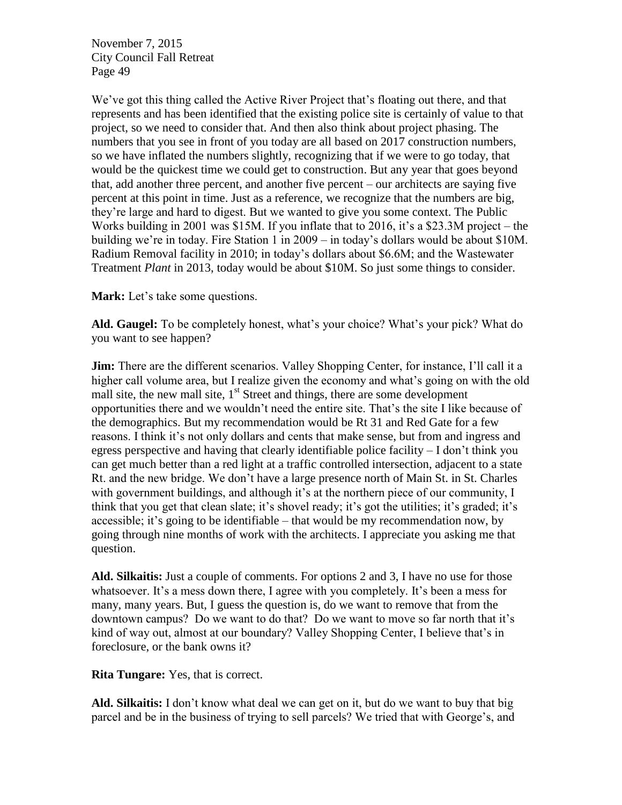We've got this thing called the Active River Project that's floating out there, and that represents and has been identified that the existing police site is certainly of value to that project, so we need to consider that. And then also think about project phasing. The numbers that you see in front of you today are all based on 2017 construction numbers, so we have inflated the numbers slightly, recognizing that if we were to go today, that would be the quickest time we could get to construction. But any year that goes beyond that, add another three percent, and another five percent – our architects are saying five percent at this point in time. Just as a reference, we recognize that the numbers are big, they're large and hard to digest. But we wanted to give you some context. The Public Works building in 2001 was \$15M. If you inflate that to 2016, it's a \$23.3M project – the building we're in today. Fire Station 1 in 2009 – in today's dollars would be about \$10M. Radium Removal facility in 2010; in today's dollars about \$6.6M; and the Wastewater Treatment *Plant* in 2013, today would be about \$10M. So just some things to consider.

**Mark:** Let's take some questions.

**Ald. Gaugel:** To be completely honest, what's your choice? What's your pick? What do you want to see happen?

**Jim:** There are the different scenarios. Valley Shopping Center, for instance, I'll call it a higher call volume area, but I realize given the economy and what's going on with the old mall site, the new mall site,  $1<sup>st</sup>$  Street and things, there are some development opportunities there and we wouldn't need the entire site. That's the site I like because of the demographics. But my recommendation would be Rt 31 and Red Gate for a few reasons. I think it's not only dollars and cents that make sense, but from and ingress and egress perspective and having that clearly identifiable police facility – I don't think you can get much better than a red light at a traffic controlled intersection, adjacent to a state Rt. and the new bridge. We don't have a large presence north of Main St. in St. Charles with government buildings, and although it's at the northern piece of our community, I think that you get that clean slate; it's shovel ready; it's got the utilities; it's graded; it's accessible; it's going to be identifiable – that would be my recommendation now, by going through nine months of work with the architects. I appreciate you asking me that question.

**Ald. Silkaitis:** Just a couple of comments. For options 2 and 3, I have no use for those whatsoever. It's a mess down there, I agree with you completely. It's been a mess for many, many years. But, I guess the question is, do we want to remove that from the downtown campus? Do we want to do that? Do we want to move so far north that it's kind of way out, almost at our boundary? Valley Shopping Center, I believe that's in foreclosure, or the bank owns it?

**Rita Tungare:** Yes, that is correct.

**Ald. Silkaitis:** I don't know what deal we can get on it, but do we want to buy that big parcel and be in the business of trying to sell parcels? We tried that with George's, and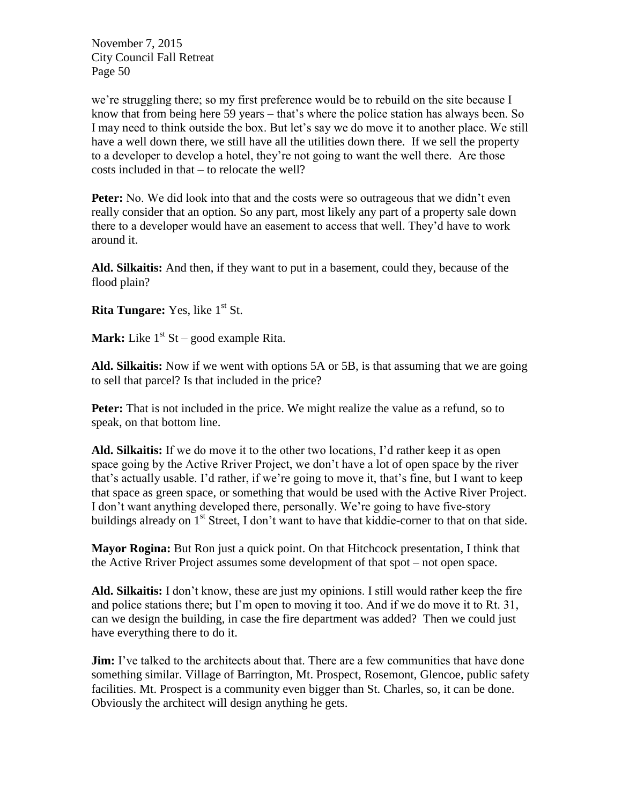we're struggling there; so my first preference would be to rebuild on the site because I know that from being here 59 years – that's where the police station has always been. So I may need to think outside the box. But let's say we do move it to another place. We still have a well down there, we still have all the utilities down there. If we sell the property to a developer to develop a hotel, they're not going to want the well there. Are those costs included in that – to relocate the well?

**Peter:** No. We did look into that and the costs were so outrageous that we didn't even really consider that an option. So any part, most likely any part of a property sale down there to a developer would have an easement to access that well. They'd have to work around it.

**Ald. Silkaitis:** And then, if they want to put in a basement, could they, because of the flood plain?

**Rita Tungare:** Yes, like 1<sup>st</sup> St.

**Mark:** Like  $1^{st}$  St – good example Rita.

**Ald. Silkaitis:** Now if we went with options 5A or 5B, is that assuming that we are going to sell that parcel? Is that included in the price?

Peter: That is not included in the price. We might realize the value as a refund, so to speak, on that bottom line.

**Ald. Silkaitis:** If we do move it to the other two locations, I'd rather keep it as open space going by the Active Rriver Project, we don't have a lot of open space by the river that's actually usable. I'd rather, if we're going to move it, that's fine, but I want to keep that space as green space, or something that would be used with the Active River Project. I don't want anything developed there, personally. We're going to have five-story buildings already on  $1<sup>st</sup>$  Street, I don't want to have that kiddie-corner to that on that side.

**Mayor Rogina:** But Ron just a quick point. On that Hitchcock presentation, I think that the Active Rriver Project assumes some development of that spot – not open space.

**Ald. Silkaitis:** I don't know, these are just my opinions. I still would rather keep the fire and police stations there; but I'm open to moving it too. And if we do move it to Rt. 31, can we design the building, in case the fire department was added? Then we could just have everything there to do it.

**Jim:** I've talked to the architects about that. There are a few communities that have done something similar. Village of Barrington, Mt. Prospect, Rosemont, Glencoe, public safety facilities. Mt. Prospect is a community even bigger than St. Charles, so, it can be done. Obviously the architect will design anything he gets.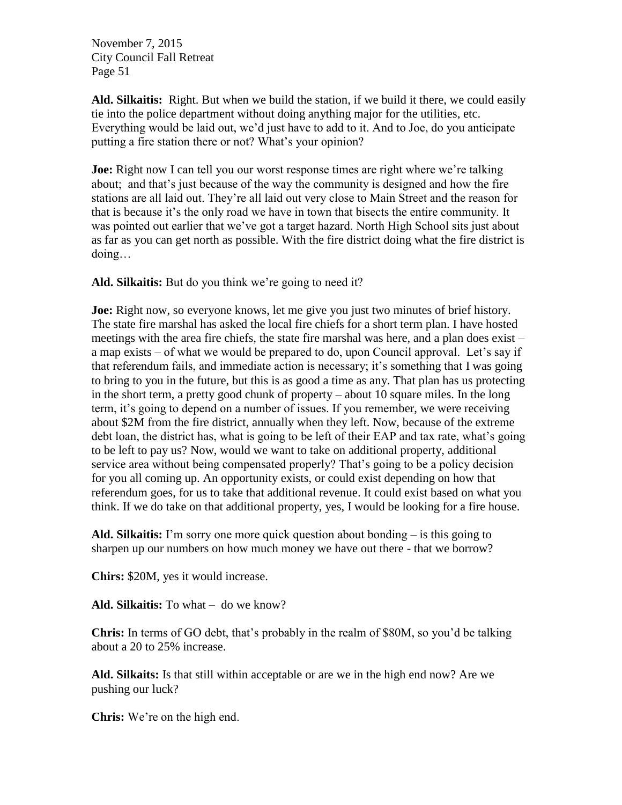**Ald. Silkaitis:** Right. But when we build the station, if we build it there, we could easily tie into the police department without doing anything major for the utilities, etc. Everything would be laid out, we'd just have to add to it. And to Joe, do you anticipate putting a fire station there or not? What's your opinion?

**Joe:** Right now I can tell you our worst response times are right where we're talking about; and that's just because of the way the community is designed and how the fire stations are all laid out. They're all laid out very close to Main Street and the reason for that is because it's the only road we have in town that bisects the entire community. It was pointed out earlier that we've got a target hazard. North High School sits just about as far as you can get north as possible. With the fire district doing what the fire district is doing…

**Ald. Silkaitis:** But do you think we're going to need it?

**Joe:** Right now, so everyone knows, let me give you just two minutes of brief history. The state fire marshal has asked the local fire chiefs for a short term plan. I have hosted meetings with the area fire chiefs, the state fire marshal was here, and a plan does exist – a map exists – of what we would be prepared to do, upon Council approval. Let's say if that referendum fails, and immediate action is necessary; it's something that I was going to bring to you in the future, but this is as good a time as any. That plan has us protecting in the short term, a pretty good chunk of property – about 10 square miles. In the long term, it's going to depend on a number of issues. If you remember, we were receiving about \$2M from the fire district, annually when they left. Now, because of the extreme debt loan, the district has, what is going to be left of their EAP and tax rate, what's going to be left to pay us? Now, would we want to take on additional property, additional service area without being compensated properly? That's going to be a policy decision for you all coming up. An opportunity exists, or could exist depending on how that referendum goes, for us to take that additional revenue. It could exist based on what you think. If we do take on that additional property, yes, I would be looking for a fire house.

**Ald. Silkaitis:** I'm sorry one more quick question about bonding – is this going to sharpen up our numbers on how much money we have out there - that we borrow?

**Chirs:** \$20M, yes it would increase.

**Ald. Silkaitis:** To what – do we know?

**Chris:** In terms of GO debt, that's probably in the realm of \$80M, so you'd be talking about a 20 to 25% increase.

**Ald. Silkaits:** Is that still within acceptable or are we in the high end now? Are we pushing our luck?

**Chris:** We're on the high end.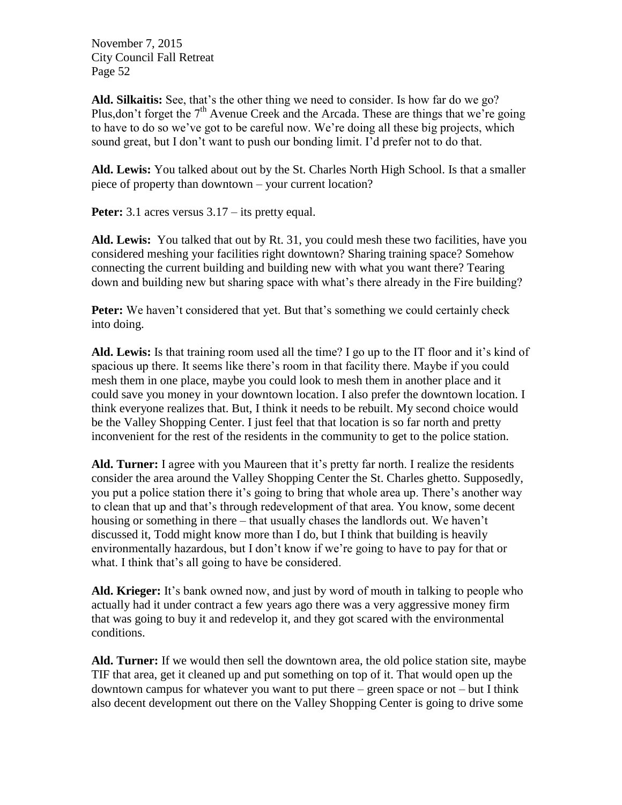**Ald. Silkaitis:** See, that's the other thing we need to consider. Is how far do we go? Plus, don't forget the  $7<sup>th</sup>$  Avenue Creek and the Arcada. These are things that we're going to have to do so we've got to be careful now. We're doing all these big projects, which sound great, but I don't want to push our bonding limit. I'd prefer not to do that.

**Ald. Lewis:** You talked about out by the St. Charles North High School. Is that a smaller piece of property than downtown – your current location?

**Peter:** 3.1 acres versus  $3.17 -$  its pretty equal.

**Ald. Lewis:** You talked that out by Rt. 31, you could mesh these two facilities, have you considered meshing your facilities right downtown? Sharing training space? Somehow connecting the current building and building new with what you want there? Tearing down and building new but sharing space with what's there already in the Fire building?

**Peter:** We haven't considered that yet. But that's something we could certainly check into doing.

**Ald. Lewis:** Is that training room used all the time? I go up to the IT floor and it's kind of spacious up there. It seems like there's room in that facility there. Maybe if you could mesh them in one place, maybe you could look to mesh them in another place and it could save you money in your downtown location. I also prefer the downtown location. I think everyone realizes that. But, I think it needs to be rebuilt. My second choice would be the Valley Shopping Center. I just feel that that location is so far north and pretty inconvenient for the rest of the residents in the community to get to the police station.

**Ald. Turner:** I agree with you Maureen that it's pretty far north. I realize the residents consider the area around the Valley Shopping Center the St. Charles ghetto. Supposedly, you put a police station there it's going to bring that whole area up. There's another way to clean that up and that's through redevelopment of that area. You know, some decent housing or something in there – that usually chases the landlords out. We haven't discussed it, Todd might know more than I do, but I think that building is heavily environmentally hazardous, but I don't know if we're going to have to pay for that or what. I think that's all going to have be considered.

**Ald. Krieger:** It's bank owned now, and just by word of mouth in talking to people who actually had it under contract a few years ago there was a very aggressive money firm that was going to buy it and redevelop it, and they got scared with the environmental conditions.

**Ald. Turner:** If we would then sell the downtown area, the old police station site, maybe TIF that area, get it cleaned up and put something on top of it. That would open up the downtown campus for whatever you want to put there  $-$  green space or not  $-$  but I think also decent development out there on the Valley Shopping Center is going to drive some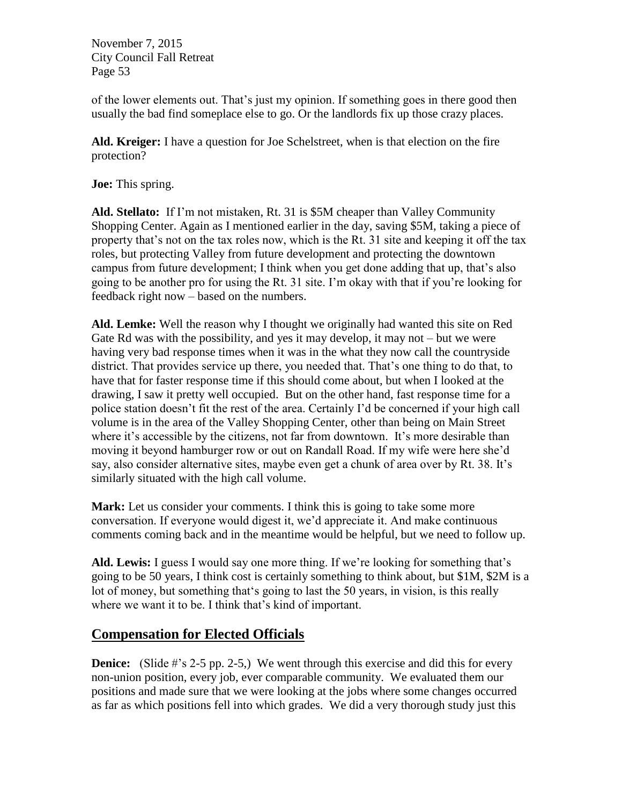of the lower elements out. That's just my opinion. If something goes in there good then usually the bad find someplace else to go. Or the landlords fix up those crazy places.

**Ald. Kreiger:** I have a question for Joe Schelstreet, when is that election on the fire protection?

**Joe:** This spring.

**Ald. Stellato:** If I'm not mistaken, Rt. 31 is \$5M cheaper than Valley Community Shopping Center. Again as I mentioned earlier in the day, saving \$5M, taking a piece of property that's not on the tax roles now, which is the Rt. 31 site and keeping it off the tax roles, but protecting Valley from future development and protecting the downtown campus from future development; I think when you get done adding that up, that's also going to be another pro for using the Rt. 31 site. I'm okay with that if you're looking for feedback right now – based on the numbers.

**Ald. Lemke:** Well the reason why I thought we originally had wanted this site on Red Gate Rd was with the possibility, and yes it may develop, it may not – but we were having very bad response times when it was in the what they now call the countryside district. That provides service up there, you needed that. That's one thing to do that, to have that for faster response time if this should come about, but when I looked at the drawing, I saw it pretty well occupied. But on the other hand, fast response time for a police station doesn't fit the rest of the area. Certainly I'd be concerned if your high call volume is in the area of the Valley Shopping Center, other than being on Main Street where it's accessible by the citizens, not far from downtown. It's more desirable than moving it beyond hamburger row or out on Randall Road. If my wife were here she'd say, also consider alternative sites, maybe even get a chunk of area over by Rt. 38. It's similarly situated with the high call volume.

**Mark:** Let us consider your comments. I think this is going to take some more conversation. If everyone would digest it, we'd appreciate it. And make continuous comments coming back and in the meantime would be helpful, but we need to follow up.

**Ald. Lewis:** I guess I would say one more thing. If we're looking for something that's going to be 50 years, I think cost is certainly something to think about, but \$1M, \$2M is a lot of money, but something that's going to last the 50 years, in vision, is this really where we want it to be. I think that's kind of important.

# **Compensation for Elected Officials**

**Denice:** (Slide #'s 2-5 pp. 2-5,) We went through this exercise and did this for every non-union position, every job, ever comparable community. We evaluated them our positions and made sure that we were looking at the jobs where some changes occurred as far as which positions fell into which grades. We did a very thorough study just this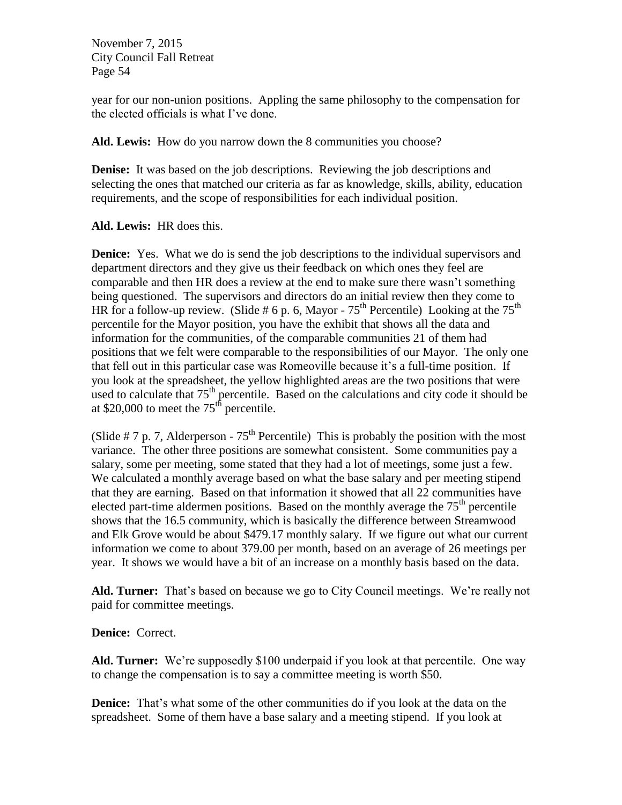year for our non-union positions. Appling the same philosophy to the compensation for the elected officials is what I've done.

**Ald. Lewis:** How do you narrow down the 8 communities you choose?

**Denise:** It was based on the job descriptions. Reviewing the job descriptions and selecting the ones that matched our criteria as far as knowledge, skills, ability, education requirements, and the scope of responsibilities for each individual position.

**Ald. Lewis:** HR does this.

**Denice:** Yes. What we do is send the job descriptions to the individual supervisors and department directors and they give us their feedback on which ones they feel are comparable and then HR does a review at the end to make sure there wasn't something being questioned. The supervisors and directors do an initial review then they come to HR for a follow-up review. (Slide # 6 p. 6, Mayor -  $75^{th}$  Percentile) Looking at the  $75^{th}$ percentile for the Mayor position, you have the exhibit that shows all the data and information for the communities, of the comparable communities 21 of them had positions that we felt were comparable to the responsibilities of our Mayor. The only one that fell out in this particular case was Romeoville because it's a full-time position. If you look at the spreadsheet, the yellow highlighted areas are the two positions that were used to calculate that  $75<sup>th</sup>$  percentile. Based on the calculations and city code it should be at \$20,000 to meet the  $75<sup>th</sup>$  percentile.

(Slide  $# 7$  p. 7, Alderperson -  $75<sup>th</sup>$  Percentile) This is probably the position with the most variance. The other three positions are somewhat consistent. Some communities pay a salary, some per meeting, some stated that they had a lot of meetings, some just a few. We calculated a monthly average based on what the base salary and per meeting stipend that they are earning. Based on that information it showed that all 22 communities have elected part-time aldermen positions. Based on the monthly average the  $75<sup>th</sup>$  percentile shows that the 16.5 community, which is basically the difference between Streamwood and Elk Grove would be about \$479.17 monthly salary. If we figure out what our current information we come to about 379.00 per month, based on an average of 26 meetings per year. It shows we would have a bit of an increase on a monthly basis based on the data.

**Ald. Turner:** That's based on because we go to City Council meetings. We're really not paid for committee meetings.

**Denice:** Correct.

**Ald. Turner:** We're supposedly \$100 underpaid if you look at that percentile. One way to change the compensation is to say a committee meeting is worth \$50.

**Denice:** That's what some of the other communities do if you look at the data on the spreadsheet. Some of them have a base salary and a meeting stipend. If you look at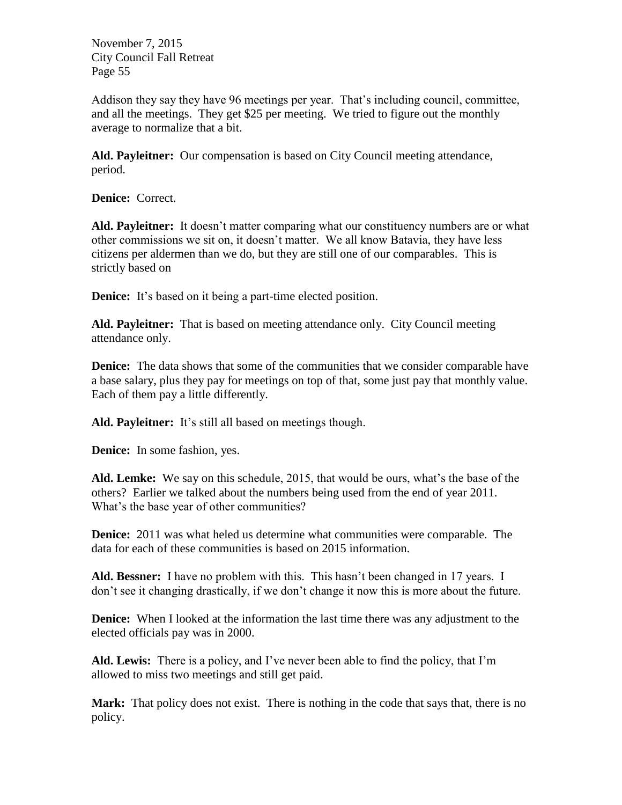Addison they say they have 96 meetings per year. That's including council, committee, and all the meetings. They get \$25 per meeting. We tried to figure out the monthly average to normalize that a bit.

**Ald. Payleitner:** Our compensation is based on City Council meeting attendance, period.

**Denice:** Correct.

**Ald. Payleitner:** It doesn't matter comparing what our constituency numbers are or what other commissions we sit on, it doesn't matter. We all know Batavia, they have less citizens per aldermen than we do, but they are still one of our comparables. This is strictly based on

**Denice:** It's based on it being a part-time elected position.

**Ald. Payleitner:** That is based on meeting attendance only. City Council meeting attendance only.

**Denice:** The data shows that some of the communities that we consider comparable have a base salary, plus they pay for meetings on top of that, some just pay that monthly value. Each of them pay a little differently.

**Ald. Payleitner:** It's still all based on meetings though.

**Denice:** In some fashion, yes.

**Ald. Lemke:** We say on this schedule, 2015, that would be ours, what's the base of the others? Earlier we talked about the numbers being used from the end of year 2011. What's the base year of other communities?

**Denice:** 2011 was what heled us determine what communities were comparable. The data for each of these communities is based on 2015 information.

**Ald. Bessner:** I have no problem with this. This hasn't been changed in 17 years. I don't see it changing drastically, if we don't change it now this is more about the future.

**Denice:** When I looked at the information the last time there was any adjustment to the elected officials pay was in 2000.

**Ald. Lewis:** There is a policy, and I've never been able to find the policy, that I'm allowed to miss two meetings and still get paid.

Mark: That policy does not exist. There is nothing in the code that says that, there is no policy.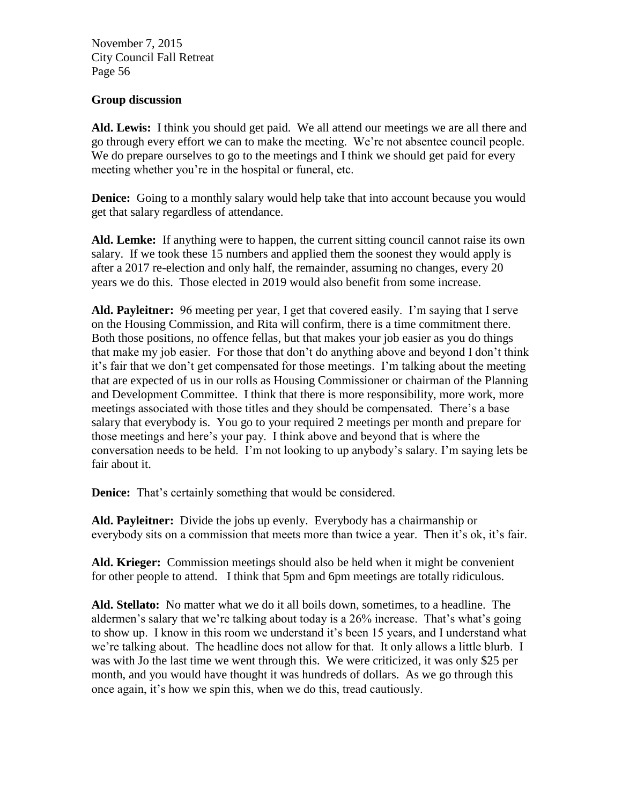#### **Group discussion**

**Ald. Lewis:** I think you should get paid. We all attend our meetings we are all there and go through every effort we can to make the meeting. We're not absentee council people. We do prepare ourselves to go to the meetings and I think we should get paid for every meeting whether you're in the hospital or funeral, etc.

**Denice:** Going to a monthly salary would help take that into account because you would get that salary regardless of attendance.

**Ald. Lemke:** If anything were to happen, the current sitting council cannot raise its own salary. If we took these 15 numbers and applied them the soonest they would apply is after a 2017 re-election and only half, the remainder, assuming no changes, every 20 years we do this. Those elected in 2019 would also benefit from some increase.

**Ald. Payleitner:** 96 meeting per year, I get that covered easily. I'm saying that I serve on the Housing Commission, and Rita will confirm, there is a time commitment there. Both those positions, no offence fellas, but that makes your job easier as you do things that make my job easier. For those that don't do anything above and beyond I don't think it's fair that we don't get compensated for those meetings. I'm talking about the meeting that are expected of us in our rolls as Housing Commissioner or chairman of the Planning and Development Committee. I think that there is more responsibility, more work, more meetings associated with those titles and they should be compensated. There's a base salary that everybody is. You go to your required 2 meetings per month and prepare for those meetings and here's your pay. I think above and beyond that is where the conversation needs to be held. I'm not looking to up anybody's salary. I'm saying lets be fair about it.

**Denice:** That's certainly something that would be considered.

**Ald. Payleitner:** Divide the jobs up evenly. Everybody has a chairmanship or everybody sits on a commission that meets more than twice a year. Then it's ok, it's fair.

**Ald. Krieger:** Commission meetings should also be held when it might be convenient for other people to attend. I think that 5pm and 6pm meetings are totally ridiculous.

**Ald. Stellato:** No matter what we do it all boils down, sometimes, to a headline. The aldermen's salary that we're talking about today is a 26% increase. That's what's going to show up. I know in this room we understand it's been 15 years, and I understand what we're talking about. The headline does not allow for that. It only allows a little blurb. I was with Jo the last time we went through this. We were criticized, it was only \$25 per month, and you would have thought it was hundreds of dollars. As we go through this once again, it's how we spin this, when we do this, tread cautiously.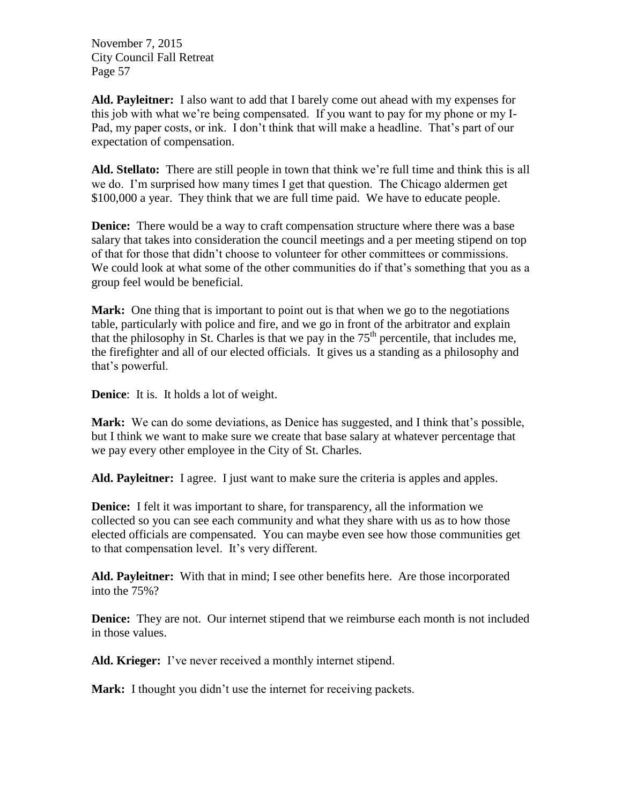**Ald. Payleitner:** I also want to add that I barely come out ahead with my expenses for this job with what we're being compensated. If you want to pay for my phone or my I-Pad, my paper costs, or ink. I don't think that will make a headline. That's part of our expectation of compensation.

**Ald. Stellato:** There are still people in town that think we're full time and think this is all we do. I'm surprised how many times I get that question. The Chicago aldermen get \$100,000 a year. They think that we are full time paid. We have to educate people.

**Denice:** There would be a way to craft compensation structure where there was a base salary that takes into consideration the council meetings and a per meeting stipend on top of that for those that didn't choose to volunteer for other committees or commissions. We could look at what some of the other communities do if that's something that you as a group feel would be beneficial.

**Mark:** One thing that is important to point out is that when we go to the negotiations table, particularly with police and fire, and we go in front of the arbitrator and explain that the philosophy in St. Charles is that we pay in the  $75<sup>th</sup>$  percentile, that includes me, the firefighter and all of our elected officials. It gives us a standing as a philosophy and that's powerful.

**Denice**: It is. It holds a lot of weight.

**Mark:** We can do some deviations, as Denice has suggested, and I think that's possible, but I think we want to make sure we create that base salary at whatever percentage that we pay every other employee in the City of St. Charles.

Ald. Payleitner: I agree. I just want to make sure the criteria is apples and apples.

**Denice:** I felt it was important to share, for transparency, all the information we collected so you can see each community and what they share with us as to how those elected officials are compensated. You can maybe even see how those communities get to that compensation level. It's very different.

**Ald. Payleitner:** With that in mind; I see other benefits here. Are those incorporated into the 75%?

**Denice:** They are not. Our internet stipend that we reimburse each month is not included in those values.

**Ald. Krieger:** I've never received a monthly internet stipend.

Mark: I thought you didn't use the internet for receiving packets.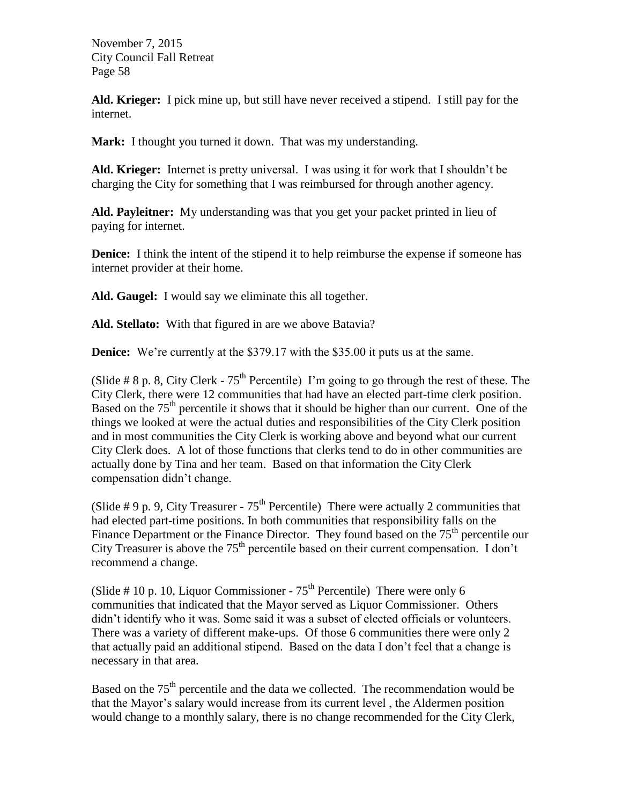**Ald. Krieger:** I pick mine up, but still have never received a stipend. I still pay for the internet.

**Mark:** I thought you turned it down. That was my understanding.

**Ald. Krieger:** Internet is pretty universal. I was using it for work that I shouldn't be charging the City for something that I was reimbursed for through another agency.

**Ald. Payleitner:** My understanding was that you get your packet printed in lieu of paying for internet.

**Denice:** I think the intent of the stipend it to help reimburse the expense if someone has internet provider at their home.

**Ald. Gaugel:** I would say we eliminate this all together.

**Ald. Stellato:** With that figured in are we above Batavia?

**Denice:** We're currently at the \$379.17 with the \$35.00 it puts us at the same.

(Slide  $\# 8$  p. 8, City Clerk - 75<sup>th</sup> Percentile) I'm going to go through the rest of these. The City Clerk, there were 12 communities that had have an elected part-time clerk position. Based on the  $75<sup>th</sup>$  percentile it shows that it should be higher than our current. One of the things we looked at were the actual duties and responsibilities of the City Clerk position and in most communities the City Clerk is working above and beyond what our current City Clerk does. A lot of those functions that clerks tend to do in other communities are actually done by Tina and her team. Based on that information the City Clerk compensation didn't change.

(Slide # 9 p. 9, City Treasurer -  $75<sup>th</sup>$  Percentile) There were actually 2 communities that had elected part-time positions. In both communities that responsibility falls on the Finance Department or the Finance Director. They found based on the  $75<sup>th</sup>$  percentile our City Treasurer is above the  $75<sup>th</sup>$  percentile based on their current compensation. I don't recommend a change.

(Slide # 10 p. 10, Liquor Commissioner -  $75<sup>th</sup>$  Percentile) There were only 6 communities that indicated that the Mayor served as Liquor Commissioner. Others didn't identify who it was. Some said it was a subset of elected officials or volunteers. There was a variety of different make-ups. Of those 6 communities there were only 2 that actually paid an additional stipend. Based on the data I don't feel that a change is necessary in that area.

Based on the  $75<sup>th</sup>$  percentile and the data we collected. The recommendation would be that the Mayor's salary would increase from its current level , the Aldermen position would change to a monthly salary, there is no change recommended for the City Clerk,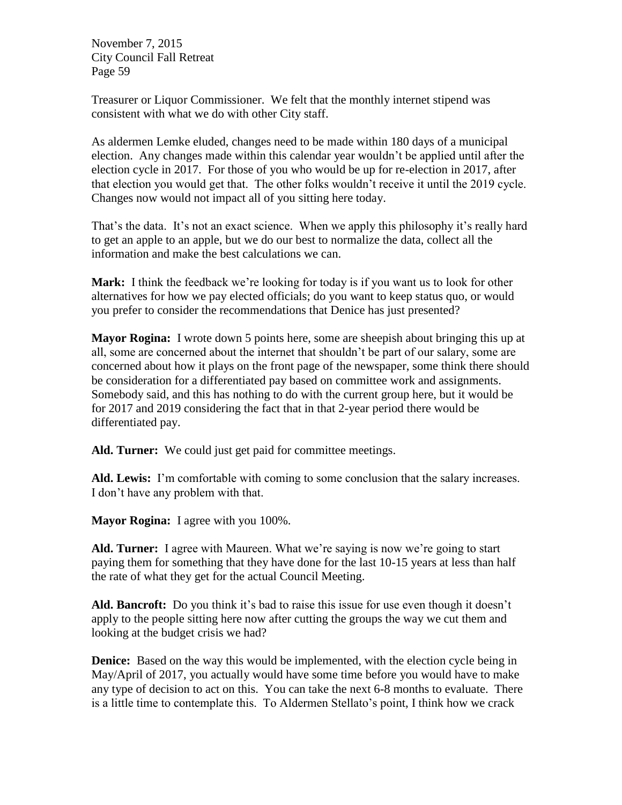Treasurer or Liquor Commissioner. We felt that the monthly internet stipend was consistent with what we do with other City staff.

As aldermen Lemke eluded, changes need to be made within 180 days of a municipal election. Any changes made within this calendar year wouldn't be applied until after the election cycle in 2017. For those of you who would be up for re-election in 2017, after that election you would get that. The other folks wouldn't receive it until the 2019 cycle. Changes now would not impact all of you sitting here today.

That's the data. It's not an exact science. When we apply this philosophy it's really hard to get an apple to an apple, but we do our best to normalize the data, collect all the information and make the best calculations we can.

**Mark:** I think the feedback we're looking for today is if you want us to look for other alternatives for how we pay elected officials; do you want to keep status quo, or would you prefer to consider the recommendations that Denice has just presented?

**Mayor Rogina:** I wrote down 5 points here, some are sheepish about bringing this up at all, some are concerned about the internet that shouldn't be part of our salary, some are concerned about how it plays on the front page of the newspaper, some think there should be consideration for a differentiated pay based on committee work and assignments. Somebody said, and this has nothing to do with the current group here, but it would be for 2017 and 2019 considering the fact that in that 2-year period there would be differentiated pay.

**Ald. Turner:** We could just get paid for committee meetings.

**Ald. Lewis:** I'm comfortable with coming to some conclusion that the salary increases. I don't have any problem with that.

**Mayor Rogina:** I agree with you 100%.

**Ald. Turner:** I agree with Maureen. What we're saying is now we're going to start paying them for something that they have done for the last 10-15 years at less than half the rate of what they get for the actual Council Meeting.

**Ald. Bancroft:** Do you think it's bad to raise this issue for use even though it doesn't apply to the people sitting here now after cutting the groups the way we cut them and looking at the budget crisis we had?

**Denice:** Based on the way this would be implemented, with the election cycle being in May/April of 2017, you actually would have some time before you would have to make any type of decision to act on this. You can take the next 6-8 months to evaluate. There is a little time to contemplate this. To Aldermen Stellato's point, I think how we crack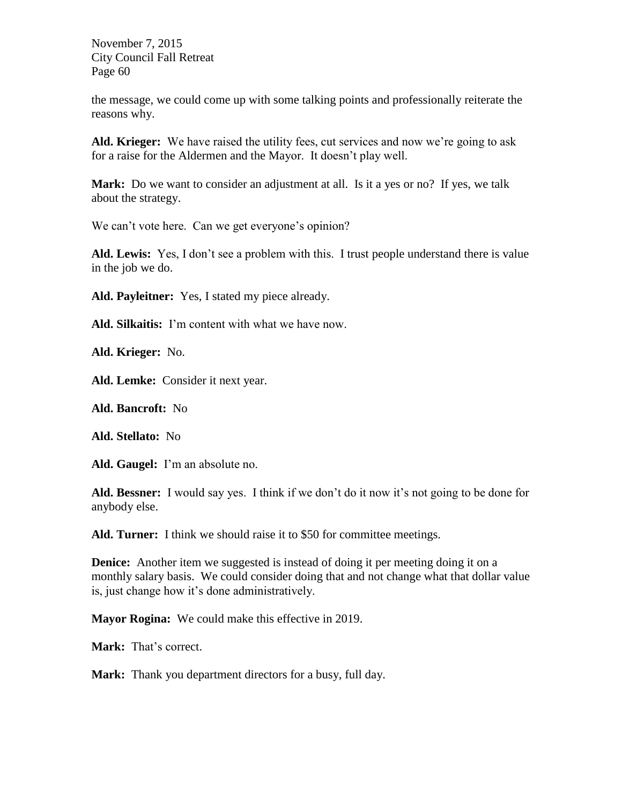the message, we could come up with some talking points and professionally reiterate the reasons why.

**Ald. Krieger:** We have raised the utility fees, cut services and now we're going to ask for a raise for the Aldermen and the Mayor. It doesn't play well.

**Mark:** Do we want to consider an adjustment at all. Is it a yes or no? If yes, we talk about the strategy.

We can't vote here. Can we get everyone's opinion?

**Ald. Lewis:** Yes, I don't see a problem with this. I trust people understand there is value in the job we do.

**Ald. Payleitner:** Yes, I stated my piece already.

**Ald. Silkaitis:** I'm content with what we have now.

**Ald. Krieger:** No.

**Ald. Lemke:** Consider it next year.

**Ald. Bancroft:** No

**Ald. Stellato:** No

**Ald. Gaugel:** I'm an absolute no.

**Ald. Bessner:** I would say yes. I think if we don't do it now it's not going to be done for anybody else.

**Ald. Turner:** I think we should raise it to \$50 for committee meetings.

**Denice:** Another item we suggested is instead of doing it per meeting doing it on a monthly salary basis. We could consider doing that and not change what that dollar value is, just change how it's done administratively.

**Mayor Rogina:** We could make this effective in 2019.

**Mark:** That's correct.

**Mark:** Thank you department directors for a busy, full day.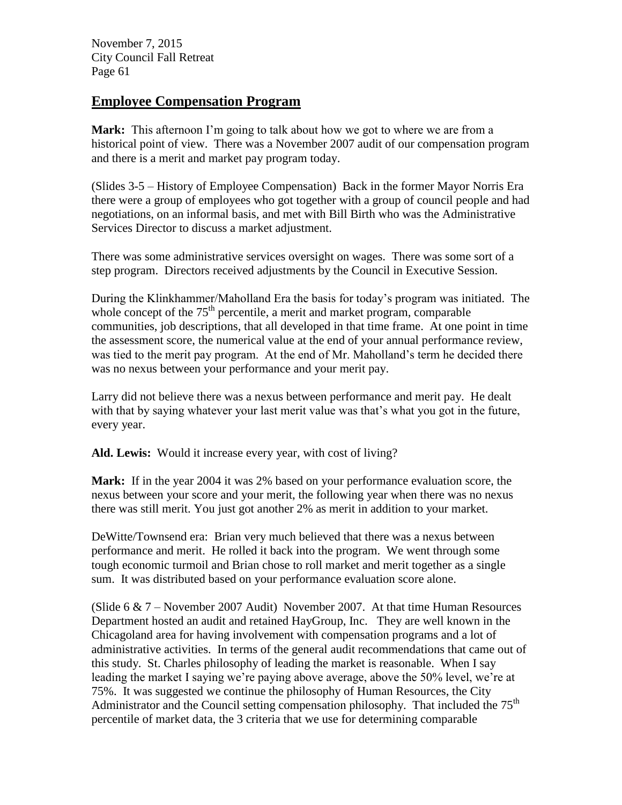### **Employee Compensation Program**

**Mark:** This afternoon I'm going to talk about how we got to where we are from a historical point of view. There was a November 2007 audit of our compensation program and there is a merit and market pay program today.

(Slides 3-5 – History of Employee Compensation) Back in the former Mayor Norris Era there were a group of employees who got together with a group of council people and had negotiations, on an informal basis, and met with Bill Birth who was the Administrative Services Director to discuss a market adjustment.

There was some administrative services oversight on wages. There was some sort of a step program. Directors received adjustments by the Council in Executive Session.

During the Klinkhammer/Maholland Era the basis for today's program was initiated. The whole concept of the  $75<sup>th</sup>$  percentile, a merit and market program, comparable communities, job descriptions, that all developed in that time frame. At one point in time the assessment score, the numerical value at the end of your annual performance review, was tied to the merit pay program. At the end of Mr. Maholland's term he decided there was no nexus between your performance and your merit pay.

Larry did not believe there was a nexus between performance and merit pay. He dealt with that by saying whatever your last merit value was that's what you got in the future, every year.

**Ald. Lewis:** Would it increase every year, with cost of living?

**Mark:** If in the year 2004 it was 2% based on your performance evaluation score, the nexus between your score and your merit, the following year when there was no nexus there was still merit. You just got another 2% as merit in addition to your market.

DeWitte/Townsend era: Brian very much believed that there was a nexus between performance and merit. He rolled it back into the program. We went through some tough economic turmoil and Brian chose to roll market and merit together as a single sum. It was distributed based on your performance evaluation score alone.

(Slide 6 & 7 – November 2007 Audit) November 2007. At that time Human Resources Department hosted an audit and retained HayGroup, Inc. They are well known in the Chicagoland area for having involvement with compensation programs and a lot of administrative activities. In terms of the general audit recommendations that came out of this study. St. Charles philosophy of leading the market is reasonable. When I say leading the market I saying we're paying above average, above the 50% level, we're at 75%. It was suggested we continue the philosophy of Human Resources, the City Administrator and the Council setting compensation philosophy. That included the 75<sup>th</sup> percentile of market data, the 3 criteria that we use for determining comparable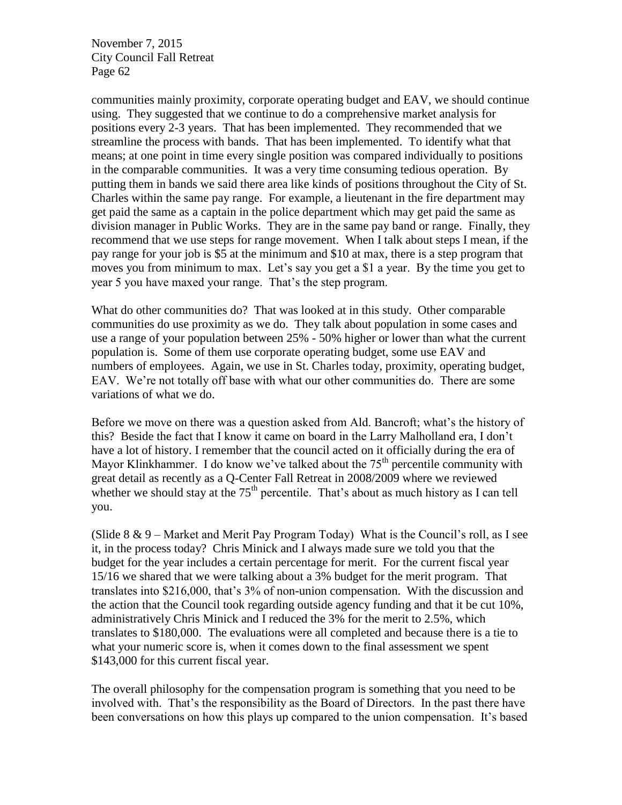communities mainly proximity, corporate operating budget and EAV, we should continue using. They suggested that we continue to do a comprehensive market analysis for positions every 2-3 years. That has been implemented. They recommended that we streamline the process with bands. That has been implemented. To identify what that means; at one point in time every single position was compared individually to positions in the comparable communities. It was a very time consuming tedious operation. By putting them in bands we said there area like kinds of positions throughout the City of St. Charles within the same pay range. For example, a lieutenant in the fire department may get paid the same as a captain in the police department which may get paid the same as division manager in Public Works. They are in the same pay band or range. Finally, they recommend that we use steps for range movement. When I talk about steps I mean, if the pay range for your job is \$5 at the minimum and \$10 at max, there is a step program that moves you from minimum to max. Let's say you get a \$1 a year. By the time you get to year 5 you have maxed your range. That's the step program.

What do other communities do? That was looked at in this study. Other comparable communities do use proximity as we do. They talk about population in some cases and use a range of your population between 25% - 50% higher or lower than what the current population is. Some of them use corporate operating budget, some use EAV and numbers of employees. Again, we use in St. Charles today, proximity, operating budget, EAV. We're not totally off base with what our other communities do. There are some variations of what we do.

Before we move on there was a question asked from Ald. Bancroft; what's the history of this? Beside the fact that I know it came on board in the Larry Malholland era, I don't have a lot of history. I remember that the council acted on it officially during the era of Mayor Klinkhammer. I do know we've talked about the  $75<sup>th</sup>$  percentile community with great detail as recently as a Q-Center Fall Retreat in 2008/2009 where we reviewed whether we should stay at the  $75<sup>th</sup>$  percentile. That's about as much history as I can tell you.

(Slide  $8 \& 9$  – Market and Merit Pay Program Today) What is the Council's roll, as I see it, in the process today? Chris Minick and I always made sure we told you that the budget for the year includes a certain percentage for merit. For the current fiscal year 15/16 we shared that we were talking about a 3% budget for the merit program. That translates into \$216,000, that's 3% of non-union compensation. With the discussion and the action that the Council took regarding outside agency funding and that it be cut 10%, administratively Chris Minick and I reduced the 3% for the merit to 2.5%, which translates to \$180,000. The evaluations were all completed and because there is a tie to what your numeric score is, when it comes down to the final assessment we spent \$143,000 for this current fiscal year.

The overall philosophy for the compensation program is something that you need to be involved with. That's the responsibility as the Board of Directors. In the past there have been conversations on how this plays up compared to the union compensation. It's based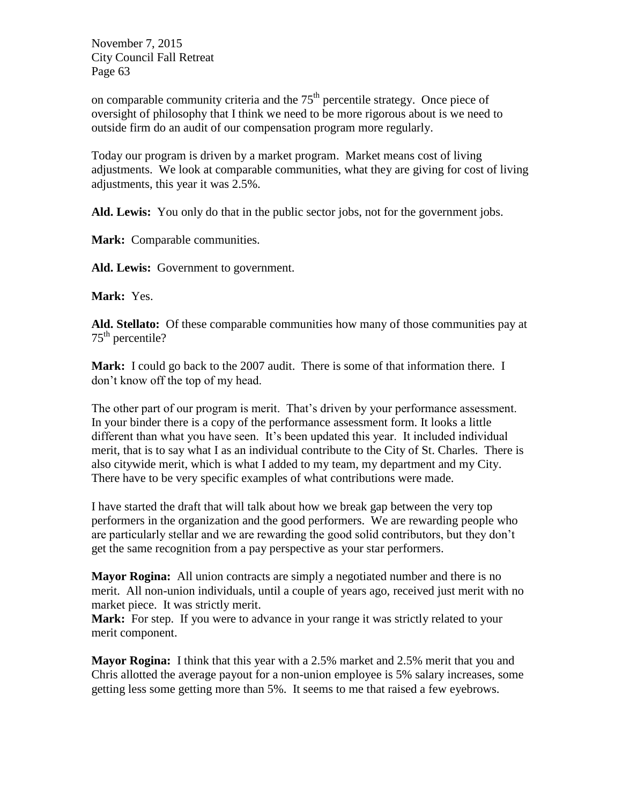on comparable community criteria and the  $75<sup>th</sup>$  percentile strategy. Once piece of oversight of philosophy that I think we need to be more rigorous about is we need to outside firm do an audit of our compensation program more regularly.

Today our program is driven by a market program. Market means cost of living adjustments. We look at comparable communities, what they are giving for cost of living adjustments, this year it was 2.5%.

**Ald. Lewis:** You only do that in the public sector jobs, not for the government jobs.

**Mark:** Comparable communities.

**Ald. Lewis:** Government to government.

**Mark:** Yes.

**Ald. Stellato:** Of these comparable communities how many of those communities pay at  $75<sup>th</sup>$  percentile?

**Mark:** I could go back to the 2007 audit. There is some of that information there. I don't know off the top of my head.

The other part of our program is merit. That's driven by your performance assessment. In your binder there is a copy of the performance assessment form. It looks a little different than what you have seen. It's been updated this year. It included individual merit, that is to say what I as an individual contribute to the City of St. Charles. There is also citywide merit, which is what I added to my team, my department and my City. There have to be very specific examples of what contributions were made.

I have started the draft that will talk about how we break gap between the very top performers in the organization and the good performers. We are rewarding people who are particularly stellar and we are rewarding the good solid contributors, but they don't get the same recognition from a pay perspective as your star performers.

**Mayor Rogina:** All union contracts are simply a negotiated number and there is no merit. All non-union individuals, until a couple of years ago, received just merit with no market piece. It was strictly merit.

**Mark:** For step. If you were to advance in your range it was strictly related to your merit component.

**Mayor Rogina:** I think that this year with a 2.5% market and 2.5% merit that you and Chris allotted the average payout for a non-union employee is 5% salary increases, some getting less some getting more than 5%. It seems to me that raised a few eyebrows.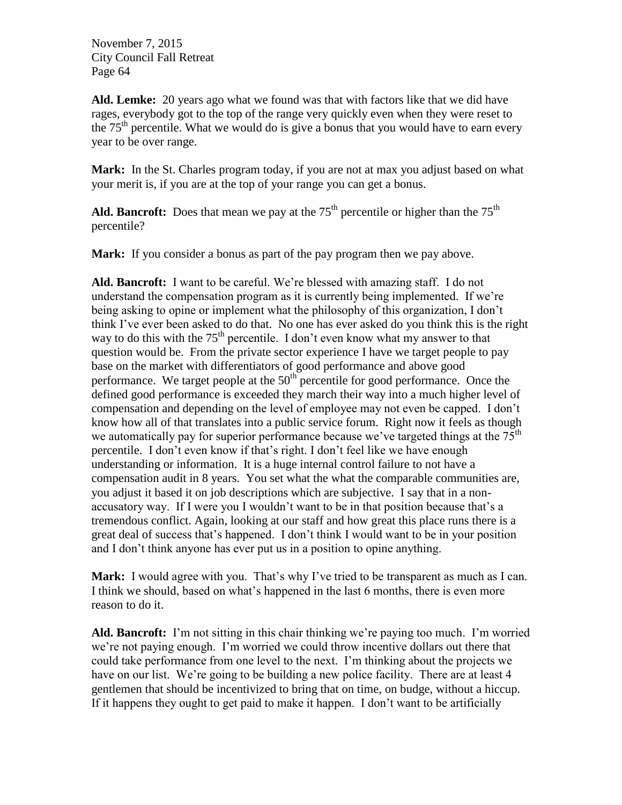**Ald. Lemke:** 20 years ago what we found was that with factors like that we did have rages, everybody got to the top of the range very quickly even when they were reset to the  $75<sup>th</sup>$  percentile. What we would do is give a bonus that you would have to earn every year to be over range.

**Mark:** In the St. Charles program today, if you are not at max you adjust based on what your merit is, if you are at the top of your range you can get a bonus.

**Ald. Bancroft:** Does that mean we pay at the  $75<sup>th</sup>$  percentile or higher than the  $75<sup>th</sup>$ percentile?

**Mark:** If you consider a bonus as part of the pay program then we pay above.

**Ald. Bancroft:** I want to be careful. We're blessed with amazing staff. I do not understand the compensation program as it is currently being implemented. If we're being asking to opine or implement what the philosophy of this organization, I don't think I've ever been asked to do that. No one has ever asked do you think this is the right way to do this with the  $75<sup>th</sup>$  percentile. I don't even know what my answer to that question would be. From the private sector experience I have we target people to pay base on the market with differentiators of good performance and above good performance. We target people at the  $50<sup>th</sup>$  percentile for good performance. Once the defined good performance is exceeded they march their way into a much higher level of compensation and depending on the level of employee may not even be capped. I don't know how all of that translates into a public service forum. Right now it feels as though we automatically pay for superior performance because we've targeted things at the  $75<sup>th</sup>$ percentile. I don't even know if that's right. I don't feel like we have enough understanding or information. It is a huge internal control failure to not have a compensation audit in 8 years. You set what the what the comparable communities are, you adjust it based it on job descriptions which are subjective. I say that in a nonaccusatory way. If I were you I wouldn't want to be in that position because that's a tremendous conflict. Again, looking at our staff and how great this place runs there is a great deal of success that's happened. I don't think I would want to be in your position and I don't think anyone has ever put us in a position to opine anything.

**Mark:** I would agree with you. That's why I've tried to be transparent as much as I can. I think we should, based on what's happened in the last 6 months, there is even more reason to do it.

**Ald. Bancroft:** I'm not sitting in this chair thinking we're paying too much. I'm worried we're not paying enough. I'm worried we could throw incentive dollars out there that could take performance from one level to the next. I'm thinking about the projects we have on our list. We're going to be building a new police facility. There are at least 4 gentlemen that should be incentivized to bring that on time, on budge, without a hiccup. If it happens they ought to get paid to make it happen. I don't want to be artificially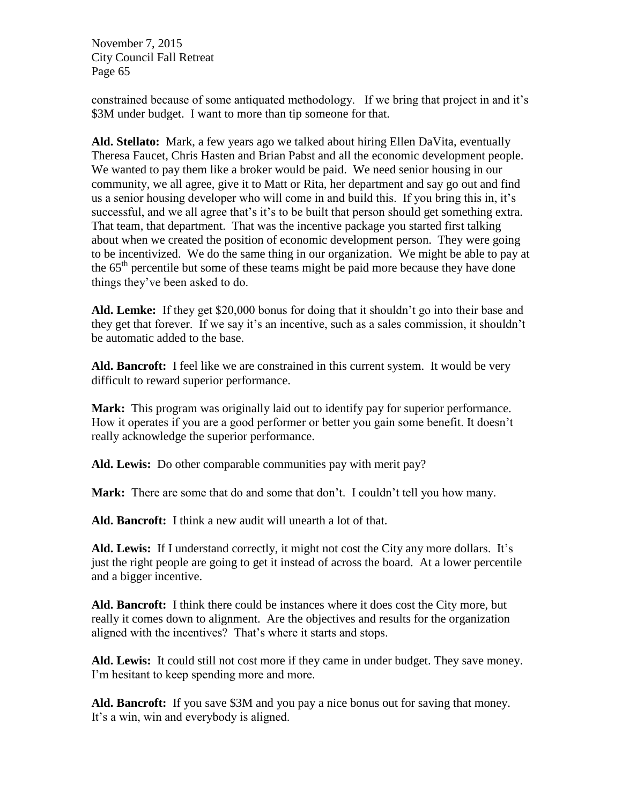constrained because of some antiquated methodology. If we bring that project in and it's \$3M under budget. I want to more than tip someone for that.

**Ald. Stellato:** Mark, a few years ago we talked about hiring Ellen DaVita, eventually Theresa Faucet, Chris Hasten and Brian Pabst and all the economic development people. We wanted to pay them like a broker would be paid. We need senior housing in our community, we all agree, give it to Matt or Rita, her department and say go out and find us a senior housing developer who will come in and build this. If you bring this in, it's successful, and we all agree that's it's to be built that person should get something extra. That team, that department. That was the incentive package you started first talking about when we created the position of economic development person. They were going to be incentivized. We do the same thing in our organization. We might be able to pay at the  $65<sup>th</sup>$  percentile but some of these teams might be paid more because they have done things they've been asked to do.

**Ald. Lemke:** If they get \$20,000 bonus for doing that it shouldn't go into their base and they get that forever. If we say it's an incentive, such as a sales commission, it shouldn't be automatic added to the base.

**Ald. Bancroft:** I feel like we are constrained in this current system. It would be very difficult to reward superior performance.

**Mark:** This program was originally laid out to identify pay for superior performance. How it operates if you are a good performer or better you gain some benefit. It doesn't really acknowledge the superior performance.

**Ald. Lewis:** Do other comparable communities pay with merit pay?

**Mark:** There are some that do and some that don't. I couldn't tell you how many.

**Ald. Bancroft:** I think a new audit will unearth a lot of that.

Ald. Lewis: If I understand correctly, it might not cost the City any more dollars. It's just the right people are going to get it instead of across the board. At a lower percentile and a bigger incentive.

**Ald. Bancroft:** I think there could be instances where it does cost the City more, but really it comes down to alignment. Are the objectives and results for the organization aligned with the incentives? That's where it starts and stops.

**Ald. Lewis:** It could still not cost more if they came in under budget. They save money. I'm hesitant to keep spending more and more.

**Ald. Bancroft:** If you save \$3M and you pay a nice bonus out for saving that money. It's a win, win and everybody is aligned.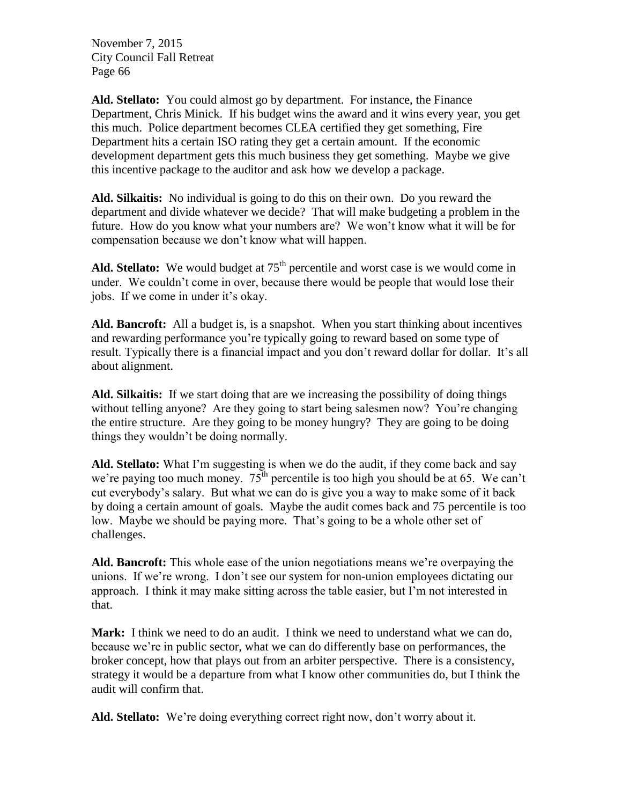**Ald. Stellato:** You could almost go by department. For instance, the Finance Department, Chris Minick. If his budget wins the award and it wins every year, you get this much. Police department becomes CLEA certified they get something, Fire Department hits a certain ISO rating they get a certain amount. If the economic development department gets this much business they get something. Maybe we give this incentive package to the auditor and ask how we develop a package.

**Ald. Silkaitis:** No individual is going to do this on their own. Do you reward the department and divide whatever we decide? That will make budgeting a problem in the future. How do you know what your numbers are? We won't know what it will be for compensation because we don't know what will happen.

Ald. Stellato: We would budget at 75<sup>th</sup> percentile and worst case is we would come in under. We couldn't come in over, because there would be people that would lose their jobs. If we come in under it's okay.

**Ald. Bancroft:** All a budget is, is a snapshot. When you start thinking about incentives and rewarding performance you're typically going to reward based on some type of result. Typically there is a financial impact and you don't reward dollar for dollar. It's all about alignment.

**Ald. Silkaitis:** If we start doing that are we increasing the possibility of doing things without telling anyone? Are they going to start being salesmen now? You're changing the entire structure. Are they going to be money hungry? They are going to be doing things they wouldn't be doing normally.

Ald. Stellato: What I'm suggesting is when we do the audit, if they come back and say we're paying too much money.  $75<sup>th</sup>$  percentile is too high you should be at 65. We can't cut everybody's salary. But what we can do is give you a way to make some of it back by doing a certain amount of goals. Maybe the audit comes back and 75 percentile is too low. Maybe we should be paying more. That's going to be a whole other set of challenges.

**Ald. Bancroft:** This whole ease of the union negotiations means we're overpaying the unions. If we're wrong. I don't see our system for non-union employees dictating our approach. I think it may make sitting across the table easier, but I'm not interested in that.

**Mark:** I think we need to do an audit. I think we need to understand what we can do, because we're in public sector, what we can do differently base on performances, the broker concept, how that plays out from an arbiter perspective. There is a consistency, strategy it would be a departure from what I know other communities do, but I think the audit will confirm that.

**Ald. Stellato:** We're doing everything correct right now, don't worry about it.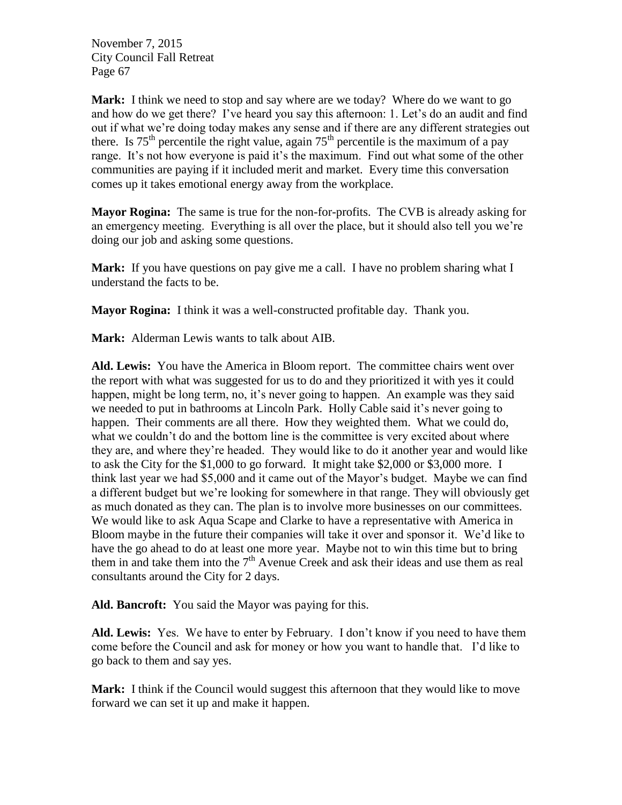**Mark:** I think we need to stop and say where are we today? Where do we want to go and how do we get there? I've heard you say this afternoon: 1. Let's do an audit and find out if what we're doing today makes any sense and if there are any different strategies out there. Is  $75<sup>th</sup>$  percentile the right value, again  $75<sup>th</sup>$  percentile is the maximum of a pay range. It's not how everyone is paid it's the maximum. Find out what some of the other communities are paying if it included merit and market. Every time this conversation comes up it takes emotional energy away from the workplace.

**Mayor Rogina:** The same is true for the non-for-profits. The CVB is already asking for an emergency meeting. Everything is all over the place, but it should also tell you we're doing our job and asking some questions.

**Mark:** If you have questions on pay give me a call. I have no problem sharing what I understand the facts to be.

**Mayor Rogina:** I think it was a well-constructed profitable day. Thank you.

**Mark:** Alderman Lewis wants to talk about AIB.

**Ald. Lewis:** You have the America in Bloom report. The committee chairs went over the report with what was suggested for us to do and they prioritized it with yes it could happen, might be long term, no, it's never going to happen. An example was they said we needed to put in bathrooms at Lincoln Park. Holly Cable said it's never going to happen. Their comments are all there. How they weighted them. What we could do, what we couldn't do and the bottom line is the committee is very excited about where they are, and where they're headed. They would like to do it another year and would like to ask the City for the \$1,000 to go forward. It might take \$2,000 or \$3,000 more. I think last year we had \$5,000 and it came out of the Mayor's budget. Maybe we can find a different budget but we're looking for somewhere in that range. They will obviously get as much donated as they can. The plan is to involve more businesses on our committees. We would like to ask Aqua Scape and Clarke to have a representative with America in Bloom maybe in the future their companies will take it over and sponsor it. We'd like to have the go ahead to do at least one more year. Maybe not to win this time but to bring them in and take them into the  $7<sup>th</sup>$  Avenue Creek and ask their ideas and use them as real consultants around the City for 2 days.

**Ald. Bancroft:** You said the Mayor was paying for this.

**Ald. Lewis:** Yes. We have to enter by February. I don't know if you need to have them come before the Council and ask for money or how you want to handle that. I'd like to go back to them and say yes.

**Mark:** I think if the Council would suggest this afternoon that they would like to move forward we can set it up and make it happen.